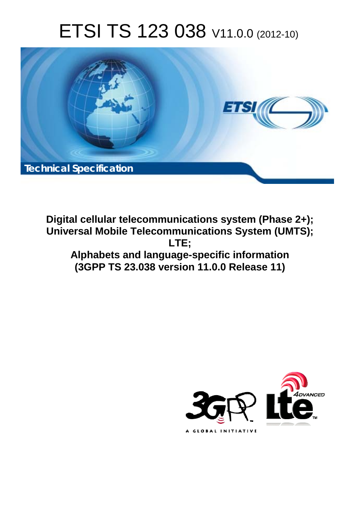# ETSI TS 123 038 V11.0.0 (2012-10)



**Digital cellular telecommunications system (Phase 2+); Universal Mobile Telecommunications System (UMTS); LTE; Alphabets and language-specific information (3GPP TS 23.038 version 11.0.0 Release 11)** 

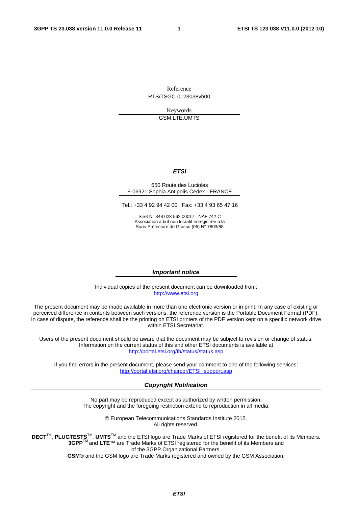Reference RTS/TSGC-0123038vb00

> Keywords GSM,LTE,UMTS

#### *ETSI*

#### 650 Route des Lucioles F-06921 Sophia Antipolis Cedex - FRANCE

Tel.: +33 4 92 94 42 00 Fax: +33 4 93 65 47 16

Siret N° 348 623 562 00017 - NAF 742 C Association à but non lucratif enregistrée à la Sous-Préfecture de Grasse (06) N° 7803/88

#### *Important notice*

Individual copies of the present document can be downloaded from: [http://www.etsi.org](http://www.etsi.org/)

The present document may be made available in more than one electronic version or in print. In any case of existing or perceived difference in contents between such versions, the reference version is the Portable Document Format (PDF). In case of dispute, the reference shall be the printing on ETSI printers of the PDF version kept on a specific network drive within ETSI Secretariat.

Users of the present document should be aware that the document may be subject to revision or change of status. Information on the current status of this and other ETSI documents is available at <http://portal.etsi.org/tb/status/status.asp>

If you find errors in the present document, please send your comment to one of the following services: [http://portal.etsi.org/chaircor/ETSI\\_support.asp](http://portal.etsi.org/chaircor/ETSI_support.asp)

#### *Copyright Notification*

No part may be reproduced except as authorized by written permission. The copyright and the foregoing restriction extend to reproduction in all media.

> © European Telecommunications Standards Institute 2012. All rights reserved.

**DECT**TM, **PLUGTESTS**TM, **UMTS**TM and the ETSI logo are Trade Marks of ETSI registered for the benefit of its Members. **3GPP**TM and **LTE**™ are Trade Marks of ETSI registered for the benefit of its Members and of the 3GPP Organizational Partners.

**GSM**® and the GSM logo are Trade Marks registered and owned by the GSM Association.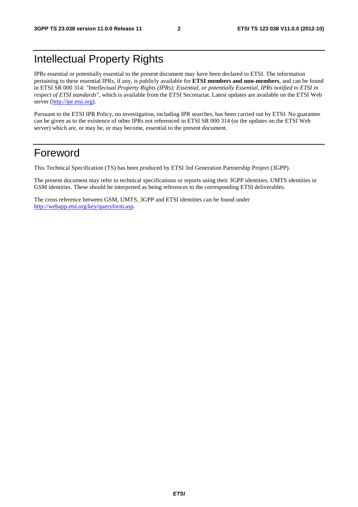# Intellectual Property Rights

IPRs essential or potentially essential to the present document may have been declared to ETSI. The information pertaining to these essential IPRs, if any, is publicly available for **ETSI members and non-members**, and can be found in ETSI SR 000 314: *"Intellectual Property Rights (IPRs); Essential, or potentially Essential, IPRs notified to ETSI in respect of ETSI standards"*, which is available from the ETSI Secretariat. Latest updates are available on the ETSI Web server [\(http://ipr.etsi.org\)](http://webapp.etsi.org/IPR/home.asp).

Pursuant to the ETSI IPR Policy, no investigation, including IPR searches, has been carried out by ETSI. No guarantee can be given as to the existence of other IPRs not referenced in ETSI SR 000 314 (or the updates on the ETSI Web server) which are, or may be, or may become, essential to the present document.

### Foreword

This Technical Specification (TS) has been produced by ETSI 3rd Generation Partnership Project (3GPP).

The present document may refer to technical specifications or reports using their 3GPP identities, UMTS identities or GSM identities. These should be interpreted as being references to the corresponding ETSI deliverables.

The cross reference between GSM, UMTS, 3GPP and ETSI identities can be found under [http://webapp.etsi.org/key/queryform.asp.](http://webapp.etsi.org/key/queryform.asp)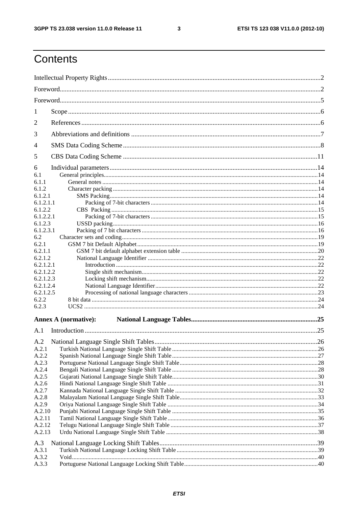$\mathbf{3}$ 

# Contents

| 1              |                             |  |  |  |  |
|----------------|-----------------------------|--|--|--|--|
| 2              |                             |  |  |  |  |
| 3              |                             |  |  |  |  |
| 4              |                             |  |  |  |  |
| 5              |                             |  |  |  |  |
| 6              |                             |  |  |  |  |
| 6.1            |                             |  |  |  |  |
| 6.1.1          |                             |  |  |  |  |
| 6.1.2          |                             |  |  |  |  |
| 6.1.2.1        |                             |  |  |  |  |
| 6.1.2.1.1      |                             |  |  |  |  |
| 6.1.2.2        |                             |  |  |  |  |
| 6.1.2.2.1      |                             |  |  |  |  |
| 6.1.2.3        |                             |  |  |  |  |
| 6.1.2.3.1      |                             |  |  |  |  |
| 6.2            |                             |  |  |  |  |
| 6.2.1          |                             |  |  |  |  |
| 6.2.1.1        |                             |  |  |  |  |
| 6.2.1.2        |                             |  |  |  |  |
| 6.2.1.2.1      |                             |  |  |  |  |
| 6.2.1.2.2      |                             |  |  |  |  |
| 6.2.1.2.3      |                             |  |  |  |  |
| 6.2.1.2.4      |                             |  |  |  |  |
| 6.2.1.2.5      |                             |  |  |  |  |
| 6.2.2          |                             |  |  |  |  |
| 6.2.3          |                             |  |  |  |  |
|                | <b>Annex A (normative):</b> |  |  |  |  |
| A.1            |                             |  |  |  |  |
| A.2            |                             |  |  |  |  |
| A.2.1          |                             |  |  |  |  |
| A.2.2          |                             |  |  |  |  |
| A.2.3          |                             |  |  |  |  |
| A.2.4          |                             |  |  |  |  |
| A.2.5          |                             |  |  |  |  |
| A.2.6          |                             |  |  |  |  |
| A.2.7          |                             |  |  |  |  |
| A.2.8<br>A.2.9 |                             |  |  |  |  |
| A.2.10         |                             |  |  |  |  |
| A.2.11         |                             |  |  |  |  |
| A.2.12         |                             |  |  |  |  |
| A.2.13         |                             |  |  |  |  |
| A.3            |                             |  |  |  |  |
| A.3.1          |                             |  |  |  |  |
| A.3.2          |                             |  |  |  |  |
| A.3.3          |                             |  |  |  |  |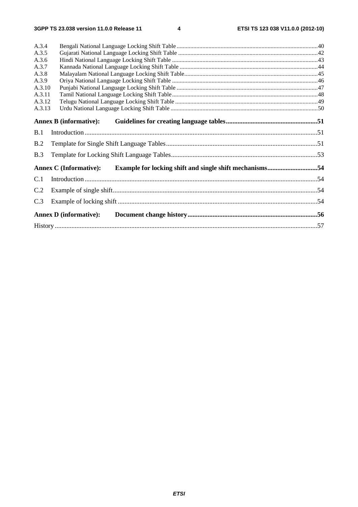$\overline{\mathbf{4}}$ 

| A.3.4  |                                                                                          |  |
|--------|------------------------------------------------------------------------------------------|--|
| A.3.5  |                                                                                          |  |
| A.3.6  |                                                                                          |  |
| A.3.7  |                                                                                          |  |
| A.3.8  |                                                                                          |  |
| A.3.9  |                                                                                          |  |
| A.3.10 |                                                                                          |  |
| A.3.11 |                                                                                          |  |
| A.3.12 |                                                                                          |  |
| A.3.13 |                                                                                          |  |
|        | <b>Annex B</b> (informative):                                                            |  |
| B.1    |                                                                                          |  |
| B.2    |                                                                                          |  |
| B.3    |                                                                                          |  |
|        | Example for locking shift and single shift mechanisms54<br><b>Annex C</b> (Informative): |  |
| C.1    |                                                                                          |  |
| C.2    |                                                                                          |  |
| C.3    |                                                                                          |  |
|        | <b>Annex D</b> (informative):                                                            |  |
|        |                                                                                          |  |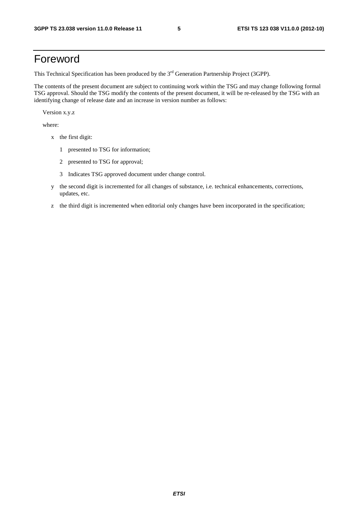### Foreword

This Technical Specification has been produced by the 3<sup>rd</sup> Generation Partnership Project (3GPP).

The contents of the present document are subject to continuing work within the TSG and may change following formal TSG approval. Should the TSG modify the contents of the present document, it will be re-released by the TSG with an identifying change of release date and an increase in version number as follows:

Version x.y.z

where:

- x the first digit:
	- 1 presented to TSG for information;
	- 2 presented to TSG for approval;
	- 3 Indicates TSG approved document under change control.
- y the second digit is incremented for all changes of substance, i.e. technical enhancements, corrections, updates, etc.
- z the third digit is incremented when editorial only changes have been incorporated in the specification;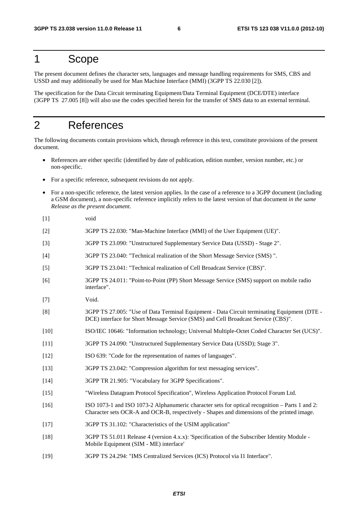### 1 Scope

The present document defines the character sets, languages and message handling requirements for SMS, CBS and USSD and may additionally be used for Man Machine Interface (MMI) (3GPP TS 22.030 [2]).

The specification for the Data Circuit terminating Equipment/Data Terminal Equipment (DCE/DTE) interface (3GPP TS 27.005 [8]) will also use the codes specified herein for the transfer of SMS data to an external terminal.

### 2 References

The following documents contain provisions which, through reference in this text, constitute provisions of the present document.

- References are either specific (identified by date of publication, edition number, version number, etc.) or non-specific.
- For a specific reference, subsequent revisions do not apply.
- For a non-specific reference, the latest version applies. In the case of a reference to a 3GPP document (including a GSM document), a non-specific reference implicitly refers to the latest version of that document *in the same Release as the present document*.
- [1] void
- [2] 3GPP TS 22.030: "Man-Machine Interface (MMI) of the User Equipment (UE)".
- [3] 3GPP TS 23.090: "Unstructured Supplementary Service Data (USSD) Stage 2".
- [4] 3GPP TS 23.040: "Technical realization of the Short Message Service (SMS) ".
- [5] 3GPP TS 23.041: "Technical realization of Cell Broadcast Service (CBS)".
- [6] 3GPP TS 24.011: "Point-to-Point (PP) Short Message Service (SMS) support on mobile radio interface".
- [7] Void.
- [8] 3GPP TS 27.005: "Use of Data Terminal Equipment Data Circuit terminating Equipment (DTE DCE) interface for Short Message Service (SMS) and Cell Broadcast Service (CBS)".
- [10] ISO/IEC 10646: "Information technology; Universal Multiple-Octet Coded Character Set (UCS)".
- [11] 3GPP TS 24.090: "Unstructured Supplementary Service Data (USSD); Stage 3".
- [12] ISO 639: "Code for the representation of names of languages".
- [13] 3GPP TS 23.042: "Compression algorithm for text messaging services".
- [14] 3GPP TR 21.905: "Vocabulary for 3GPP Specifications".
- [15] "Wireless Datagram Protocol Specification", Wireless Application Protocol Forum Ltd.
- [16] ISO 1073-1 and ISO 1073-2 Alphanumeric character sets for optical recognition Parts 1 and 2: Character sets OCR-A and OCR-B, respectively - Shapes and dimensions of the printed image.
- [17] 3GPP TS 31.102: "Characteristics of the USIM application"
- [18] 3GPP TS 51.011 Release 4 (version 4.x.x): 'Specification of the Subscriber Identity Module Mobile Equipment (SIM - ME) interface'
- [19] 3GPP TS 24.294: "IMS Centralized Services (ICS) Protocol via I1 Interface".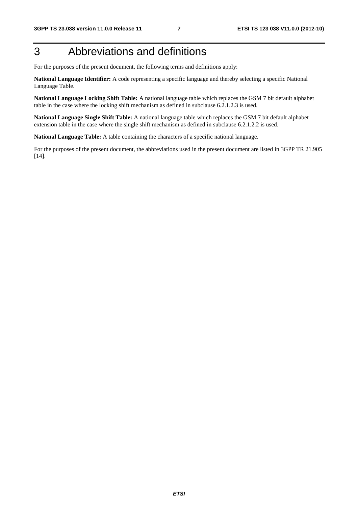# 3 Abbreviations and definitions

For the purposes of the present document, the following terms and definitions apply:

**National Language Identifier:** A code representing a specific language and thereby selecting a specific National Language Table.

**National Language Locking Shift Table:** A national language table which replaces the GSM 7 bit default alphabet table in the case where the locking shift mechanism as defined in subclause 6.2.1.2.3 is used.

**National Language Single Shift Table:** A national language table which replaces the GSM 7 bit default alphabet extension table in the case where the single shift mechanism as defined in subclause 6.2.1.2.2 is used.

**National Language Table:** A table containing the characters of a specific national language.

For the purposes of the present document, the abbreviations used in the present document are listed in 3GPP TR 21.905 [14].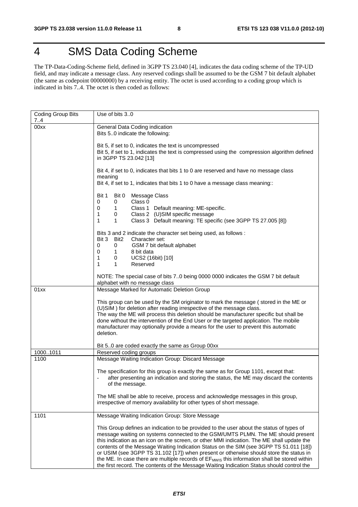# 4 SMS Data Coding Scheme

The TP-Data-Coding-Scheme field, defined in 3GPP TS 23.040 [4], indicates the data coding scheme of the TP-UD field, and may indicate a message class. Any reserved codings shall be assumed to be the GSM 7 bit default alphabet (the same as codepoint 00000000) by a receiving entity. The octet is used according to a coding group which is indicated in bits 7..4. The octet is then coded as follows:

| Coding Group Bits<br>7.4 | Use of bits 30                                                                                                                                                                                                                                                                                                                                                                                                                                                                                                                                                             |
|--------------------------|----------------------------------------------------------------------------------------------------------------------------------------------------------------------------------------------------------------------------------------------------------------------------------------------------------------------------------------------------------------------------------------------------------------------------------------------------------------------------------------------------------------------------------------------------------------------------|
| 00xx                     | General Data Coding indication                                                                                                                                                                                                                                                                                                                                                                                                                                                                                                                                             |
|                          | Bits 50 indicate the following:                                                                                                                                                                                                                                                                                                                                                                                                                                                                                                                                            |
|                          | Bit 5, if set to 0, indicates the text is uncompressed<br>Bit 5, if set to 1, indicates the text is compressed using the compression algorithm defined                                                                                                                                                                                                                                                                                                                                                                                                                     |
|                          | in 3GPP TS 23.042 [13]                                                                                                                                                                                                                                                                                                                                                                                                                                                                                                                                                     |
|                          | Bit 4, if set to 0, indicates that bits 1 to 0 are reserved and have no message class<br>meaning                                                                                                                                                                                                                                                                                                                                                                                                                                                                           |
|                          | Bit 4, if set to 1, indicates that bits 1 to 0 have a message class meaning::                                                                                                                                                                                                                                                                                                                                                                                                                                                                                              |
|                          | Bit 1<br>Bit 0<br>Message Class<br>Class 0<br>0<br>0                                                                                                                                                                                                                                                                                                                                                                                                                                                                                                                       |
|                          | 0<br>Class 1 Default meaning: ME-specific.<br>1.                                                                                                                                                                                                                                                                                                                                                                                                                                                                                                                           |
|                          | Class 2 (U)SIM specific message<br>1<br>0                                                                                                                                                                                                                                                                                                                                                                                                                                                                                                                                  |
|                          | Class 3 Default meaning: TE specific (see 3GPP TS 27.005 [8])<br>1<br>$\mathbf{1}$                                                                                                                                                                                                                                                                                                                                                                                                                                                                                         |
|                          | Bits 3 and 2 indicate the character set being used, as follows :<br>Bit 3<br>Bit2<br>Character set:                                                                                                                                                                                                                                                                                                                                                                                                                                                                        |
|                          | GSM 7 bit default alphabet<br>0<br>0                                                                                                                                                                                                                                                                                                                                                                                                                                                                                                                                       |
|                          | 0<br>8 bit data<br>1                                                                                                                                                                                                                                                                                                                                                                                                                                                                                                                                                       |
|                          | 1<br>UCS2 (16bit) [10]<br>0<br>1<br>Reserved<br>1                                                                                                                                                                                                                                                                                                                                                                                                                                                                                                                          |
|                          |                                                                                                                                                                                                                                                                                                                                                                                                                                                                                                                                                                            |
|                          | NOTE: The special case of bits 70 being 0000 0000 indicates the GSM 7 bit default                                                                                                                                                                                                                                                                                                                                                                                                                                                                                          |
| 01xx                     | alphabet with no message class<br>Message Marked for Automatic Deletion Group                                                                                                                                                                                                                                                                                                                                                                                                                                                                                              |
|                          |                                                                                                                                                                                                                                                                                                                                                                                                                                                                                                                                                                            |
|                          | This group can be used by the SM originator to mark the message (stored in the ME or                                                                                                                                                                                                                                                                                                                                                                                                                                                                                       |
|                          | (U)SIM) for deletion after reading irrespective of the message class.<br>The way the ME will process this deletion should be manufacturer specific but shall be                                                                                                                                                                                                                                                                                                                                                                                                            |
|                          | done without the intervention of the End User or the targeted application. The mobile                                                                                                                                                                                                                                                                                                                                                                                                                                                                                      |
|                          | manufacturer may optionally provide a means for the user to prevent this automatic                                                                                                                                                                                                                                                                                                                                                                                                                                                                                         |
|                          | deletion.                                                                                                                                                                                                                                                                                                                                                                                                                                                                                                                                                                  |
|                          | Bit 50 are coded exactly the same as Group 00xx                                                                                                                                                                                                                                                                                                                                                                                                                                                                                                                            |
| 10001011                 | Reserved coding groups                                                                                                                                                                                                                                                                                                                                                                                                                                                                                                                                                     |
| 1100                     | Message Waiting Indication Group: Discard Message                                                                                                                                                                                                                                                                                                                                                                                                                                                                                                                          |
|                          | The specification for this group is exactly the same as for Group 1101, except that:<br>after presenting an indication and storing the status, the ME may discard the contents<br>of the message.                                                                                                                                                                                                                                                                                                                                                                          |
|                          | The ME shall be able to receive, process and acknowledge messages in this group,<br>irrespective of memory availability for other types of short message.                                                                                                                                                                                                                                                                                                                                                                                                                  |
| 1101                     | Message Waiting Indication Group: Store Message                                                                                                                                                                                                                                                                                                                                                                                                                                                                                                                            |
|                          | This Group defines an indication to be provided to the user about the status of types of<br>message waiting on systems connected to the GSM/UMTS PLMN. The ME should present<br>this indication as an icon on the screen, or other MMI indication. The ME shall update the<br>contents of the Message Waiting Indication Status on the SIM (see 3GPP TS 51.011 [18])<br>or USIM (see 3GPP TS 31.102 [17]) when present or otherwise should store the status in<br>the ME. In case there are multiple records of EF <sub>MWIS</sub> this information shall be stored within |
|                          | the first record. The contents of the Message Waiting Indication Status should control the                                                                                                                                                                                                                                                                                                                                                                                                                                                                                 |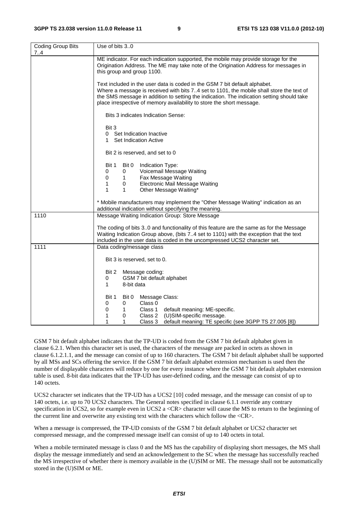| <b>Coding Group Bits</b><br>74 | Use of bits 30                                                                                                                                                                                                                                                                                                                               |  |  |  |  |  |  |  |
|--------------------------------|----------------------------------------------------------------------------------------------------------------------------------------------------------------------------------------------------------------------------------------------------------------------------------------------------------------------------------------------|--|--|--|--|--|--|--|
|                                | ME indicator. For each indication supported, the mobile may provide storage for the<br>Origination Address. The ME may take note of the Origination Address for messages in<br>this group and group 1100.                                                                                                                                    |  |  |  |  |  |  |  |
|                                | Text included in the user data is coded in the GSM 7 bit default alphabet.<br>Where a message is received with bits 74 set to 1101, the mobile shall store the text of<br>the SMS message in addition to setting the indication. The indication setting should take<br>place irrespective of memory availability to store the short message. |  |  |  |  |  |  |  |
|                                | Bits 3 indicates Indication Sense:                                                                                                                                                                                                                                                                                                           |  |  |  |  |  |  |  |
|                                | Bit 3<br>Set Indication Inactive<br>0<br>Set Indication Active<br>1.                                                                                                                                                                                                                                                                         |  |  |  |  |  |  |  |
|                                | Bit 2 is reserved, and set to 0                                                                                                                                                                                                                                                                                                              |  |  |  |  |  |  |  |
|                                | Bit 1<br>Bit 0<br>Indication Type:<br>Voicemail Message Waiting<br>0<br>0<br>0<br>Fax Message Waiting<br>1<br>1<br>Electronic Mail Message Waiting<br>0<br>$\mathbf{1}$<br>1<br>Other Message Waiting*                                                                                                                                       |  |  |  |  |  |  |  |
|                                | * Mobile manufacturers may implement the "Other Message Waiting" indication as an<br>additional indication without specifying the meaning.                                                                                                                                                                                                   |  |  |  |  |  |  |  |
| 1110                           | Message Waiting Indication Group: Store Message                                                                                                                                                                                                                                                                                              |  |  |  |  |  |  |  |
|                                | The coding of bits 30 and functionality of this feature are the same as for the Message<br>Waiting Indication Group above, (bits 74 set to 1101) with the exception that the text<br>included in the user data is coded in the uncompressed UCS2 character set.                                                                              |  |  |  |  |  |  |  |
| 1111                           | Data coding/message class                                                                                                                                                                                                                                                                                                                    |  |  |  |  |  |  |  |
|                                | Bit 3 is reserved, set to 0.                                                                                                                                                                                                                                                                                                                 |  |  |  |  |  |  |  |
|                                | Bit 2<br>Message coding:<br>GSM 7 bit default alphabet<br>0<br>1<br>8-bit data                                                                                                                                                                                                                                                               |  |  |  |  |  |  |  |
|                                | Bit 0<br>Message Class:<br>Bit 1<br>Class 0<br>0<br>0<br>0<br>Class 1<br>default meaning: ME-specific.<br>1<br>1<br>(U)SIM-specific message.<br>0<br>Class 2<br>1<br>1<br>default meaning: TE specific (see 3GPP TS 27.005 [8])<br>Class 3                                                                                                   |  |  |  |  |  |  |  |

GSM 7 bit default alphabet indicates that the TP-UD is coded from the GSM 7 bit default alphabet given in clause 6.2.1. When this character set is used, the characters of the message are packed in octets as shown in clause 6.1.2.1.1, and the message can consist of up to 160 characters. The GSM 7 bit default alphabet shall be supported by all MSs and SCs offering the service. If the GSM 7 bit default alphabet extension mechanism is used then the number of displayable characters will reduce by one for every instance where the GSM 7 bit default alphabet extension table is used. 8-bit data indicates that the TP-UD has user-defined coding, and the message can consist of up to 140 octets.

UCS2 character set indicates that the TP-UD has a UCS2 [10] coded message, and the message can consist of up to 140 octets, i.e. up to 70 UCS2 characters. The General notes specified in clause 6.1.1 override any contrary specification in UCS2, so for example even in UCS2 a  $\langle$ CR $\rangle$  character will cause the MS to return to the beginning of the current line and overwrite any existing text with the characters which follow the <CR>.

When a message is compressed, the TP-UD consists of the GSM 7 bit default alphabet or UCS2 character set compressed message, and the compressed message itself can consist of up to 140 octets in total.

When a mobile terminated message is class 0 and the MS has the capability of displaying short messages, the MS shall display the message immediately and send an acknowledgement to the SC when the message has successfully reached the MS irrespective of whether there is memory available in the (U)SIM or ME. The message shall not be automatically stored in the (U)SIM or ME.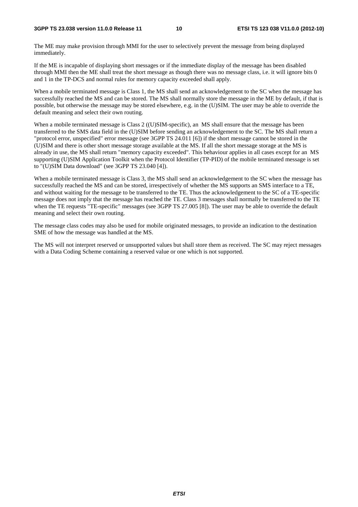#### **3GPP TS 23.038 version 11.0.0 Release 11 10 ETSI TS 123 038 V11.0.0 (2012-10)**

The ME may make provision through MMI for the user to selectively prevent the message from being displayed immediately.

If the ME is incapable of displaying short messages or if the immediate display of the message has been disabled through MMI then the ME shall treat the short message as though there was no message class, i.e. it will ignore bits 0 and 1 in the TP-DCS and normal rules for memory capacity exceeded shall apply.

When a mobile terminated message is Class 1, the MS shall send an acknowledgement to the SC when the message has successfully reached the MS and can be stored. The MS shall normally store the message in the ME by default, if that is possible, but otherwise the message may be stored elsewhere, e.g. in the (U)SIM. The user may be able to override the default meaning and select their own routing.

When a mobile terminated message is Class 2 ((U)SIM-specific), an MS shall ensure that the message has been transferred to the SMS data field in the (U)SIM before sending an acknowledgement to the SC. The MS shall return a "protocol error, unspecified" error message (see 3GPP TS 24.011 [6]) if the short message cannot be stored in the (U)SIM and there is other short message storage available at the MS. If all the short message storage at the MS is already in use, the MS shall return "memory capacity exceeded". This behaviour applies in all cases except for an MS supporting (U)SIM Application Toolkit when the Protocol Identifier (TP-PID) of the mobile terminated message is set to "(U)SIM Data download" (see 3GPP TS 23.040 [4]).

When a mobile terminated message is Class 3, the MS shall send an acknowledgement to the SC when the message has successfully reached the MS and can be stored, irrespectively of whether the MS supports an SMS interface to a TE, and without waiting for the message to be transferred to the TE. Thus the acknowledgement to the SC of a TE-specific message does not imply that the message has reached the TE. Class 3 messages shall normally be transferred to the TE when the TE requests "TE-specific" messages (see 3GPP TS 27.005 [8]). The user may be able to override the default meaning and select their own routing.

The message class codes may also be used for mobile originated messages, to provide an indication to the destination SME of how the message was handled at the MS.

The MS will not interpret reserved or unsupported values but shall store them as received. The SC may reject messages with a Data Coding Scheme containing a reserved value or one which is not supported.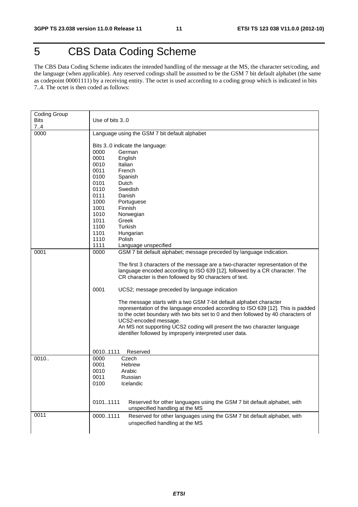# 5 CBS Data Coding Scheme

The CBS Data Coding Scheme indicates the intended handling of the message at the MS, the character set/coding, and the language (when applicable). Any reserved codings shall be assumed to be the GSM 7 bit default alphabet (the same as codepoint 00001111) by a receiving entity. The octet is used according to a coding group which is indicated in bits 7..4. The octet is then coded as follows:

| <b>Coding Group</b> |                                                                                     |
|---------------------|-------------------------------------------------------------------------------------|
| <b>Bits</b>         | Use of bits $3.0$                                                                   |
| 74                  |                                                                                     |
| 0000                | Language using the GSM 7 bit default alphabet                                       |
|                     |                                                                                     |
|                     | Bits 30 indicate the language:                                                      |
|                     | 0000<br>German<br>0001                                                              |
|                     | English<br>0010<br>Italian                                                          |
|                     | 0011<br>French                                                                      |
|                     | 0100<br>Spanish                                                                     |
|                     | 0101<br>Dutch                                                                       |
|                     | 0110<br>Swedish                                                                     |
|                     | 0111<br>Danish                                                                      |
|                     | 1000<br>Portuguese                                                                  |
|                     | 1001<br>Finnish                                                                     |
|                     | 1010<br>Norwegian                                                                   |
|                     | 1011<br>Greek                                                                       |
|                     | 1100<br><b>Turkish</b>                                                              |
|                     | 1101<br>Hungarian                                                                   |
|                     | 1110<br>Polish                                                                      |
|                     | 1111<br>Language unspecified                                                        |
| 0001                | 0000<br>GSM 7 bit default alphabet; message preceded by language indication.        |
|                     |                                                                                     |
|                     | The first 3 characters of the message are a two-character representation of the     |
|                     | language encoded according to ISO 639 [12], followed by a CR character. The         |
|                     | CR character is then followed by 90 characters of text.                             |
|                     |                                                                                     |
|                     | 0001<br>UCS2; message preceded by language indication                               |
|                     |                                                                                     |
|                     | The message starts with a two GSM 7-bit default alphabet character                  |
|                     | representation of the language encoded according to ISO 639 [12]. This is padded    |
|                     | to the octet boundary with two bits set to 0 and then followed by 40 characters of  |
|                     | UCS2-encoded message.                                                               |
|                     | An MS not supporting UCS2 coding will present the two character language            |
|                     | identifier followed by improperly interpreted user data.                            |
|                     |                                                                                     |
|                     |                                                                                     |
| 0010                | 00101111<br>Reserved<br>0000<br>Czech                                               |
|                     | 0001<br>Hebrew                                                                      |
|                     | 0010<br>Arabic                                                                      |
|                     | 0011<br>Russian                                                                     |
|                     | 0100<br>Icelandic                                                                   |
|                     |                                                                                     |
|                     |                                                                                     |
|                     | 01011111<br>Reserved for other languages using the GSM 7 bit default alphabet, with |
|                     | unspecified handling at the MS                                                      |
| 0011                | 00001111<br>Reserved for other languages using the GSM 7 bit default alphabet, with |
|                     | unspecified handling at the MS                                                      |
|                     |                                                                                     |
|                     |                                                                                     |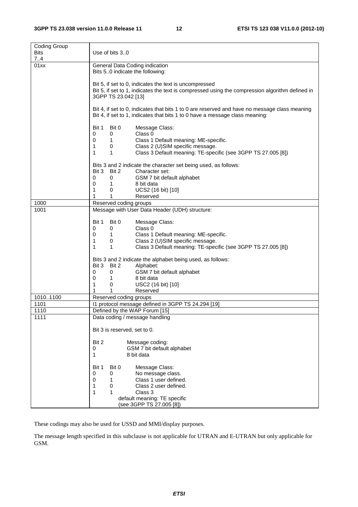| Coding Group<br><b>Bits</b><br>7.4 | Use of bits 30                                                                                                                                                                                                                                                                                             |  |  |  |  |  |  |  |  |
|------------------------------------|------------------------------------------------------------------------------------------------------------------------------------------------------------------------------------------------------------------------------------------------------------------------------------------------------------|--|--|--|--|--|--|--|--|
| 01xx                               | General Data Coding indication<br>Bits 50 indicate the following:                                                                                                                                                                                                                                          |  |  |  |  |  |  |  |  |
|                                    | Bit 5, if set to 0, indicates the text is uncompressed<br>Bit 5, if set to 1, indicates the text is compressed using the compression algorithm defined in<br>3GPP TS 23.042 [13]                                                                                                                           |  |  |  |  |  |  |  |  |
|                                    | Bit 4, if set to 0, indicates that bits 1 to 0 are reserved and have no message class meaning<br>Bit 4, if set to 1, indicates that bits 1 to 0 have a message class meaning:                                                                                                                              |  |  |  |  |  |  |  |  |
|                                    | Bit 1<br>Bit 0<br>Message Class:<br>Class 0<br>0<br>0<br>1.<br>Class 1 Default meaning: ME-specific.<br>0<br>Class 2 (U)SIM specific message.<br>1<br>0<br>$\mathbf{1}$<br>Class 3 Default meaning: TE-specific (see 3GPP TS 27.005 [8])<br>1                                                              |  |  |  |  |  |  |  |  |
|                                    | Bits 3 and 2 indicate the character set being used, as follows:<br>Bit 2<br>Bit 3<br>Character set:                                                                                                                                                                                                        |  |  |  |  |  |  |  |  |
|                                    | 0<br>GSM 7 bit default alphabet<br>0<br>8 bit data<br>0<br>1<br>0<br>UCS2 (16 bit) [10]<br>1                                                                                                                                                                                                               |  |  |  |  |  |  |  |  |
|                                    | 1<br>1<br>Reserved                                                                                                                                                                                                                                                                                         |  |  |  |  |  |  |  |  |
| 1000<br>1001                       | Reserved coding groups<br>Message with User Data Header (UDH) structure:                                                                                                                                                                                                                                   |  |  |  |  |  |  |  |  |
|                                    | Bit 1<br>Bit 0<br>Message Class:<br>Class 0<br>0<br>0<br>$\mathbf{1}$<br>Class 1 Default meaning: ME-specific.<br>0<br>Class 2 (U)SIM specific message.<br>0<br>1<br>1<br>Class 3 Default meaning: TE-specific (see 3GPP TS 27.005 [8])<br>1<br>Bits 3 and 2 indicate the alphabet being used, as follows: |  |  |  |  |  |  |  |  |
|                                    | Bit 3<br>Bit 2<br>Alphabet:<br>GSM 7 bit default alphabet<br>0<br>0<br>8 bit data<br>0<br>1                                                                                                                                                                                                                |  |  |  |  |  |  |  |  |
|                                    | 1<br>USC2 (16 bit) [10]<br>0                                                                                                                                                                                                                                                                               |  |  |  |  |  |  |  |  |
|                                    | 1<br>1<br>Reserved                                                                                                                                                                                                                                                                                         |  |  |  |  |  |  |  |  |
| 10101100<br>1101                   | Reserved coding groups<br>11 protocol message defined in 3GPP TS 24.294 [19]                                                                                                                                                                                                                               |  |  |  |  |  |  |  |  |
| 1110                               | Defined by the WAP Forum [15]                                                                                                                                                                                                                                                                              |  |  |  |  |  |  |  |  |
| 1111                               | Data coding / message handling                                                                                                                                                                                                                                                                             |  |  |  |  |  |  |  |  |
|                                    | Bit 3 is reserved, set to 0.                                                                                                                                                                                                                                                                               |  |  |  |  |  |  |  |  |
|                                    | Bit 2<br>Message coding:<br>GSM 7 bit default alphabet<br>0<br>1<br>8 bit data                                                                                                                                                                                                                             |  |  |  |  |  |  |  |  |
|                                    | Bit 1<br>Bit 0<br>Message Class:<br>0<br>No message class.<br>0<br>Class 1 user defined.<br>0<br>1<br>1<br>0<br>Class 2 user defined.<br>1<br>1<br>Class 3<br>default meaning: TE specific<br>(see 3GPP TS 27.005 [8])                                                                                     |  |  |  |  |  |  |  |  |

These codings may also be used for USSD and MMI/display purposes.

The message length specified in this subclause is not applicable for UTRAN and E-UTRAN but only applicable for GSM.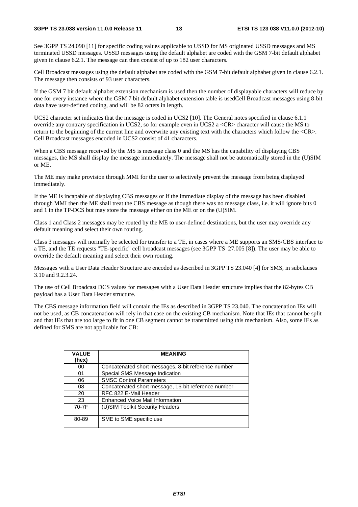See 3GPP TS 24.090 [11] for specific coding values applicable to USSD for MS originated USSD messages and MS terminated USSD messages. USSD messages using the default alphabet are coded with the GSM 7-bit default alphabet given in clause 6.2.1. The message can then consist of up to 182 user characters.

Cell Broadcast messages using the default alphabet are coded with the GSM 7-bit default alphabet given in clause 6.2.1. The message then consists of 93 user characters.

If the GSM 7 bit default alphabet extension mechanism is used then the number of displayable characters will reduce by one for every instance where the GSM 7 bit default alphabet extension table is usedCell Broadcast messages using 8-bit data have user-defined coding, and will be 82 octets in length.

UCS2 character set indicates that the message is coded in UCS2 [10]. The General notes specified in clause 6.1.1 override any contrary specification in UCS2, so for example even in UCS2 a <CR> character will cause the MS to return to the beginning of the current line and overwrite any existing text with the characters which follow the <CR>. Cell Broadcast messages encoded in UCS2 consist of 41 characters.

When a CBS message received by the MS is message class 0 and the MS has the capability of displaying CBS messages, the MS shall display the message immediately. The message shall not be automatically stored in the (U)SIM or ME.

The ME may make provision through MMI for the user to selectively prevent the message from being displayed immediately.

If the ME is incapable of displaying CBS messages or if the immediate display of the message has been disabled through MMI then the ME shall treat the CBS message as though there was no message class, i.e. it will ignore bits 0 and 1 in the TP-DCS but may store the message either on the ME or on the (U)SIM.

Class 1 and Class 2 messages may be routed by the ME to user-defined destinations, but the user may override any default meaning and select their own routing.

Class 3 messages will normally be selected for transfer to a TE, in cases where a ME supports an SMS/CBS interface to a TE, and the TE requests "TE-specific" cell broadcast messages (see 3GPP TS 27.005 [8]). The user may be able to override the default meaning and select their own routing.

Messages with a User Data Header Structure are encoded as described in 3GPP TS 23.040 [4] for SMS, in subclauses 3.10 and 9.2.3.24.

The use of Cell Broadcast DCS values for messages with a User Data Header structure implies that the 82-bytes CB payload has a User Data Header structure.

The CBS message information field will contain the IEs as described in 3GPP TS 23.040. The concatenation IEs will not be used, as CB concatenation will rely in that case on the existing CB mechanism. Note that IEs that cannot be split and that IEs that are too large to fit in one CB segment cannot be transmitted using this mechanism. Also, some IEs as defined for SMS are not applicable for CB:

| <b>VALUE</b><br>(hex) | <b>MEANING</b>                                      |
|-----------------------|-----------------------------------------------------|
| 00                    | Concatenated short messages, 8-bit reference number |
| 01                    | Special SMS Message Indication                      |
| 06                    | <b>SMSC Control Parameters</b>                      |
| 08                    | Concatenated short message, 16-bit reference number |
| 20                    | RFC 822 E-Mail Header                               |
| 23                    | Enhanced Voice Mail Information                     |
| 70-7F                 | (U) SIM Toolkit Security Headers                    |
| 80-89                 | SME to SME specific use                             |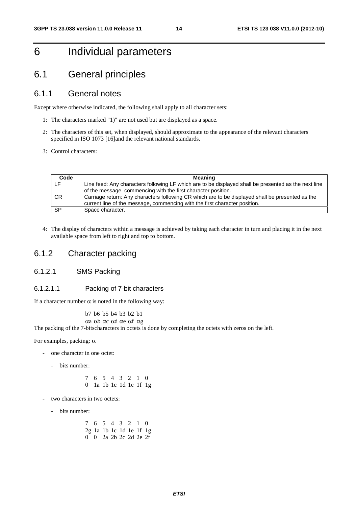# 6 Individual parameters

### 6.1 General principles

### 6.1.1 General notes

Except where otherwise indicated, the following shall apply to all character sets:

- 1: The characters marked "1)" are not used but are displayed as a space.
- 2: The characters of this set, when displayed, should approximate to the appearance of the relevant characters specified in ISO 1073 [16]and the relevant national standards.
- 3: Control characters:

| Code      | Meaning                                                                                              |
|-----------|------------------------------------------------------------------------------------------------------|
|           | Line feed: Any characters following LF which are to be displayed shall be presented as the next line |
|           | of the message, commencing with the first character position.                                        |
| <b>CR</b> | Carriage return: Any characters following CR which are to be displayed shall be presented as the     |
|           | current line of the message, commencing with the first character position.                           |
| <b>SP</b> | Space character.                                                                                     |

4: The display of characters within a message is achieved by taking each character in turn and placing it in the next available space from left to right and top to bottom.

### 6.1.2 Character packing

### 6.1.2.1 SMS Packing

### 6.1.2.1.1 Packing of 7-bit characters

If a character number  $\alpha$  is noted in the following way:

b7 b6 b5 b4 b3 b2 b1

αa αb αc αd αe αf αg

The packing of the 7-bitscharacters in octets is done by completing the octets with zeros on the left.

For examples, packing: α

- one character in one octet:
	- bits number:
		- 7 6 5 4 3 2 1 0 0 1a 1b 1c 1d 1e 1f 1g
- two characters in two octets:
	- bits number:

 7 6 5 4 3 2 1 0 2g 1a 1b 1c 1d 1e 1f 1g 0 0 2a 2b 2c 2d 2e 2f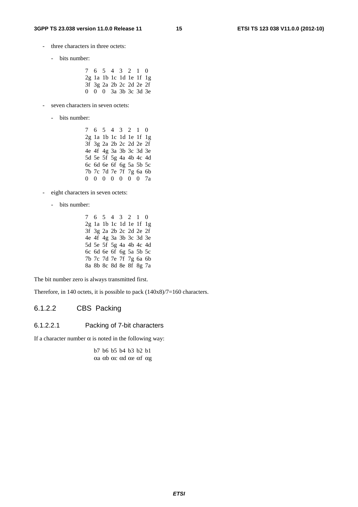- three characters in three octets:
	- bits number:
		- 7 6 5 4 3 2 1 0 2g 1a 1b 1c 1d 1e 1f 1g 3f 3g 2a 2b 2c 2d 2e 2f 0 0 0 3a 3b 3c 3d 3e
- seven characters in seven octets:
	- bits number:
		- 7 6 5 4 3 2 1 0 2g 1a 1b 1c 1d 1e 1f 1g 3f 3g 2a 2b 2c 2d 2e 2f 4e 4f 4g 3a 3b 3c 3d 3e 5d 5e 5f 5g 4a 4b 4c 4d 6c 6d 6e 6f 6g 5a 5b 5c 7b 7c 7d 7e 7f 7g 6a 6b 0 0 0 0 0 0 0 7a
- eight characters in seven octets:
	- bits number:
		- 7 6 5 4 3 2 1 0 2g 1a 1b 1c 1d 1e 1f 1g 3f 3g 2a 2b 2c 2d 2e 2f 4e 4f 4g 3a 3b 3c 3d 3e 5d 5e 5f 5g 4a 4b 4c 4d 6c 6d 6e 6f 6g 5a 5b 5c 7b 7c 7d 7e 7f 7g 6a 6b 8a 8b 8c 8d 8e 8f 8g 7a

The bit number zero is always transmitted first.

Therefore, in 140 octets, it is possible to pack  $(140x8)/7=160$  characters.

### 6.1.2.2 CBS Packing

### 6.1.2.2.1 Packing of 7-bit characters

If a character number  $\alpha$  is noted in the following way:

 b7 b6 b5 b4 b3 b2 b1 αa αb αc αd αe αf αg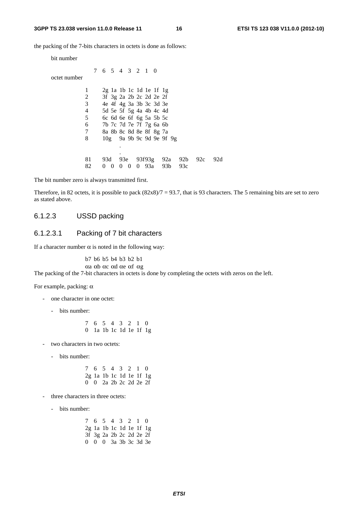#### **3GPP TS 23.038 version 11.0.0 Release 11 16 ETSI TS 123 038 V11.0.0 (2012-10)**

the packing of the 7-bits characters in octets is done as follows:

| bit number   |                 |          |                                 |          |          |     |                          |     |     |     |
|--------------|-----------------|----------|---------------------------------|----------|----------|-----|--------------------------|-----|-----|-----|
|              | 7 6 5 4 3 2 1 0 |          |                                 |          |          |     |                          |     |     |     |
| octet number |                 |          |                                 |          |          |     |                          |     |     |     |
| 1            |                 |          | $2g$ la $1b$ 1c $1d$ 1e $1f$ 1g |          |          |     |                          |     |     |     |
| 2            |                 |          | 3f 3g 2a 2b 2c 2d 2e 2f         |          |          |     |                          |     |     |     |
| 3            |                 |          | 4e 4f 4g 3a 3b 3c 3d 3e         |          |          |     |                          |     |     |     |
| 4            |                 |          | 5d 5e 5f 5g 4a 4b 4c 4d         |          |          |     |                          |     |     |     |
| 5            |                 |          | $6c$ 6d 6e 6f 6g 5a 5b 5c       |          |          |     |                          |     |     |     |
| 6            |                 |          | 7b 7c 7d 7e 7f 7g 6a 6b         |          |          |     |                          |     |     |     |
| 7            |                 |          | 8a 8b 8c 8d 8e 8f 8g 7a         |          |          |     |                          |     |     |     |
| 8            |                 |          |                                 |          |          |     | 10g 9a 9b 9c 9d 9e 9f 9g |     |     |     |
|              |                 |          |                                 |          |          |     |                          |     |     |     |
|              |                 |          |                                 |          |          |     |                          |     |     |     |
| 81           | 93d             |          | 93e                             |          |          |     | 93f93g 92a               | 92b | 92c | 92d |
| 82           | $^{(1)}$        | $\Omega$ |                                 | $\Omega$ | $\Omega$ | 93a | 93 <sub>b</sub>          | 93c |     |     |

The bit number zero is always transmitted first.

Therefore, in 82 octets, it is possible to pack  $(82x8)/7 = 93.7$ , that is 93 characters. The 5 remaining bits are set to zero as stated above.

### 6.1.2.3 USSD packing

### 6.1.2.3.1 Packing of 7 bit characters

If a character number  $\alpha$  is noted in the following way:

b7 b6 b5 b4 b3 b2 b1

αa αb αc αd αe αf αg The packing of the 7-bit characters in octets is done by completing the octets with zeros on the left.

For example, packing:  $\alpha$ 

- one character in one octet:
	- bits number:
		- 7 6 5 4 3 2 1 0 0 1a 1b 1c 1d 1e 1f 1g
- two characters in two octets:
	- bits number:

 7 6 5 4 3 2 1 0 2g 1a 1b 1c 1d 1e 1f 1g 0 0 2a 2b 2c 2d 2e 2f

- three characters in three octets:
	- bits number:

 7 6 5 4 3 2 1 0 2g 1a 1b 1c 1d 1e 1f 1g 3f 3g 2a 2b 2c 2d 2e 2f 0 0 0 3a 3b 3c 3d 3e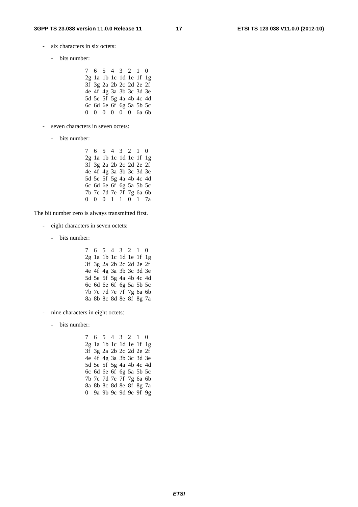- six characters in six octets:
	- bits number:

 7 6 5 4 3 2 1 0 2g 1a 1b 1c 1d 1e 1f 1g 3f 3g 2a 2b 2c 2d 2e 2f 4e 4f 4g 3a 3b 3c 3d 3e 5d 5e 5f 5g 4a 4b 4c 4d 6c 6d 6e 6f 6g 5a 5b 5c 0 0 0 0 0 0 6a 6b

- seven characters in seven octets:
	- bits number:

```
 7 6 5 4 3 2 1 0 
           2g 1a 1b 1c 1d 1e 1f 1g 
           3f 3g 2a 2b 2c 2d 2e 2f 
4e 4f 4g 3a 3b 3c 3d 3e 
5d 5e 5f 5g 4a 4b 4c 4d 
           6c 6d 6e 6f 6g 5a 5b 5c 
7b 7c 7d 7e 7f 7g 6a 6b 
0 0 0 1 1 0 1 7a
```
The bit number zero is always transmitted first.

- eight characters in seven octets:
	- bits number:

 7 6 5 4 3 2 1 0 2g 1a 1b 1c 1d 1e 1f 1g 3f 3g 2a 2b 2c 2d 2e 2f 4e 4f 4g 3a 3b 3c 3d 3e 5d 5e 5f 5g 4a 4b 4c 4d 6c 6d 6e 6f 6g 5a 5b 5c 7b 7c 7d 7e 7f 7g 6a 6b 8a 8b 8c 8d 8e 8f 8g 7a

- nine characters in eight octets:
	- bits number:

 7 6 5 4 3 2 1 0 2g 1a 1b 1c 1d 1e 1f 1g 3f 3g 2a 2b 2c 2d 2e 2f 4e 4f 4g 3a 3b 3c 3d 3e 5d 5e 5f 5g 4a 4b 4c 4d 6c 6d 6e 6f 6g 5a 5b 5c 7b 7c 7d 7e 7f 7g 6a 6b 8a 8b 8c 8d 8e 8f 8g 7a 0 9a 9b 9c 9d 9e 9f 9g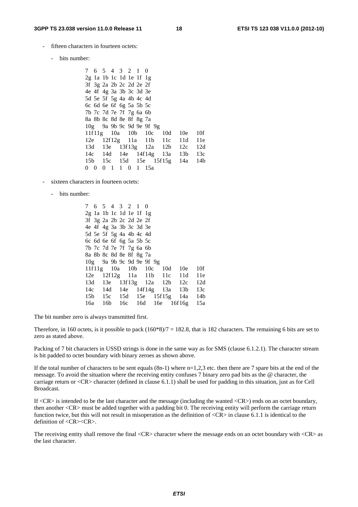- fifteen characters in fourteen octets:
	- bits number:
		- 7 6 5 4 3 2 1 0 2g 1a 1b 1c 1d 1e 1f 1g 3f 3g 2a 2b 2c 2d 2e 2f 4e 4f 4g 3a 3b 3c 3d 3e 5d 5e 5f 5g 4a 4b 4c 4d 6c 6d 6e 6f 6g 5a 5b 5c 7b 7c 7d 7e 7f 7g 6a 6b 8a 8b 8c 8d 8e 8f 8g 7a 10g 9a 9b 9c 9d 9e 9f 9g 11f 11g 10a 10b 10c 10d 10e 10f 12e 12f 12g 11a 11b 11c 11d 11e 13d 13e 13f 13g 12a 12b 12c 12d 14c 14d 14e 14f 14g 13a 13b 13c 15b 15c 15d 15e 15f 15g 14a 14b 0 0 0 1 1 0 1 15a
- sixteen characters in fourteen octets:
	- bits number:
- 7 6 5 4 3 2 1 0 2g 1a 1b 1c 1d 1e 1f 1g 3f 3g 2a 2b 2c 2d 2e 2f 4e 4f 4g 3a 3b 3c 3d 3e 5d 5e 5f 5g 4a 4b 4c 4d 6c 6d 6e 6f 6g 5a 5b 5c 7b 7c 7d 7e 7f 7g 6a 6b 8a 8b 8c 8d 8e 8f 8g 7a 10g 9a 9b 9c 9d 9e 9f 9g 11f 11g 10a 10b 10c 10d 10e 10f 12e 12f 12g 11a 11b 11c 11d 11e 13d 13e 13f 13g 12a 12b 12c 12d 14c 14d 14e 14f 14g 13a 13b 13c 15b 15c 15d 15e 15f 15g 14a 14b 16a 16b 16c 16d 16e 16f 16g 15a

The bit number zero is always transmitted first.

Therefore, in 160 octets, is it possible to pack  $(160*8)/7 = 182.8$ , that is 182 characters. The remaining 6 bits are set to zero as stated above.

Packing of 7 bit characters in USSD strings is done in the same way as for SMS (clause 6.1.2.1). The character stream is bit padded to octet boundary with binary zeroes as shown above.

If the total number of characters to be sent equals  $(8n-1)$  where  $n=1,2,3$  etc. then there are 7 spare bits at the end of the message. To avoid the situation where the receiving entity confuses 7 binary zero pad bits as the @ character, the carriage return or <CR> character (defined in clause 6.1.1) shall be used for padding in this situation, just as for Cell Broadcast.

If <CR> is intended to be the last character and the message (including the wanted <CR>) ends on an octet boundary, then another <CR> must be added together with a padding bit 0. The receiving entity will perform the carriage return function twice, but this will not result in misoperation as the definition of  $\langle CR \rangle$  in clause 6.1.1 is identical to the definition of <CR><CR>.

The receiving entity shall remove the final <CR> character where the message ends on an octet boundary with <CR> as the last character.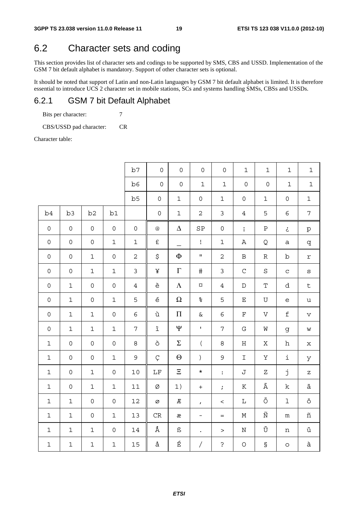### 6.2 Character sets and coding

This section provides list of character sets and codings to be supported by SMS, CBS and USSD. Implementation of the GSM 7 bit default alphabet is mandatory. Support of other character sets is optional.

It should be noted that support of Latin and non-Latin languages by GSM 7 bit default alphabet is limited. It is therefore essential to introduce UCS 2 character set in mobile stations, SCs and systems handling SMSs, CBSs and USSDs.

### 6.2.1 GSM 7 bit Default Alphabet

Bits per character:  $7$ 

CBS/USSD pad character: CR

Character table:

|                     |                     |                     |                     | b7             | $\mathsf{O}\xspace$ | $\mathsf{O}\xspace$ | $\mathsf{O}\xspace$                                                                        | $\mathsf{O}\xspace$ | $\mathbf 1$         | $\mathbf 1$            | $\mathbf 1$         | $\mathbf 1$     |
|---------------------|---------------------|---------------------|---------------------|----------------|---------------------|---------------------|--------------------------------------------------------------------------------------------|---------------------|---------------------|------------------------|---------------------|-----------------|
|                     |                     |                     |                     | b6             | $\mathsf{O}\xspace$ | $\mathsf{O}\xspace$ | $1\,$                                                                                      | $\mathbf 1$         | $\mathsf{O}\xspace$ | $\mathsf{O}\xspace$    | $\mathbf 1$         | $\mathbf 1$     |
|                     |                     |                     |                     | b5             | $\mathsf{O}\xspace$ | $\mathbf 1$         | $\mathsf{O}\xspace$                                                                        | $\mathbf 1$         | $\mathsf{O}$        | $1\,$                  | $\mathsf{O}\xspace$ | $\mathbf 1$     |
| b4                  | b <sub>3</sub>      | b2                  | $\mathtt{b1}$       |                | $\mathsf{O}\xspace$ | $\mathbf 1$         | $\overline{2}$                                                                             | $\mathsf{3}$        | $\sqrt{4}$          | 5                      | $\epsilon$          | $\overline{7}$  |
| $\mathsf{O}\xspace$ | $\mathsf{O}\xspace$ | $\mathsf{O}\xspace$ | $\mathsf{O}\xspace$ | $\mathsf{O}$   | $@$                 | $\Delta$            | ${\cal SP}$                                                                                | $\mathsf{O}\xspace$ | $\mathbf{i}$        | ${\bf P}$              | خ                   | $\rm \dot{p}$   |
| $\mathsf{O}\xspace$ | $\mathsf{O}\xspace$ | $\mathsf{O}\xspace$ | $\mathbf 1$         | $\mathbf 1$    | £                   |                     | $\mathbf{I}% _{0}\left  \mathbf{I}_{1}\right  =\mathbf{I}_{1}\left  \mathbf{I}_{1}\right $ | $\mathbf 1$         | Α                   | Q                      | $\mathsf a$         | q               |
| $\mathsf{O}$        | $\mathsf{O}\xspace$ | $\mathbf 1$         | $\mathsf{O}\xspace$ | $\overline{c}$ | \$                  | Ф                   | $\mathbf{H}$                                                                               | $\sqrt{2}$          | $\, {\bf B}$        | ${\mathbb R}$          | $\rm b$             | $\Upsilon$      |
| $\mathsf{O}\xspace$ | $\mathsf{O}\xspace$ | $\mathbf 1$         | $\mathbf 1$         | $\mathsf{3}$   | ¥                   | $\Gamma$            | $\#$                                                                                       | $\mathfrak{Z}$      | $\mathsf C$         | $\rm S$                | $\mathbf C$         | $\rm s$         |
| $\mathsf{O}$        | $\mathbf 1$         | $\mathsf{O}$        | $\mathsf{O}\xspace$ | $\overline{4}$ | è                   | $\Lambda$           | $\varnothing$                                                                              | $\sqrt{4}$          | $\mathbb D$         | $\mathbf T$            | d                   | $\sf t$         |
| $\mathsf{O}\xspace$ | $\mathbf 1$         | $\mathsf{O}\xspace$ | $\mathbf 1$         | 5              | $\acute{\text e}$   | $\Omega$            | $\,{}^{\circ}\!$                                                                           | 5                   | $\mathbf E$         | $\mathbf U$            | $\epsilon$          | $\mathtt{u}$    |
| $\mathsf{O}$        | $\mathbf 1$         | $\mathbf 1$         | $\mathsf{O}\xspace$ | 6              | ù                   | $\boldsymbol{\Pi}$  | $\&$                                                                                       | $\epsilon$          | $\mathbf F$         | $\boldsymbol{\nabla}$  | $\mathbf f$         | $\mathbf{V}$    |
| $\mathsf{O}$        | $\mathbf 1$         | $\mathbf 1$         | $\mathbf 1$         | $\overline{7}$ | $\hat{\mathbb{1}}$  | Ψ                   | $\bar{\mathbf{I}}$                                                                         | $\overline{7}$      | ${\bf G}$           | W                      | g                   | W               |
| $\mathbf 1$         | $\mathsf{O}\xspace$ | $\mathsf{O}\xspace$ | $\mathsf{O}\xspace$ | 8              | ò                   | $\Sigma$            | $\overline{(\ }$                                                                           | $\,8\,$             | $\mathbf H$         | Χ                      | $\,h$               | $\mathbf x$     |
| $\mathbf 1$         | $\mathsf{O}\xspace$ | $\mathsf{O}$        | $\mathbf 1$         | $\mathsf 9$    | Ç                   | $\Theta$            | $\left( \right)$                                                                           | $\mathsf{S}$        | $\mathbf I$         | $\rm Y$                | $\mathtt{i}$        | $\,$ Y          |
| $\mathbf 1$         | $\mathsf{O}\xspace$ | $\mathbf 1$         | $\mathsf{O}\xspace$ | $10$           | $\rm LF$            | $\Xi$               | $\star$                                                                                    | $\ddot{\cdot}$      | J                   | $\rm{Z}$               | j                   | $\rm{Z}$        |
| $\mathbf 1$         | $\mathsf{O}\xspace$ | $\mathbf 1$         | $\mathbf 1$         | $11\,$         | Ø                   | 1)                  | $\boldsymbol{+}$                                                                           | $\ddot{i}$          | ${\bf K}$           | Ä                      | $\rm k$             | $\ddot{a}$      |
| $\mathbf 1$         | $\mathbf 1$         | $\mathsf{O}\xspace$ | $\mathsf{O}\xspace$ | 12             | $\varnothing$       | $I\!\!E$            | $\mathbf{r}$                                                                               | $\,<$               | $\mathbf L$         | Ö                      | $\mathbf 1$         | $\ddot{\circ}$  |
| $\mathbf 1$         | $\mathbf 1$         | $\mathsf{O}$        | $\mathbf 1$         | 13             | $\rm CR$            | æ                   | $\equiv$                                                                                   | $=$                 | $\mathbb M$         | $\widetilde{\text{N}}$ | ${\mathfrak m}$     | $\tilde{\rm n}$ |
| $\mathbf 1$         | $\mathbf 1$         | $\mathbf 1$         | $\mathsf{O}\xspace$ | 14             | Å                   | ß                   | $\ddot{\phantom{0}}$                                                                       | $\geq$              | $\mathbf N$         | Ü                      | $\,$ n              | ü               |
| $\mathbf 1$         | $\mathbf 1$         | $\mathbf 1$         | $\mathbf 1$         | 15             | å                   | É                   | $\overline{1}$                                                                             | $\mathbf{S}$        | $\bigcirc$          | $\mathbb S$            | $\circ$             | à               |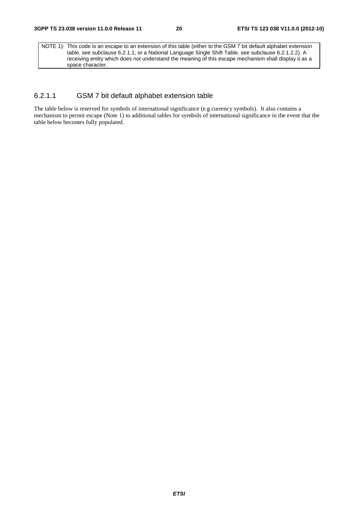NOTE 1): This code is an escape to an extension of this table (either to the GSM 7 bit default alphabet extension table, see subclause 6.2.1.1, or a National Language Single Shift Table, see subclause 6.2.1.2.2). A receiving entity which does not understand the meaning of this escape mechanism shall display it as a space character.

### 6.2.1.1 GSM 7 bit default alphabet extension table

The table below is reserved for symbols of international significance (e.g currency symbols). It also contains a mechanism to permit escape (Note 1) to additional tables for symbols of international significance in the event that the table below becomes fully populated.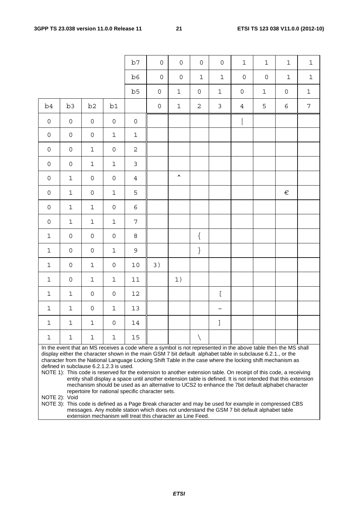|                     |                                                                                                                                                                                                                               |                     |                     | b7             | $\mathsf{O}\xspace$ | $\mathsf{O}\xspace$ | $\mathsf{O}\xspace$ | $\mathsf{O}\xspace$ | $\mathbf 1$         | $\mathbf 1$         | $\mathbf 1$         | $\mathbf 1$    |
|---------------------|-------------------------------------------------------------------------------------------------------------------------------------------------------------------------------------------------------------------------------|---------------------|---------------------|----------------|---------------------|---------------------|---------------------|---------------------|---------------------|---------------------|---------------------|----------------|
|                     |                                                                                                                                                                                                                               |                     |                     | b6             | $\mathsf{O}\xspace$ | $\mathsf{O}\xspace$ | $\mathbf{1}$        | $\mathbf 1$         | $\mathsf{O}\xspace$ | $\mathsf{O}\xspace$ | $\mathbf 1$         | $\mathbf 1$    |
|                     |                                                                                                                                                                                                                               |                     |                     | b5             | $\mathsf{O}\xspace$ | $1\,$               | $\mathsf{O}\xspace$ | $\mathbf 1$         | $\mathsf{O}\xspace$ | $\mathbf 1$         | $\mathsf{O}\xspace$ | $\mathbf 1$    |
| b4                  | b <sub>3</sub>                                                                                                                                                                                                                | b <sub>2</sub>      | b1                  |                | $\mathsf{O}$        | $\mathbf 1$         | $\sqrt{2}$          | $\mathfrak{Z}$      | $\overline{4}$      | 5                   | $\epsilon$          | $\overline{7}$ |
| $\mathsf{O}\xspace$ | $\mathsf{O}\xspace$                                                                                                                                                                                                           | $\mathsf{O}\xspace$ | $\mathsf{O}\xspace$ | $\mathsf O$    |                     |                     |                     |                     |                     |                     |                     |                |
| $\mathsf{O}\xspace$ | $\mathsf{O}\xspace$                                                                                                                                                                                                           | $\mathsf{O}\xspace$ | $\mathbf 1$         | $\mathbf 1$    |                     |                     |                     |                     |                     |                     |                     |                |
| $\mathsf{O}\xspace$ | $\mathsf{O}\xspace$                                                                                                                                                                                                           | $\mathbf 1$         | $\mathsf{O}\xspace$ | $\overline{2}$ |                     |                     |                     |                     |                     |                     |                     |                |
| $\mathsf{O}\xspace$ | $\mathsf{O}\xspace$                                                                                                                                                                                                           | $\mathbf 1$         | $\mathbf 1$         | $\mathfrak{Z}$ |                     |                     |                     |                     |                     |                     |                     |                |
| $\mathsf{O}\xspace$ | $\mathbf 1$                                                                                                                                                                                                                   | $\mathsf{O}\xspace$ | $\mathsf{O}\xspace$ | $\overline{4}$ |                     | $\blacktriangle$    |                     |                     |                     |                     |                     |                |
| $\mathsf{O}\xspace$ | $\mathbf 1$                                                                                                                                                                                                                   | $\mathsf{O}\xspace$ | $\mathbf 1$         | 5              |                     |                     |                     |                     |                     |                     | $\in$               |                |
| $\mathsf{O}\xspace$ | $\mathbf 1$                                                                                                                                                                                                                   | $\mathbf 1$         | $\mathsf{O}\xspace$ | $\epsilon$     |                     |                     |                     |                     |                     |                     |                     |                |
| $\mathsf{O}\xspace$ | $\mathbf 1$                                                                                                                                                                                                                   | $\mathbf 1$         | $\mathbf 1$         | 7              |                     |                     |                     |                     |                     |                     |                     |                |
| $\mathbf 1$         | $\mathsf{O}\xspace$                                                                                                                                                                                                           | $\mathsf{O}\xspace$ | $\mathsf{O}\xspace$ | $\,8\,$        |                     |                     | $\{$                |                     |                     |                     |                     |                |
| $\mathbf 1$         | $\mathsf{O}\xspace$                                                                                                                                                                                                           | $\mathsf{O}\xspace$ | $\mathbf 1$         | 9              |                     |                     | $\}$                |                     |                     |                     |                     |                |
| $\mathbf 1$         | $\mathsf{O}\xspace$                                                                                                                                                                                                           | $\mathbf 1$         | $\mathsf{O}\xspace$ | $10$           | 3)                  |                     |                     |                     |                     |                     |                     |                |
| $\mathbf 1$         | $\mathsf{O}\xspace$                                                                                                                                                                                                           | $\mathbf 1$         | $\mathbf 1$         | $1\,1$         |                     | 1)                  |                     |                     |                     |                     |                     |                |
| $\mathbf 1$         | $\mathbf 1$                                                                                                                                                                                                                   | $\mathsf{O}\xspace$ | $\mathsf{O}\xspace$ | $12\,$         |                     |                     |                     | $\Gamma$            |                     |                     |                     |                |
| $\mathbf{1}$        | $\mathbf 1$                                                                                                                                                                                                                   | $\mathsf{O}\xspace$ | $\mathbf 1$         | 13             |                     |                     |                     | $\tilde{}$          |                     |                     |                     |                |
| $\mathbf 1$         | $\mathbf 1$                                                                                                                                                                                                                   | $\mathbf 1$         | $\mathsf{O}\xspace$ | 14             |                     |                     |                     | J                   |                     |                     |                     |                |
| $\mathbf{1}$        | $\mathbf 1$                                                                                                                                                                                                                   | $\mathbf 1$         | $\mathbf 1$         | 15             |                     |                     | $\setminus$         |                     |                     |                     |                     |                |
|                     | In the event that an MS receives a code where a symbol is not represented in the above table then the MS shall<br>display either the character shown in the main GSM 7 bit default alphabet table in subclause 6.2.1., or the |                     |                     |                |                     |                     |                     |                     |                     |                     |                     |                |

character from the National Language Locking Shift Table in the case where the locking shift mechanism as defined in subclause 6.2.1.2.3 is used.

NOTE 1): This code is reserved for the extension to another extension table. On receipt of this code, a receiving entity shall display a space until another extension table is defined. It is not intended that this extension mechanism should be used as an alternative to UCS2 to enhance the 7bit default alphabet character repertoire for national specific character sets.

NOTE 2): Void

NOTE 3): This code is defined as a Page Break character and may be used for example in compressed CBS messages. Any mobile station which does not understand the GSM 7 bit default alphabet table extension mechanism will treat this character as Line Feed.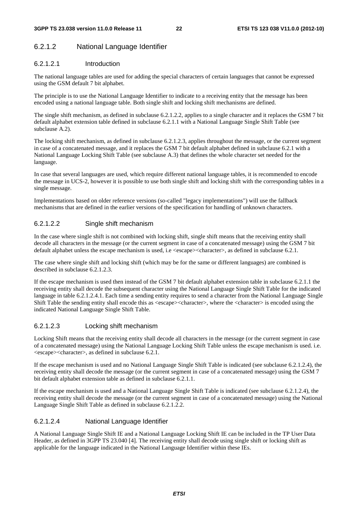### 6.2.1.2 National Language Identifier

### 6.2.1.2.1 Introduction

The national language tables are used for adding the special characters of certain languages that cannot be expressed using the GSM default 7 bit alphabet.

The principle is to use the National Language Identifier to indicate to a receiving entity that the message has been encoded using a national language table. Both single shift and locking shift mechanisms are defined.

The single shift mechanism, as defined in subclause 6.2.1.2.2, applies to a single character and it replaces the GSM 7 bit default alphabet extension table defined in subclause 6.2.1.1 with a National Language Single Shift Table (see subclause A.2).

The locking shift mechanism, as defined in subclause 6.2.1.2.3, applies throughout the message, or the current segment in case of a concatenated message, and it replaces the GSM 7 bit default alphabet defined in subclause 6.2.1 with a National Language Locking Shift Table (see subclause A.3) that defines the whole character set needed for the language.

In case that several languages are used, which require different national language tables, it is recommended to encode the message in UCS-2, however it is possible to use both single shift and locking shift with the corresponding tables in a single message.

Implementations based on older reference versions (so-called "legacy implementations") will use the fallback mechanisms that are defined in the earlier versions of the specification for handling of unknown characters.

### 6.2.1.2.2 Single shift mechanism

In the case where single shift is not combined with locking shift, single shift means that the receiving entity shall decode all characters in the message (or the current segment in case of a concatenated message) using the GSM 7 bit default alphabet unless the escape mechanism is used, i.e <escape><character>, as defined in subclause 6.2.1.

The case where single shift and locking shift (which may be for the same or different languages) are combined is described in subclause 6.2.1.2.3.

If the escape mechanism is used then instead of the GSM 7 bit default alphabet extension table in subclause 6.2.1.1 the receiving entity shall decode the subsequent character using the National Language Single Shift Table for the indicated language in table 6.2.1.2.4.1. Each time a sending entity requires to send a character from the National Language Single Shift Table the sending entity shall encode this as <escape><character>, where the <character> is encoded using the indicated National Language Single Shift Table.

#### 6.2.1.2.3 Locking shift mechanism

Locking Shift means that the receiving entity shall decode all characters in the message (or the current segment in case of a concatenated message) using the National Language Locking Shift Table unless the escape mechanism is used. i.e. <escape><character>, as defined in subclause 6.2.1.

If the escape mechanism is used and no National Language Single Shift Table is indicated (see subclause 6.2.1.2.4), the receiving entity shall decode the message (or the current segment in case of a concatenated message) using the GSM 7 bit default alphabet extension table as defined in subclause 6.2.1.1.

If the escape mechanism is used and a National Language Single Shift Table is indicated (see subclause 6.2.1.2.4), the receiving entity shall decode the message (or the current segment in case of a concatenated message) using the National Language Single Shift Table as defined in subclause 6.2.1.2.2.

### 6.2.1.2.4 National Language Identifier

A National Language Single Shift IE and a National Language Locking Shift IE can be included in the TP User Data Header, as defined in 3GPP TS 23.040 [4]. The receiving entity shall decode using single shift or locking shift as applicable for the language indicated in the National Language Identifier within these IEs.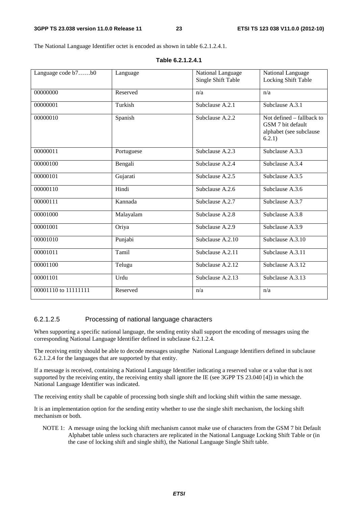The National Language Identifier octet is encoded as shown in table 6.2.1.2.4.1.

| Single Shift Table<br>Locking Shift Table<br>00000000<br>Reserved<br>n/a<br>n/a<br>Subclause A.3.1<br>00000001<br>Turkish<br>Subclause A.2.1<br>Spanish<br>00000010<br>Subclause A.2.2<br>Not defined – fallback to<br>GSM 7 bit default<br>alphabet (see subclause<br>6.2.1)<br>00000011<br>Subclause A.3.3<br>Subclause A.2.3<br>Portuguese<br>00000100<br>Bengali<br>Subclause A.2.4<br>Subclause A.3.4<br>00000101<br>Gujarati<br>Subclause A.3.5<br>Subclause A.2.5<br>00000110<br>Hindi<br>Subclause A.2.6<br>Subclause A.3.6<br>00000111<br>Kannada<br>Subclause A.2.7<br>Subclause A.3.7<br>00001000<br>Subclause A.3.8<br>Malayalam<br>Subclause A.2.8<br>Subclause A.3.9<br>00001001<br>Oriya<br>Subclause A.2.9<br>Punjabi<br>Subclause $A.\overline{2.10}$<br>Subclause A.3.10<br>00001010<br>00001011<br>Subclause A.2.11<br>Subclause A.3.11<br>Tamil<br>00001100<br>Subclause A.2.12<br>Subclause A.3.12<br>Telugu<br>00001101<br>Urdu<br>Subclause A.2.13<br>Subclause A.3.13<br>00001110 to 11111111<br>Reserved<br>n/a<br>n/a | Language code b7b0 |          |                   |                   |
|-------------------------------------------------------------------------------------------------------------------------------------------------------------------------------------------------------------------------------------------------------------------------------------------------------------------------------------------------------------------------------------------------------------------------------------------------------------------------------------------------------------------------------------------------------------------------------------------------------------------------------------------------------------------------------------------------------------------------------------------------------------------------------------------------------------------------------------------------------------------------------------------------------------------------------------------------------------------------------------------------------------------------------------------------|--------------------|----------|-------------------|-------------------|
|                                                                                                                                                                                                                                                                                                                                                                                                                                                                                                                                                                                                                                                                                                                                                                                                                                                                                                                                                                                                                                                 |                    | Language | National Language | National Language |
|                                                                                                                                                                                                                                                                                                                                                                                                                                                                                                                                                                                                                                                                                                                                                                                                                                                                                                                                                                                                                                                 |                    |          |                   |                   |
|                                                                                                                                                                                                                                                                                                                                                                                                                                                                                                                                                                                                                                                                                                                                                                                                                                                                                                                                                                                                                                                 |                    |          |                   |                   |
|                                                                                                                                                                                                                                                                                                                                                                                                                                                                                                                                                                                                                                                                                                                                                                                                                                                                                                                                                                                                                                                 |                    |          |                   |                   |
|                                                                                                                                                                                                                                                                                                                                                                                                                                                                                                                                                                                                                                                                                                                                                                                                                                                                                                                                                                                                                                                 |                    |          |                   |                   |
|                                                                                                                                                                                                                                                                                                                                                                                                                                                                                                                                                                                                                                                                                                                                                                                                                                                                                                                                                                                                                                                 |                    |          |                   |                   |
|                                                                                                                                                                                                                                                                                                                                                                                                                                                                                                                                                                                                                                                                                                                                                                                                                                                                                                                                                                                                                                                 |                    |          |                   |                   |
|                                                                                                                                                                                                                                                                                                                                                                                                                                                                                                                                                                                                                                                                                                                                                                                                                                                                                                                                                                                                                                                 |                    |          |                   |                   |
|                                                                                                                                                                                                                                                                                                                                                                                                                                                                                                                                                                                                                                                                                                                                                                                                                                                                                                                                                                                                                                                 |                    |          |                   |                   |
|                                                                                                                                                                                                                                                                                                                                                                                                                                                                                                                                                                                                                                                                                                                                                                                                                                                                                                                                                                                                                                                 |                    |          |                   |                   |
|                                                                                                                                                                                                                                                                                                                                                                                                                                                                                                                                                                                                                                                                                                                                                                                                                                                                                                                                                                                                                                                 |                    |          |                   |                   |
|                                                                                                                                                                                                                                                                                                                                                                                                                                                                                                                                                                                                                                                                                                                                                                                                                                                                                                                                                                                                                                                 |                    |          |                   |                   |
|                                                                                                                                                                                                                                                                                                                                                                                                                                                                                                                                                                                                                                                                                                                                                                                                                                                                                                                                                                                                                                                 |                    |          |                   |                   |
|                                                                                                                                                                                                                                                                                                                                                                                                                                                                                                                                                                                                                                                                                                                                                                                                                                                                                                                                                                                                                                                 |                    |          |                   |                   |
|                                                                                                                                                                                                                                                                                                                                                                                                                                                                                                                                                                                                                                                                                                                                                                                                                                                                                                                                                                                                                                                 |                    |          |                   |                   |
|                                                                                                                                                                                                                                                                                                                                                                                                                                                                                                                                                                                                                                                                                                                                                                                                                                                                                                                                                                                                                                                 |                    |          |                   |                   |
|                                                                                                                                                                                                                                                                                                                                                                                                                                                                                                                                                                                                                                                                                                                                                                                                                                                                                                                                                                                                                                                 |                    |          |                   |                   |
|                                                                                                                                                                                                                                                                                                                                                                                                                                                                                                                                                                                                                                                                                                                                                                                                                                                                                                                                                                                                                                                 |                    |          |                   |                   |
|                                                                                                                                                                                                                                                                                                                                                                                                                                                                                                                                                                                                                                                                                                                                                                                                                                                                                                                                                                                                                                                 |                    |          |                   |                   |
|                                                                                                                                                                                                                                                                                                                                                                                                                                                                                                                                                                                                                                                                                                                                                                                                                                                                                                                                                                                                                                                 |                    |          |                   |                   |
|                                                                                                                                                                                                                                                                                                                                                                                                                                                                                                                                                                                                                                                                                                                                                                                                                                                                                                                                                                                                                                                 |                    |          |                   |                   |
|                                                                                                                                                                                                                                                                                                                                                                                                                                                                                                                                                                                                                                                                                                                                                                                                                                                                                                                                                                                                                                                 |                    |          |                   |                   |
|                                                                                                                                                                                                                                                                                                                                                                                                                                                                                                                                                                                                                                                                                                                                                                                                                                                                                                                                                                                                                                                 |                    |          |                   |                   |
|                                                                                                                                                                                                                                                                                                                                                                                                                                                                                                                                                                                                                                                                                                                                                                                                                                                                                                                                                                                                                                                 |                    |          |                   |                   |
|                                                                                                                                                                                                                                                                                                                                                                                                                                                                                                                                                                                                                                                                                                                                                                                                                                                                                                                                                                                                                                                 |                    |          |                   |                   |
|                                                                                                                                                                                                                                                                                                                                                                                                                                                                                                                                                                                                                                                                                                                                                                                                                                                                                                                                                                                                                                                 |                    |          |                   |                   |
|                                                                                                                                                                                                                                                                                                                                                                                                                                                                                                                                                                                                                                                                                                                                                                                                                                                                                                                                                                                                                                                 |                    |          |                   |                   |
|                                                                                                                                                                                                                                                                                                                                                                                                                                                                                                                                                                                                                                                                                                                                                                                                                                                                                                                                                                                                                                                 |                    |          |                   |                   |
|                                                                                                                                                                                                                                                                                                                                                                                                                                                                                                                                                                                                                                                                                                                                                                                                                                                                                                                                                                                                                                                 |                    |          |                   |                   |
|                                                                                                                                                                                                                                                                                                                                                                                                                                                                                                                                                                                                                                                                                                                                                                                                                                                                                                                                                                                                                                                 |                    |          |                   |                   |
|                                                                                                                                                                                                                                                                                                                                                                                                                                                                                                                                                                                                                                                                                                                                                                                                                                                                                                                                                                                                                                                 |                    |          |                   |                   |
|                                                                                                                                                                                                                                                                                                                                                                                                                                                                                                                                                                                                                                                                                                                                                                                                                                                                                                                                                                                                                                                 |                    |          |                   |                   |
|                                                                                                                                                                                                                                                                                                                                                                                                                                                                                                                                                                                                                                                                                                                                                                                                                                                                                                                                                                                                                                                 |                    |          |                   |                   |

#### **Table 6.2.1.2.4.1**

#### 6.2.1.2.5 Processing of national language characters

When supporting a specific national language, the sending entity shall support the encoding of messages using the corresponding National Language Identifier defined in subclause 6.2.1.2.4.

The receiving entity should be able to decode messages usingthe National Language Identifiers defined in subclause 6.2.1.2.4 for the languages that are supported by that entity.

If a message is received, containing a National Language Identifier indicating a reserved value or a value that is not supported by the receiving entity, the receiving entity shall ignore the IE (see 3GPP TS 23.040 [4]) in which the National Language Identifier was indicated.

The receiving entity shall be capable of processing both single shift and locking shift within the same message.

It is an implementation option for the sending entity whether to use the single shift mechanism, the locking shift mechanism or both.

NOTE 1: A message using the locking shift mechanism cannot make use of characters from the GSM 7 bit Default Alphabet table unless such characters are replicated in the National Language Locking Shift Table or (in the case of locking shift and single shift), the National Language Single Shift table.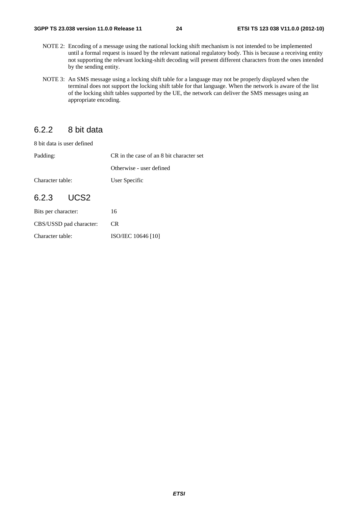- NOTE 2: Encoding of a message using the national locking shift mechanism is not intended to be implemented until a formal request is issued by the relevant national regulatory body. This is because a receiving entity not supporting the relevant locking-shift decoding will present different characters from the ones intended by the sending entity.
- NOTE 3: An SMS message using a locking shift table for a language may not be properly displayed when the terminal does not support the locking shift table for that language. When the network is aware of the list of the locking shift tables supported by the UE, the network can deliver the SMS messages using an appropriate encoding.

### 6.2.2 8 bit data

8 bit data is user defined

| Padding:                | CR in the case of an 8 bit character set |
|-------------------------|------------------------------------------|
|                         | Otherwise - user defined                 |
| Character table:        | User Specific                            |
| 6.2.3 UCS2              |                                          |
| Bits per character:     | 16                                       |
| CBS/USSD pad character: | CR.                                      |

Character table: ISO/IEC 10646 [10]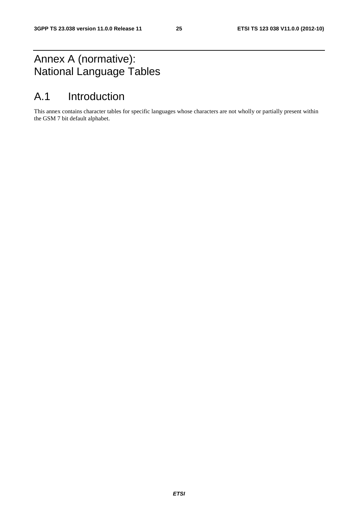# Annex A (normative): National Language Tables

# A.1 Introduction

This annex contains character tables for specific languages whose characters are not wholly or partially present within the GSM 7 bit default alphabet.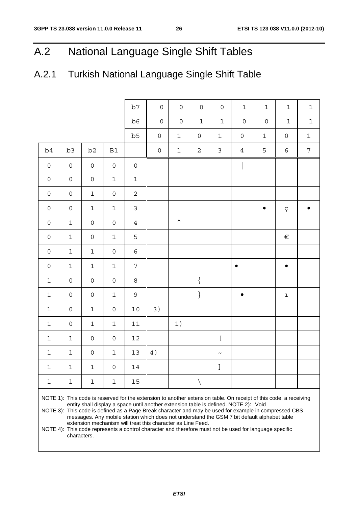# A.2 National Language Single Shift Tables

# A.2.1 Turkish National Language Single Shift Table

|                     |                                                                                                                                                                                                                                                                                                                                                                                                                   |                     |                     | b7                  | $\mathsf{O}\xspace$ | $\mathsf{O}$     | $\mathbf 0$  | $\mathsf{O}\xspace$ | $\mathbf{1}$        | $\mathbf 1$         | $\mathbf 1$         | $\mathbf 1$      |  |
|---------------------|-------------------------------------------------------------------------------------------------------------------------------------------------------------------------------------------------------------------------------------------------------------------------------------------------------------------------------------------------------------------------------------------------------------------|---------------------|---------------------|---------------------|---------------------|------------------|--------------|---------------------|---------------------|---------------------|---------------------|------------------|--|
|                     |                                                                                                                                                                                                                                                                                                                                                                                                                   |                     |                     | b6                  | $\mathsf{O}\xspace$ | $\mathsf O$      | $\mathbf 1$  | $\mathbf 1$         | $\mathsf{O}\xspace$ | $\mathsf{O}\xspace$ | $\mathbf 1$         | $\mathbf 1$      |  |
|                     |                                                                                                                                                                                                                                                                                                                                                                                                                   |                     |                     | b5                  | $\mathsf{O}$        | $\mathbf 1$      | $\mathsf{O}$ | 1                   | $\mathsf{O}\xspace$ | $\mathbf 1$         | $\mathsf{O}\xspace$ | $\mathbf 1$      |  |
| b <sub>4</sub>      | b3                                                                                                                                                                                                                                                                                                                                                                                                                | b <sub>2</sub>      | B1                  |                     | $\mathsf O$         | $\mathbf 1$      | $\sqrt{2}$   | $\mathsf 3$         | $\overline{4}$      | 5                   | $\epsilon$          | $\boldsymbol{7}$ |  |
|                     |                                                                                                                                                                                                                                                                                                                                                                                                                   |                     |                     |                     |                     |                  |              |                     |                     |                     |                     |                  |  |
| $\mathsf{O}\xspace$ | $\mathsf{O}\xspace$                                                                                                                                                                                                                                                                                                                                                                                               | $\mathsf{O}\xspace$ | $\mathsf{O}\xspace$ | $\mathsf{O}\xspace$ |                     |                  |              |                     |                     |                     |                     |                  |  |
| $\mathsf{O}$        | $\mathsf{O}\xspace$                                                                                                                                                                                                                                                                                                                                                                                               | $\mathsf{O}\xspace$ | $\mathbf 1$         | $\mathbf 1$         |                     |                  |              |                     |                     |                     |                     |                  |  |
| $\mathsf{O}\xspace$ | $\mathsf{O}\xspace$                                                                                                                                                                                                                                                                                                                                                                                               | $\mathbf 1$         | $\mathsf{O}\xspace$ | $\mathbf 2$         |                     |                  |              |                     |                     |                     |                     |                  |  |
| $\mathsf{O}\xspace$ | $\mathsf{O}\xspace$                                                                                                                                                                                                                                                                                                                                                                                               | $\mathbf 1$         | $\mathbf 1$         | $\mathfrak{Z}$      |                     |                  |              |                     |                     |                     | Ç                   |                  |  |
| $\mathsf{O}$        | $\mathbf 1$                                                                                                                                                                                                                                                                                                                                                                                                       | $\mathsf{O}\xspace$ | $\mathsf{O}\xspace$ | $\overline{4}$      |                     | $\blacktriangle$ |              |                     |                     |                     |                     |                  |  |
| $\mathsf{O}$        | $\mathbf 1$                                                                                                                                                                                                                                                                                                                                                                                                       | $\mathsf{O}\xspace$ | $\mathbf 1$         | 5                   |                     |                  |              |                     |                     |                     | $\in$               |                  |  |
| $\mathsf{O}$        | $\mathbf 1$                                                                                                                                                                                                                                                                                                                                                                                                       | $\mathbf 1$         | $\mathsf{O}\xspace$ | $\epsilon$          |                     |                  |              |                     |                     |                     |                     |                  |  |
| $\mathsf{O}$        | $1\,$                                                                                                                                                                                                                                                                                                                                                                                                             | $\mathbf 1$         | $\mathbf 1$         | $\overline{7}$      |                     |                  |              |                     | $\bullet$           |                     | $\bullet$           |                  |  |
| $\mathbf 1$         | $\mathsf{O}\xspace$                                                                                                                                                                                                                                                                                                                                                                                               | $\mathsf{O}\xspace$ | $\mathsf{O}\xspace$ | $\,8\,$             |                     |                  | $\{$         |                     |                     |                     |                     |                  |  |
| $\mathbf 1$         | $\mathsf{O}\xspace$                                                                                                                                                                                                                                                                                                                                                                                               | $\mathsf{O}\xspace$ | $\mathbf 1$         | 9                   |                     |                  | $\}$         |                     |                     |                     | $\mathbf 1$         |                  |  |
| $\mathbf 1$         | $\mathsf{O}\xspace$                                                                                                                                                                                                                                                                                                                                                                                               | $\mathbf 1$         | $\mathsf{O}\xspace$ | $10$                | 3)                  |                  |              |                     |                     |                     |                     |                  |  |
| $\mathbf 1$         | $\mathsf{O}$                                                                                                                                                                                                                                                                                                                                                                                                      | $\mathbf 1$         | $\mathbf 1$         | $1\,1$              |                     | 1)               |              |                     |                     |                     |                     |                  |  |
| $\mathbf 1$         | $1\,$                                                                                                                                                                                                                                                                                                                                                                                                             | $\mathsf{O}\xspace$ | $\mathsf{O}\xspace$ | $12\,$              |                     |                  |              | $\lbrack$           |                     |                     |                     |                  |  |
| $\mathbf 1$         | $1\,$                                                                                                                                                                                                                                                                                                                                                                                                             | $\mathsf{O}\xspace$ | $\mathbf 1$         | 13                  | 4)                  |                  |              | $\thicksim$         |                     |                     |                     |                  |  |
| 1                   | 1                                                                                                                                                                                                                                                                                                                                                                                                                 | 1                   | 0                   | 14                  |                     |                  |              |                     |                     |                     |                     |                  |  |
| 1                   | 1                                                                                                                                                                                                                                                                                                                                                                                                                 | 1                   | 1                   | 15                  |                     |                  | $\backslash$ |                     |                     |                     |                     |                  |  |
|                     | NOTE 1): This code is reserved for the extension to another extension table. On receipt of this code, a receiving<br>entity shall display a space until another extension table is defined. NOTE 2): Void<br>NOTE 3): This code is defined as a Page Break character and may be used for example in compressed CBS<br>messages. Any mobile station which does not understand the GSM 7 bit default alphabet table |                     |                     |                     |                     |                  |              |                     |                     |                     |                     |                  |  |

extension mechanism will treat this character as Line Feed. NOTE 4): This code represents a control character and therefore must not be used for language specific characters.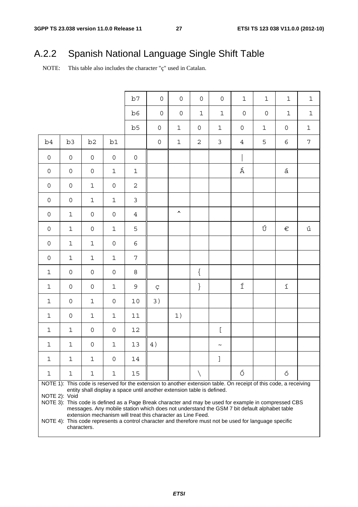# A.2.2 Spanish National Language Single Shift Table

NOTE: This table also includes the character "ç" used in Catalan.

|                     |                                                                                                                                                                                                                                                                                                                                                                                                                                                                                                                                                                                                              |                     |                     | b7                  | $\mathbf 0$         | $\mathbf 0$         | $\mathbf 0$         | $\mathbf 0$           | $1\,$               | $\mathbf 1$         | $\mathbf{1}$        | $1\,$          |  |
|---------------------|--------------------------------------------------------------------------------------------------------------------------------------------------------------------------------------------------------------------------------------------------------------------------------------------------------------------------------------------------------------------------------------------------------------------------------------------------------------------------------------------------------------------------------------------------------------------------------------------------------------|---------------------|---------------------|---------------------|---------------------|---------------------|---------------------|-----------------------|---------------------|---------------------|---------------------|----------------|--|
|                     |                                                                                                                                                                                                                                                                                                                                                                                                                                                                                                                                                                                                              |                     |                     | b6                  | $\mathbf 0$         | $\mathsf{O}\xspace$ | $\mathbf{1}$        | $\mathbf 1$           | $\mathsf{O}\xspace$ | $\mathsf{O}\xspace$ | $\mathbf{1}$        | $\mathbf 1$    |  |
|                     |                                                                                                                                                                                                                                                                                                                                                                                                                                                                                                                                                                                                              |                     |                     | b5                  | 0                   | $1\,$               | $\mathsf{O}\xspace$ | $\mathbf 1$           | $\mathsf{O}\xspace$ | $\mathbf 1$         | $\mathsf{O}\xspace$ | $1\,$          |  |
| b4                  | b3                                                                                                                                                                                                                                                                                                                                                                                                                                                                                                                                                                                                           | b <sub>2</sub>      | b1                  |                     | $\mathsf{O}\xspace$ | $1\,$               | $\overline{2}$      | $\mathfrak{Z}$        | $\overline{4}$      | 5                   | 6                   | $\overline{7}$ |  |
| $\mathsf{O}\xspace$ | $\mathsf{O}$                                                                                                                                                                                                                                                                                                                                                                                                                                                                                                                                                                                                 | $\mathsf{O}\xspace$ | $\mathsf{O}\xspace$ | $\mathsf{O}\xspace$ |                     |                     |                     |                       |                     |                     |                     |                |  |
| $\mathsf{O}\xspace$ | $\mathsf{O}$                                                                                                                                                                                                                                                                                                                                                                                                                                                                                                                                                                                                 | $\mathsf{O}\xspace$ | $\mathbf 1$         | $\mathbf 1$         |                     |                     |                     |                       | Á                   |                     | $\acute{\text{a}}$  |                |  |
| $\mathsf{O}\xspace$ | $\mathbf 0$                                                                                                                                                                                                                                                                                                                                                                                                                                                                                                                                                                                                  | $\mathbf 1$         | $\mathsf{O}\xspace$ | $\overline{c}$      |                     |                     |                     |                       |                     |                     |                     |                |  |
| $\mathsf{O}\xspace$ | $\mathbf 0$                                                                                                                                                                                                                                                                                                                                                                                                                                                                                                                                                                                                  | $1\,$               | $\mathbf 1$         | 3                   |                     |                     |                     |                       |                     |                     |                     |                |  |
| $\mathsf{O}\xspace$ | $\mathbf 1$                                                                                                                                                                                                                                                                                                                                                                                                                                                                                                                                                                                                  | $\mathsf{O}\xspace$ | 0                   | $\overline{4}$      |                     | $\blacktriangle$    |                     |                       |                     |                     |                     |                |  |
| $\mathsf{O}\xspace$ | $\mathbf{1}$                                                                                                                                                                                                                                                                                                                                                                                                                                                                                                                                                                                                 | $\mathsf{O}\xspace$ | $\mathbf 1$         | 5                   |                     |                     |                     |                       |                     | Ú                   | $\in$               | ú              |  |
| $\mathsf{O}\xspace$ | $1\,$                                                                                                                                                                                                                                                                                                                                                                                                                                                                                                                                                                                                        | $\mathbf 1$         | 0                   | 6                   |                     |                     |                     |                       |                     |                     |                     |                |  |
| $\mathsf{O}\xspace$ | $1\,$                                                                                                                                                                                                                                                                                                                                                                                                                                                                                                                                                                                                        | $1\,$               | $\mathbf 1$         | $\overline{7}$      |                     |                     |                     |                       |                     |                     |                     |                |  |
| $\mathbf{1}$        | $\mathbf 0$                                                                                                                                                                                                                                                                                                                                                                                                                                                                                                                                                                                                  | $\mathsf{O}\xspace$ | 0                   | 8                   |                     |                     | $\{$                |                       |                     |                     |                     |                |  |
| $\mathbf{1}$        | $\mathbf 0$                                                                                                                                                                                                                                                                                                                                                                                                                                                                                                                                                                                                  | $\mathsf{O}\xspace$ | $\mathbf 1$         | $\mathsf 9$         | Ç                   |                     | $\}$                |                       | Í                   |                     | í                   |                |  |
| $\mathbf{1}$        | $\mathbf 0$                                                                                                                                                                                                                                                                                                                                                                                                                                                                                                                                                                                                  | $\mathbf 1$         | 0                   | 10                  | 3)                  |                     |                     |                       |                     |                     |                     |                |  |
| $\mathbf 1$         | $\mathsf{O}\xspace$                                                                                                                                                                                                                                                                                                                                                                                                                                                                                                                                                                                          | $\mathbf 1$         | $\mathbf 1$         | 11                  |                     | 1)                  |                     |                       |                     |                     |                     |                |  |
| $\mathbf{1}$        | $\mathbf{1}$                                                                                                                                                                                                                                                                                                                                                                                                                                                                                                                                                                                                 | $\mathsf{O}\xspace$ | 0                   | 12                  |                     |                     |                     | ſ                     |                     |                     |                     |                |  |
| $\mathbf 1$         | $\mathbf 1$                                                                                                                                                                                                                                                                                                                                                                                                                                                                                                                                                                                                  | $\mathsf{O}\xspace$ | $\mathbf 1$         | 13                  | 4)                  |                     |                     | $\tilde{\phantom{a}}$ |                     |                     |                     |                |  |
| $\mathbf{1}$        | $\mathbf 1$                                                                                                                                                                                                                                                                                                                                                                                                                                                                                                                                                                                                  | $\mathbf 1$         | $\overline{O}$      | 14                  |                     |                     |                     | $\mathbf{I}$          |                     |                     |                     |                |  |
| 1                   | 1                                                                                                                                                                                                                                                                                                                                                                                                                                                                                                                                                                                                            | 1                   | 1                   | 15                  |                     |                     | ∖                   |                       | Ó                   |                     | ó                   |                |  |
|                     | NOTE 1): This code is reserved for the extension to another extension table. On receipt of this code, a receiving<br>entity shall display a space until another extension table is defined.<br>NOTE 2): Void<br>NOTE 3): This code is defined as a Page Break character and may be used for example in compressed CBS<br>messages. Any mobile station which does not understand the GSM 7 bit default alphabet table<br>extension mechanism will treat this character as Line Feed.<br>NOTE 4): This code represents a control character and therefore must not be used for language specific<br>characters. |                     |                     |                     |                     |                     |                     |                       |                     |                     |                     |                |  |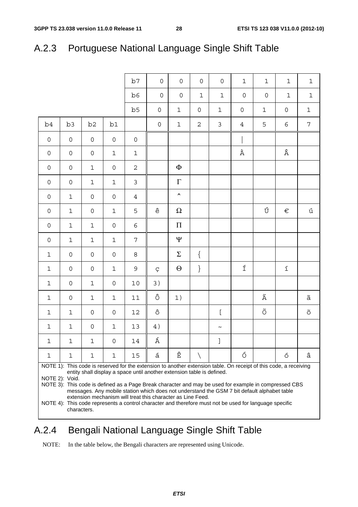|                     |                                                                                                                                                                                                                                                                                                                                                                                                                                                                                      |                     |                     | b7                  | $\mathbf 0$         | $\mathbf 0$         | $\mathsf{O}$        | $\overline{0}$            | $1\,$               | $\mathbf 1$          | $\mathbf 1$            | $1\,$                  |  |
|---------------------|--------------------------------------------------------------------------------------------------------------------------------------------------------------------------------------------------------------------------------------------------------------------------------------------------------------------------------------------------------------------------------------------------------------------------------------------------------------------------------------|---------------------|---------------------|---------------------|---------------------|---------------------|---------------------|---------------------------|---------------------|----------------------|------------------------|------------------------|--|
|                     |                                                                                                                                                                                                                                                                                                                                                                                                                                                                                      |                     |                     | b6                  | $\mathbf 0$         | $\mathsf{O}\xspace$ | $\mathbf{1}$        | $\mathbf{1}$              | $\mathsf{O}\xspace$ | $\mathsf{O}\xspace$  | $1\,$                  | $\mathbf 1$            |  |
|                     |                                                                                                                                                                                                                                                                                                                                                                                                                                                                                      |                     |                     | b5                  | $\mathsf{O}\xspace$ | $\mathbf 1$         | $\mathsf{O}\xspace$ | $\mathbf 1$               | $\mathsf{O}\xspace$ | $\mathbf 1$          | $\mathsf{O}\xspace$    | $\mathbf 1$            |  |
| b <sub>4</sub>      | b3                                                                                                                                                                                                                                                                                                                                                                                                                                                                                   | b <sub>2</sub>      | b1                  |                     | $\mathsf{O}\xspace$ | $\mathbf 1$         | $\mathbf 2$         | $\mathsf 3$               | $\overline{4}$      | 5                    | 6                      | $\overline{7}$         |  |
| $\mathsf O$         | $\mathsf{O}\xspace$                                                                                                                                                                                                                                                                                                                                                                                                                                                                  | $\mathsf{O}\xspace$ | $\mathsf{O}$        | $\mathsf{O}\xspace$ |                     |                     |                     |                           |                     |                      |                        |                        |  |
| $\mathsf{O}\xspace$ | $\mathsf{O}\xspace$                                                                                                                                                                                                                                                                                                                                                                                                                                                                  | $\mathsf{O}\xspace$ | $\mathbf 1$         | $1\,$               |                     |                     |                     |                           | À                   |                      | Â                      |                        |  |
| 0                   | $\mathbf 0$                                                                                                                                                                                                                                                                                                                                                                                                                                                                          | $\mathbf{1}$        | $\mathsf{O}\xspace$ | $\overline{c}$      |                     | $\Phi$              |                     |                           |                     |                      |                        |                        |  |
| 0                   | $\mathbf 0$                                                                                                                                                                                                                                                                                                                                                                                                                                                                          | $\mathbf 1$         | $\mathbf 1$         | 3                   |                     | $\Gamma$            |                     |                           |                     |                      |                        |                        |  |
| 0                   | $\mathbf{1}$                                                                                                                                                                                                                                                                                                                                                                                                                                                                         | $\mathsf{O}\xspace$ | $\mathsf{O}\xspace$ | $\overline{4}$      |                     | $\hat{\phantom{a}}$ |                     |                           |                     |                      |                        |                        |  |
| 0                   | $\mathbf 1$                                                                                                                                                                                                                                                                                                                                                                                                                                                                          | $\mathsf{O}\xspace$ | $\mathbf 1$         | 5                   | $\hat{\text{e}}$    | $\Omega$            |                     |                           |                     | Ú                    | $\in$                  | ú                      |  |
| 0                   | $\mathbf 1$                                                                                                                                                                                                                                                                                                                                                                                                                                                                          | $1\,$               | $\mathsf{O}\xspace$ | 6                   |                     | $\boldsymbol{\Pi}$  |                     |                           |                     |                      |                        |                        |  |
| 0                   | $\mathbf 1$                                                                                                                                                                                                                                                                                                                                                                                                                                                                          | $1\,$               | $\mathbf 1$         | 7                   |                     | Ψ                   |                     |                           |                     |                      |                        |                        |  |
| $\mathbf 1$         | $\mathbf 0$                                                                                                                                                                                                                                                                                                                                                                                                                                                                          | $\mathsf{O}\xspace$ | $\mathsf{O}\xspace$ | 8                   |                     | $\Sigma$            | $\{$                |                           |                     |                      |                        |                        |  |
| $\mathbf 1$         | $\mathbf 0$                                                                                                                                                                                                                                                                                                                                                                                                                                                                          | $\mathsf{O}\xspace$ | $\mathbf 1$         | 9                   | Ç                   | $\Theta$            | $\big\}$            |                           | $\acute{\rm 1}$     |                      | $\acute{\text{\it l}}$ |                        |  |
| $\mathbf 1$         | $\mathbf 0$                                                                                                                                                                                                                                                                                                                                                                                                                                                                          | $1\,$               | $\mathsf{O}\xspace$ | $10$                | 3)                  |                     |                     |                           |                     |                      |                        |                        |  |
| $\mathbf 1$         | $\mathbf 0$                                                                                                                                                                                                                                                                                                                                                                                                                                                                          | $\mathbf 1$         | $\mathbf 1$         | $1\,1$              | ô                   | 1)                  |                     |                           |                     | Ã                    |                        | ã                      |  |
| $\mathbf 1$         | $1\,$                                                                                                                                                                                                                                                                                                                                                                                                                                                                                | $\mathsf{O}\xspace$ | $\mathsf{O}\xspace$ | $12\,$              | $\hat{\mathrm{o}}$  |                     |                     | ſ                         |                     | $\tilde{\mathrm{O}}$ |                        | $\widetilde{\bigcirc}$ |  |
| $\mathbf 1$         | $\mathbf 1$                                                                                                                                                                                                                                                                                                                                                                                                                                                                          | $\mathsf{O}\xspace$ | 1                   | 13                  | $4)$                |                     |                     | $\widetilde{\phantom{m}}$ |                     |                      |                        |                        |  |
| $\mathbf 1$         | $\mathbf 1$                                                                                                                                                                                                                                                                                                                                                                                                                                                                          | $\mathbf{1}$        | $\Omega$            | 14                  | Á                   |                     |                     | $\mathbf{I}$              |                     |                      |                        |                        |  |
| 1                   | 1                                                                                                                                                                                                                                                                                                                                                                                                                                                                                    | 1                   | 1                   | 15                  | á                   | Ê                   |                     |                           | Ó                   |                      | ó                      | â                      |  |
|                     | NOTE 1): This code is reserved for the extension to another extension table. On receipt of this code, a receiving<br>entity shall display a space until another extension table is defined.<br>NOTE 2): Void.<br>NOTE 3): This code is defined as a Page Break character and may be used for example in compressed CBS<br>messages. Any mobile station which does not understand the GSM 7 bit default alphabet table<br>extension mechanism will treat this character as Line Feed. |                     |                     |                     |                     |                     |                     |                           |                     |                      |                        |                        |  |

# A.2.3 Portuguese National Language Single Shift Table

NOTE 4): This code represents a control character and therefore must not be used for language specific characters.

### A.2.4 Bengali National Language Single Shift Table

NOTE: In the table below, the Bengali characters are represented using Unicode.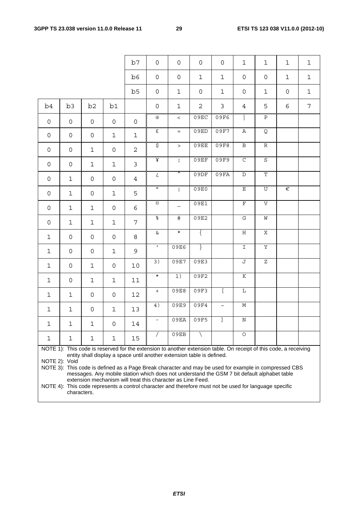|                     |                                                                                                                                                                                                                                                                                                                                                                                                                                                                                                                                                                                                              |                |                | b7             | $\mathsf{O}\xspace$      | $\mathsf{O}\xspace$      | $\mathsf{O}$        | $\mathbf 0$    | $\mathbf{1}$            | 1                         | $\mathbf 1$         | $\mathbf{1}$ |
|---------------------|--------------------------------------------------------------------------------------------------------------------------------------------------------------------------------------------------------------------------------------------------------------------------------------------------------------------------------------------------------------------------------------------------------------------------------------------------------------------------------------------------------------------------------------------------------------------------------------------------------------|----------------|----------------|----------------|--------------------------|--------------------------|---------------------|----------------|-------------------------|---------------------------|---------------------|--------------|
|                     |                                                                                                                                                                                                                                                                                                                                                                                                                                                                                                                                                                                                              |                |                | b6             | $\mathsf{O}\xspace$      | $\mathsf{O}$             | $\mathbf 1$         | $\mathbf{1}$   | $\mathsf{O}\xspace$     | $\mathsf{O}\xspace$       | $\mathbf{1}$        | $\mathbf 1$  |
|                     |                                                                                                                                                                                                                                                                                                                                                                                                                                                                                                                                                                                                              |                |                | b5             | $\mathsf{O}\xspace$      | $\mathbf{1}$             | $\mathsf{O}\xspace$ | $\mathbf{1}$   | $\mathbf 0$             | $\mathbf{1}$              | $\mathsf{O}\xspace$ | $\mathbf 1$  |
| b4                  | b3                                                                                                                                                                                                                                                                                                                                                                                                                                                                                                                                                                                                           | b <sub>2</sub> | b1             |                | 0                        | $\mathbf 1$              | $\overline{2}$      | 3              | 4                       | 5                         | 6                   | 7            |
| $\overline{0}$      | $\mathsf{O}$                                                                                                                                                                                                                                                                                                                                                                                                                                                                                                                                                                                                 | $\mathsf{O}$   | $\mathsf{O}$   | $\mathsf{O}$   | $^\copyright$            | $\,<\,$                  | 09EC                | 09F6           |                         | $\overline{\mathbf{P}}$   |                     |              |
| $\mathsf{O}$        | $\mathsf{O}$                                                                                                                                                                                                                                                                                                                                                                                                                                                                                                                                                                                                 | $\mathsf{O}$   | $\mathbf{1}$   | $\mathbf 1$    | £                        | $=$                      | 09ED                | 09F7           | Α                       | Q                         |                     |              |
| 0                   | $\mathsf{O}$                                                                                                                                                                                                                                                                                                                                                                                                                                                                                                                                                                                                 | $\mathbf{1}$   | 0              | $\mathbf{2}$   | \$                       | $\geq$                   | 09EE                | 09F8           | $\, {\bf B}$            | $\ensuremath{\mathbb{R}}$ |                     |              |
| 0                   | $\mathsf{O}$                                                                                                                                                                                                                                                                                                                                                                                                                                                                                                                                                                                                 | $\mathbf 1$    | $\mathbf 1$    | $\mathsf{3}$   | ¥                        | $\mathbf{i}$             | 09EF                | 09F9           | $\mathsf C$             | $\rm S$                   |                     |              |
| $\mathsf{O}\xspace$ | $\mathbf{1}$                                                                                                                                                                                                                                                                                                                                                                                                                                                                                                                                                                                                 | $\mathsf{O}$   | $\mathsf{O}$   | $\overline{4}$ | خ                        | $\lambda$                | 09DF                | 09FA           | $\mathbb D$             | $\overline{\text{T}}$     |                     |              |
| $\mathsf{O}$        | $\mathbf{1}$                                                                                                                                                                                                                                                                                                                                                                                                                                                                                                                                                                                                 | $\mathsf{O}$   | $\mathbf{1}$   | 5              | $\mathbf{H}$             | $\mathbf{i}$             | 09E0                |                | $\mathbf E$             | $\mathbf U$               | $\in$               |              |
| $\mathsf{O}$        | $\mathbf{1}$                                                                                                                                                                                                                                                                                                                                                                                                                                                                                                                                                                                                 | $\mathbf{1}$   | 0              | 6              | $\alpha$                 | $\overline{\phantom{0}}$ | 09E1                |                | $\overline{\mathrm{F}}$ | $\overline{V}$            |                     |              |
| $\mathsf{O}$        | $\mathbf{1}$                                                                                                                                                                                                                                                                                                                                                                                                                                                                                                                                                                                                 | $\mathbf{1}$   | $\mathbf{1}$   | 7              | $\infty$                 | #                        | 09E2                |                | G                       | ${\tt M}$                 |                     |              |
| $\mathbf{1}$        | 0                                                                                                                                                                                                                                                                                                                                                                                                                                                                                                                                                                                                            | $\mathsf{O}$   | $\mathsf{O}$   | 8              | $\&$                     | $\star$                  | $\{$                |                | $\rm H$                 | $\mathbf X$               |                     |              |
| $\mathbf{1}$        | 0                                                                                                                                                                                                                                                                                                                                                                                                                                                                                                                                                                                                            | $\mathsf{O}$   | $\mathbf{1}$   | 9              | $\mathbf{I}$             | 09E6                     | $\}$                |                | $\mathbf I$             | $\overline{\text{Y}}$     |                     |              |
| $\mathbf{1}$        | $\mathsf{O}$                                                                                                                                                                                                                                                                                                                                                                                                                                                                                                                                                                                                 | $\mathbf{1}$   | 0              | 10             | $\overline{3)}$          | 09E7                     | 09E3                |                | J                       | $\overline{z}$            |                     |              |
| $\mathbf{1}$        | 0                                                                                                                                                                                                                                                                                                                                                                                                                                                                                                                                                                                                            | $\mathbf{1}$   | $\mathbf{1}$   | $11\,$         | $\star$                  | 1)                       | 09F2                |                | К                       |                           |                     |              |
| $\mathbf{1}$        | $\mathbf{1}$                                                                                                                                                                                                                                                                                                                                                                                                                                                                                                                                                                                                 | $\mathsf{O}$   | 0              | 12             | $\pm$                    | 09E8                     | 09F3                | $\overline{L}$ | L                       |                           |                     |              |
| $\mathbf{1}$        | $\mathbf{1}$                                                                                                                                                                                                                                                                                                                                                                                                                                                                                                                                                                                                 | 0              | $\mathbf{1}$   | 13             | 4)                       | 09E9                     | 09F4                | $\tilde{}$     | М                       |                           |                     |              |
| $\mathbf{1}$        | $\mathbf 1$                                                                                                                                                                                                                                                                                                                                                                                                                                                                                                                                                                                                  | $\mathbf{1}$   | $\overline{O}$ | 14             | $\overline{\phantom{a}}$ | 09EA                     | 09F5                | J              | $\mathbf N$             |                           |                     |              |
| $\mathbf 1$         | 1                                                                                                                                                                                                                                                                                                                                                                                                                                                                                                                                                                                                            | 1              | 1              | 15             |                          | 09EB                     |                     |                | $\circ$                 |                           |                     |              |
|                     | NOTE 1): This code is reserved for the extension to another extension table. On receipt of this code, a receiving<br>entity shall display a space until another extension table is defined.<br>NOTE 2): Void<br>NOTE 3): This code is defined as a Page Break character and may be used for example in compressed CBS<br>messages. Any mobile station which does not understand the GSM 7 bit default alphabet table<br>extension mechanism will treat this character as Line Feed.<br>NOTE 4): This code represents a control character and therefore must not be used for language specific<br>characters. |                |                |                |                          |                          |                     |                |                         |                           |                     |              |

*ETSI*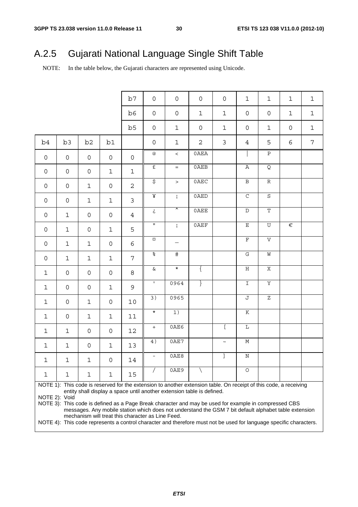# A.2.5 Gujarati National Language Single Shift Table

NOTE: In the table below, the Gujarati characters are represented using Unicode.

|                     |                     |                      |                     | b7                  | $\mathsf{O}\xspace$      | $\mathbf 0$                                                                                                       | $\mathsf{O}\xspace$ | $\mathsf{O}\xspace$ | $\mathbf 1$             | 1                     | 1                   | $\mathbf 1$    |
|---------------------|---------------------|----------------------|---------------------|---------------------|--------------------------|-------------------------------------------------------------------------------------------------------------------|---------------------|---------------------|-------------------------|-----------------------|---------------------|----------------|
|                     |                     |                      |                     | b6                  | $\mathsf{O}\xspace$      | $\mathsf{O}\xspace$                                                                                               | $\mathbf 1$         | $\mathbf 1$         | $\mathsf{O}\xspace$     | $\mathsf{O}\xspace$   | $\mathbf 1$         | $\mathbf 1$    |
|                     |                     |                      |                     | b5                  | $\mathsf{O}\xspace$      | $1\,$                                                                                                             | $\mathsf{O}\xspace$ | $\mathbf 1$         | $\mathsf{O}\xspace$     | $\mathbf{1}$          | $\mathsf{O}\xspace$ | $\mathbf 1$    |
| b4                  | b3                  | b <sub>2</sub>       | b1                  |                     | $\mathbf 0$              | $\mathbf 1$                                                                                                       | $\overline{2}$      | $\mathfrak{Z}$      | $\overline{4}$          | 5                     | 6                   | $\overline{7}$ |
| $\mathsf{O}\xspace$ | $\mathsf{O}\xspace$ | $\mathsf{O}\xspace$  | $\mathsf{O}\xspace$ | $\mathsf{O}\xspace$ | $^\copyright$            | $\,<$                                                                                                             | 0AEA                |                     |                         | $\, {\bf P}$          |                     |                |
| $\mathsf{O}\xspace$ | $\mathsf{O}$        | $\mathsf{O}\xspace$  | $\mathbf 1$         | $\mathbf 1$         | $\mathbf{f}$             | $=$ $\,$                                                                                                          | 0AEB                |                     | $\overline{\text{A}}$   | $\overline{Q}$        |                     |                |
| $\mathsf{O}$        | $\mathsf{O}$        | $\mathbf 1$          | $\mathsf{O}\xspace$ | $\overline{2}$      | $\sigma$                 | $\,>$                                                                                                             | 0AEC                |                     | $\overline{\mathbf{B}}$ | ${\mathbb R}$         |                     |                |
| $\mathsf{O}\xspace$ | $\mathsf{O}\xspace$ | $\mathbf 1$          | $\mathbf 1$         | $\mathfrak{Z}$      | $\overline{\mathbf{X}}$  | $\mathbf{i}$                                                                                                      | 0AED                |                     | $\overline{\rm C}$      | $\overline{S}$        |                     |                |
| $\overline{0}$      | $\mathbf 1$         | $\mathsf{O}\xspace$  | $\mathsf{O}\xspace$ | $\overline{4}$      | ئ                        | ᅐ                                                                                                                 | 0AEE                |                     | $\overline{\text{D}}$   | $\overline{\text{T}}$ |                     |                |
| $\mathsf{O}\xspace$ | $\mathbf 1$         | $\mathsf{O}\xspace$  | $\mathbf 1$         | 5                   | $\mathbf H$              | $\mathbf{i}$                                                                                                      | 0AEF                |                     | Ε                       | $\mathbf U$           | €                   |                |
| $\mathsf{O}\xspace$ | $\mathbf 1$         | $\mathbf 1$          | $\mathsf{O}\xspace$ | 6                   | $\alpha$                 | $\overline{\phantom{0}}$                                                                                          |                     |                     | $\overline{\mathrm{F}}$ | $\overline{V}$        |                     |                |
| $\mathsf{O}$        | $\mathbf 1$         | $\mathbf 1$          | $\mathbf{1}$        | $\overline{7}$      | $\infty$                 | $\frac{1}{2}$                                                                                                     |                     |                     | $\overline{\mathbf{G}}$ | M                     |                     |                |
| $\mathbf{1}$        | $\mathsf{O}\xspace$ | $\mathsf{O}\xspace$  | $\mathsf{O}\xspace$ | 8                   | $\&$                     | $\star$                                                                                                           | $\left\{ \right.$   |                     | $\rm H$                 | $\rm X$               |                     |                |
| $\mathbf 1$         | 0                   | $\mathsf{O}\xspace$  | $\mathbf 1$         | 9                   | $\mathbf I$              | 0964                                                                                                              | $\}$                |                     | $\overline{1}$          | $\overline{\text{Y}}$ |                     |                |
| $\mathbf{1}$        | $\mathsf{O}\xspace$ | $\mathbf 1$          | $\mathsf{O}\xspace$ | $10$                | 3)                       | 0965                                                                                                              |                     |                     | $\overline{\mathsf{J}}$ | $\rm{Z}$              |                     |                |
| $\mathbf 1$         | $\mathsf{O}\xspace$ | $\mathbf 1$          | $\mathbf 1$         | 11                  | $\star$                  | 1)                                                                                                                |                     |                     | $\overline{\rm K}$      |                       |                     |                |
| $\mathbf{1}$        | $\mathbf 1$         | $\mathsf{O}\xspace$  | $\mathsf{O}$        | 12                  | $+$                      | 0AE6                                                                                                              |                     | $\mathbf{r}$        | $\overline{\mathbb{L}}$ |                       |                     |                |
| $\mathbf 1$         | $\mathbf{1}$        | $\mathsf{O}\xspace$  | $\mathbf 1$         | 13                  | 4)                       | 0AE7                                                                                                              |                     | $\thicksim$         | $\overline{\text{M}}$   |                       |                     |                |
| $\mathbf 1$         | $\mathbf 1$         | $\mathbf 1$          | $\mathsf{O}\xspace$ | 14                  | $\overline{\phantom{0}}$ | 0AE8                                                                                                              |                     | Ţ                   | $\overline{\text{N}}$   |                       |                     |                |
| $\mathbf 1$         | $\mathbf 1$         | $\mathbf 1$          | $\mathbf 1$         | 15                  | $\sqrt{2}$               | 0AE9                                                                                                              | ∖                   |                     | $\overline{O}$          |                       |                     |                |
|                     |                     |                      |                     |                     |                          | NOTE 1): This code is reserved for the extension to another extension table. On receipt of this code, a receiving |                     |                     |                         |                       |                     |                |
|                     |                     |                      |                     |                     |                          | entity shall display a space until another extension table is defined.                                            |                     |                     |                         |                       |                     |                |
|                     | NOTE 2): Void       | $\sim$ $\sim$ $\sim$ |                     |                     |                          |                                                                                                                   |                     |                     |                         |                       |                     |                |

NOTE 3): This code is defined as a Page Break character and may be used for example in compressed CBS messages. Any mobile station which does not understand the GSM 7 bit default alphabet table extension mechanism will treat this character as Line Feed.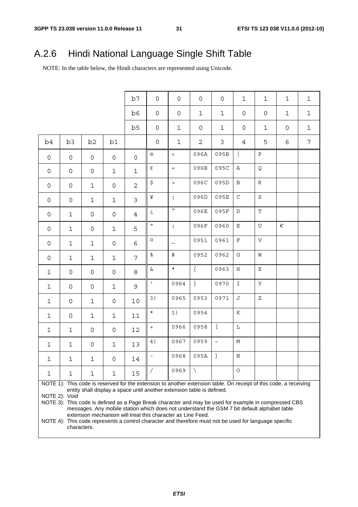# A.2.6 Hindi National Language Single Shift Table

NOTE: In the table below, the Hindi characters are represented using Unicode.

|              |                                                                                                                                                                                                                                                                                                                                                                                                                                                                                     |                     |                     | b7             | $\mathsf{O}$        | 0                        | 0                  | $\mathsf{O}\xspace$ | $\mathbf{1}$  | 1             | $\mathbf 1$         | $\mathbf{1}$   |  |
|--------------|-------------------------------------------------------------------------------------------------------------------------------------------------------------------------------------------------------------------------------------------------------------------------------------------------------------------------------------------------------------------------------------------------------------------------------------------------------------------------------------|---------------------|---------------------|----------------|---------------------|--------------------------|--------------------|---------------------|---------------|---------------|---------------------|----------------|--|
|              |                                                                                                                                                                                                                                                                                                                                                                                                                                                                                     |                     |                     | b6             | $\mathsf{O}$        | 0                        | $\mathbf 1$        | $\mathbf{1}$        | 0             | 0             | $\mathbf{1}$        | $\mathbf{1}$   |  |
|              |                                                                                                                                                                                                                                                                                                                                                                                                                                                                                     |                     |                     | b <sub>5</sub> | $\mathsf{O}\xspace$ | $\mathbf{1}$             | 0                  | $\mathbf{1}$        | 0             | 1             | $\mathsf{O}\xspace$ | $\mathbf{1}$   |  |
| b4           | b <sub>3</sub>                                                                                                                                                                                                                                                                                                                                                                                                                                                                      | b2                  | b1                  |                | $\mathsf{O}$        | $\mathbf 1$              | $\overline{2}$     | 3                   | 4             | 5             | 6                   | $\overline{7}$ |  |
| 0            | 0                                                                                                                                                                                                                                                                                                                                                                                                                                                                                   | 0                   | $\mathsf{O}$        | $\mathsf{O}$   | @                   | $\lt$                    | 096A               | 095B                |               | $\mathbf P$   |                     |                |  |
| 0            | 0                                                                                                                                                                                                                                                                                                                                                                                                                                                                                   | $\mathsf{O}$        | $\mathbf{1}$        | $\mathbf{1}$   | $\pounds$           | $=$                      | 096B               | 095C                | Α             | Q             |                     |                |  |
| 0            | 0                                                                                                                                                                                                                                                                                                                                                                                                                                                                                   | 1                   | $\mathsf{O}\xspace$ | $\overline{2}$ | \$                  | $\geq$                   | 096C               | 095D                | B             | ${\mathbb R}$ |                     |                |  |
| 0            | 0                                                                                                                                                                                                                                                                                                                                                                                                                                                                                   | $\mathbf 1$         | $\mathbf{1}$        | $\mathbf{3}$   | ¥                   | $\mathbf{i}$             | 096D               | 095E                | $\rm C$       | $\rm S$       |                     |                |  |
| 0            | 1                                                                                                                                                                                                                                                                                                                                                                                                                                                                                   | $\mathsf{O}$        | $\mathsf{O}\xspace$ | $\overline{4}$ | خ                   | $\blacktriangle$         | 096E               | 095F                | D             | $\mathbf T$   |                     |                |  |
| 0            | 1                                                                                                                                                                                                                                                                                                                                                                                                                                                                                   | 0                   | $\mathbf{1}$        | 5              | $\mathbf H$         | $\mathbf{i}$             | 096F               | 0960                | Ε             | $\mathbf U$   | €                   |                |  |
| 0            | 1                                                                                                                                                                                                                                                                                                                                                                                                                                                                                   | 1                   | $\mathsf{O}\xspace$ | 6              | $\alpha$            | $\overline{\phantom{0}}$ | 0951               | 0961                | $\mathbf F$   | $\mathbf V$   |                     |                |  |
| 0            | 1                                                                                                                                                                                                                                                                                                                                                                                                                                                                                   | 1                   | $\mathbf{1}$        | 7              | $\frac{8}{6}$       | #                        | 0952               | 0962                | G             | M             |                     |                |  |
| $\mathbf 1$  | 0                                                                                                                                                                                                                                                                                                                                                                                                                                                                                   | 0                   | $\mathsf{O}\xspace$ | 8              | $\&$                | $\star$                  | $\{$               | 0963                | H             | $\mathbf X$   |                     |                |  |
| 1            | 0                                                                                                                                                                                                                                                                                                                                                                                                                                                                                   | 0                   | $\mathbf{1}$        | 9              | $\mathbf{I}$        | 0964                     | $\left\{ \right\}$ | 0970                | $\mathbbm{1}$ | Υ             |                     |                |  |
| 1            | 0                                                                                                                                                                                                                                                                                                                                                                                                                                                                                   | $\mathbf{1}$        | 0                   | 10             | 3)                  | 0965                     | 0953               | 0971                | J             | Ζ             |                     |                |  |
| $\mathbf{1}$ | 0                                                                                                                                                                                                                                                                                                                                                                                                                                                                                   | $\mathbf{1}$        | $\mathbf{1}$        | 11             | $\star$             | 1)                       | 0954               |                     | K             |               |                     |                |  |
| 1            | 1                                                                                                                                                                                                                                                                                                                                                                                                                                                                                   | 0                   | 0                   | 12             | $^{\mathrm{+}}$     | 0966                     | 0958               | $\overline{a}$      | $\mathbf L$   |               |                     |                |  |
| $\mathbf{1}$ | 1                                                                                                                                                                                                                                                                                                                                                                                                                                                                                   | $\mathsf{O}\xspace$ | $\mathbf{1}$        | 13             | 4)                  | 0967                     | 0959               | $\sim$              | $\mathbb M$   |               |                     |                |  |
| $\mathbf{1}$ | $\mathbf{1}$                                                                                                                                                                                                                                                                                                                                                                                                                                                                        | $\mathbf{1}$        | $\overline{0}$      | $14\,$         |                     | 0968                     | 095A               | $\mathbf{I}$        | $\mathbf N$   |               |                     |                |  |
| 1            | 1                                                                                                                                                                                                                                                                                                                                                                                                                                                                                   | 1                   | 1                   | 15             | $\sqrt{2}$          | 0969                     |                    |                     | $\circ$       |               |                     |                |  |
|              | NOTE 1): This code is reserved for the extension to another extension table. On receipt of this code, a receiving<br>entity shall display a space until another extension table is defined.<br>NOTE 2): Void<br>NOTE 3): This code is defined as a Page Break character and may be used for example in compressed CBS<br>messages. Any mobile station which does not understand the GSM 7 bit default alphabet table<br>extension mechanism will treat this character as Line Feed. |                     |                     |                |                     |                          |                    |                     |               |               |                     |                |  |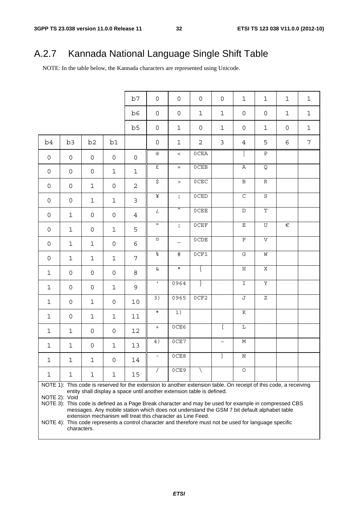# A.2.7 Kannada National Language Single Shift Table

NOTE: In the table below, the Kannada characters are represented using Unicode.

|              |                                                                                                                                                                                                                                                                                                                                                                                                                                                                                     |                     |                     | b7                  | $\mathsf{O}\xspace$      | $\mathsf{O}\xspace$ | $\mathsf{O}$        | $\mathbf 0$ | $\mathbf{1}$          | $1\,$               | $\mathbf 1$ | $\mathbf 1$    |  |
|--------------|-------------------------------------------------------------------------------------------------------------------------------------------------------------------------------------------------------------------------------------------------------------------------------------------------------------------------------------------------------------------------------------------------------------------------------------------------------------------------------------|---------------------|---------------------|---------------------|--------------------------|---------------------|---------------------|-------------|-----------------------|---------------------|-------------|----------------|--|
|              |                                                                                                                                                                                                                                                                                                                                                                                                                                                                                     |                     |                     | b6                  | $\mathsf{O}\xspace$      | $\mathsf{O}\xspace$ | $\mathbf 1$         | $\mathbf 1$ | $\mathsf{O}\xspace$   | $\mathsf{O}\xspace$ | $\mathbf 1$ | $\mathbf 1$    |  |
|              |                                                                                                                                                                                                                                                                                                                                                                                                                                                                                     |                     |                     | b <sub>5</sub>      | $\mathsf{O}\xspace$      | $\mathbf{1}$        | $\mathsf{O}\xspace$ | $\mathbf 1$ | $\mathsf{O}\xspace$   | $\mathbf 1$         | 0           | $\mathbf 1$    |  |
| b4           | b3                                                                                                                                                                                                                                                                                                                                                                                                                                                                                  | b2                  | b1                  |                     | $\mathsf{O}\xspace$      | $\mathbf{1}$        | 2                   | 3           | 4                     | 5                   | 6           | $\overline{7}$ |  |
| $\mathsf{O}$ | $\mathsf{O}$                                                                                                                                                                                                                                                                                                                                                                                                                                                                        | 0                   | $\mathsf{O}\xspace$ | $\mathsf{O}\xspace$ | $^\copyright$            | $\,<\,$             | 0CEA                |             |                       | $\overline{P}$      |             |                |  |
| $\mathsf{O}$ | $\mathbf 0$                                                                                                                                                                                                                                                                                                                                                                                                                                                                         | $\mathsf{O}\xspace$ | $\mathbf{1}$        | $\mathbf{1}$        | $\mathbf{f}$             | $\qquad \qquad =$   | 0CEB                |             | $\, {\bf A}$          | Q                   |             |                |  |
| $\mathsf{O}$ | $\mathbf 0$                                                                                                                                                                                                                                                                                                                                                                                                                                                                         | $\mathbf{1}$        | 0                   | $\mathbf{2}$        | $\overline{\xi}$         | $\geq$              | $0{\rm CEC}$        |             | $\, {\bf B}$          | $\mathbb R$         |             |                |  |
| $\mathsf{O}$ | $\mathbf 0$                                                                                                                                                                                                                                                                                                                                                                                                                                                                         | $\mathbf{1}$        | $\mathbf 1$         | 3                   | $\overline{\mathbf{F}}$  | $\mathbf{i}$        | 0CED                |             | $\overline{C}$        | $\rm S$             |             |                |  |
| $\mathsf{O}$ | $\mathbf 1$                                                                                                                                                                                                                                                                                                                                                                                                                                                                         | $\mathsf{O}\xspace$ | 0                   | $\overline{4}$      | خ                        | ⊼                   | <b>OCEE</b>         |             | $\mathbb D$           | $\mathbf T$         |             |                |  |
| $\mathsf{O}$ | $\mathbf{1}$                                                                                                                                                                                                                                                                                                                                                                                                                                                                        | $\mathsf{O}\xspace$ | $\mathbf 1$         | 5                   | $\mathbf H$              | $\mathbf{i}$        | 0CEF                |             | $\mathbf E$           | $\mathbf U$         | $\in$       |                |  |
| $\mathsf{O}$ | $\mathbf{1}$                                                                                                                                                                                                                                                                                                                                                                                                                                                                        | $\mathbf{1}$        | 0                   | 6                   | $\alpha$                 | $\qquad \qquad -$   | 0CDE                |             | $\mathbf F$           | $\mathbf V$         |             |                |  |
| $\mathsf{O}$ | $\mathbf{1}$                                                                                                                                                                                                                                                                                                                                                                                                                                                                        | $\mathbf 1$         | $\mathbf{1}$        | 7                   | $\infty$                 | #                   | 0CF1                |             | $\mathbf G$           | W                   |             |                |  |
| $\mathbf 1$  | $\mathsf{O}\xspace$                                                                                                                                                                                                                                                                                                                                                                                                                                                                 | $\mathsf{O}\xspace$ | 0                   | 8                   | $\&$                     | $\star$             | $\{$                |             | $\, {\rm H}$          | $\mathbf X$         |             |                |  |
| $\mathbf 1$  | $\mathsf{O}\xspace$                                                                                                                                                                                                                                                                                                                                                                                                                                                                 | $\mathsf{O}\xspace$ | $\mathbf 1$         | 9                   | $\mathbf{L}$             | 0964                | $\}$                |             | $\mathbf I$           | $\mathbf Y$         |             |                |  |
| $\mathbf 1$  | $\mathsf{O}\xspace$                                                                                                                                                                                                                                                                                                                                                                                                                                                                 | $\mathbf 1$         | 0                   | 10                  | 3)                       | 0965                | 0CF2                |             | J                     | Ζ                   |             |                |  |
| $\mathbf 1$  | 0                                                                                                                                                                                                                                                                                                                                                                                                                                                                                   | $\mathbf 1$         | 1                   | 11                  | $\star$                  | 1)                  |                     |             | $\overline{\rm K}$    |                     |             |                |  |
| $\mathbf 1$  | $\mathbf 1$                                                                                                                                                                                                                                                                                                                                                                                                                                                                         | $\mathsf{O}\xspace$ | 0                   | 12                  | $\boldsymbol{+}$         | 0CE6                |                     | L           | $\mathbf L$           |                     |             |                |  |
| $\mathbf{1}$ | $\mathbf 1$                                                                                                                                                                                                                                                                                                                                                                                                                                                                         | $\mathsf{O}\xspace$ | 1                   | 13                  | 4)                       | 0CE7                |                     | $\thicksim$ | $\mathbb M$           |                     |             |                |  |
| $\mathbf{1}$ | $\mathbf{1}$                                                                                                                                                                                                                                                                                                                                                                                                                                                                        | $\mathbf{1}$        | $\overline{0}$      | 14                  | $\overline{\phantom{0}}$ | 0CE8                |                     |             | $\overline{\text{N}}$ |                     |             |                |  |
| 1            | 1                                                                                                                                                                                                                                                                                                                                                                                                                                                                                   | 1                   | 1                   | 15                  |                          | 0CE9                |                     |             | $\circ$               |                     |             |                |  |
|              | NOTE 1): This code is reserved for the extension to another extension table. On receipt of this code, a receiving<br>entity shall display a space until another extension table is defined.<br>NOTE 2): Void<br>NOTE 3): This code is defined as a Page Break character and may be used for example in compressed CBS<br>messages. Any mobile station which does not understand the GSM 7 bit default alphabet table<br>extension mechanism will treat this character as Line Feed. |                     |                     |                     |                          |                     |                     |             |                       |                     |             |                |  |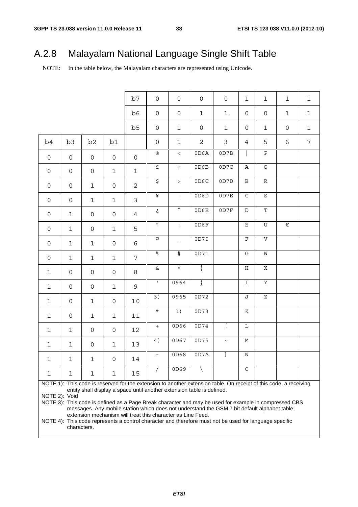# A.2.8 Malayalam National Language Single Shift Table

NOTE: In the table below, the Malayalam characters are represented using Unicode.

|              |                                                                                                                                                                                                                                                                                                                                                                                                                                                                                                                                                                                               |                     |              | b7             | $\mathsf{O}$        | 0                        | $\mathsf{O}\xspace$ | $\mathsf{O}$ | $\mathbf 1$   | 1                         | $\mathbf{1}$ | $\mathbf 1$    |  |
|--------------|-----------------------------------------------------------------------------------------------------------------------------------------------------------------------------------------------------------------------------------------------------------------------------------------------------------------------------------------------------------------------------------------------------------------------------------------------------------------------------------------------------------------------------------------------------------------------------------------------|---------------------|--------------|----------------|---------------------|--------------------------|---------------------|--------------|---------------|---------------------------|--------------|----------------|--|
|              |                                                                                                                                                                                                                                                                                                                                                                                                                                                                                                                                                                                               |                     |              | b6             | $\mathsf{O}\xspace$ | 0                        | $1\,$               | $\mathbf 1$  | 0             | 0                         | $\mathbf{1}$ | $\mathbf 1$    |  |
|              |                                                                                                                                                                                                                                                                                                                                                                                                                                                                                                                                                                                               |                     |              | b5             | $\mathsf{O}\xspace$ | $\mathbf 1$              | $\mathsf{O}\xspace$ | $\mathbf 1$  | 0             | 1                         | 0            | $\mathbf 1$    |  |
| b4           | b <sub>3</sub>                                                                                                                                                                                                                                                                                                                                                                                                                                                                                                                                                                                | b <sub>2</sub>      | b1           |                | 0                   | $\mathbf 1$              | $\mathbf{2}$        | 3            | 4             | 5                         | 6            | $\overline{7}$ |  |
| $\mathsf{O}$ | 0                                                                                                                                                                                                                                                                                                                                                                                                                                                                                                                                                                                             | 0                   | 0            | $\mathsf{O}$   | $^\copyright$       | $\,<\,$                  | 0D6A                | 0D7B         |               | $\, {\bf P}$              |              |                |  |
| 0            | 0                                                                                                                                                                                                                                                                                                                                                                                                                                                                                                                                                                                             | 0                   | $\mathbf 1$  | $\mathbf 1$    | $\mathbf{f}$        | $\equiv$                 | 0D6B                | 0D7C         | $\, {\bf A}$  | Q                         |              |                |  |
| 0            | 0                                                                                                                                                                                                                                                                                                                                                                                                                                                                                                                                                                                             | $\mathbf{1}$        | 0            | $\overline{a}$ | $\sigma$            | $\, >$                   | 0D6C                | 0D7D         | $\, {\bf B}$  | $\mathbb R$               |              |                |  |
| 0            | 0                                                                                                                                                                                                                                                                                                                                                                                                                                                                                                                                                                                             | $\mathbf 1$         | $\mathbf 1$  | $\mathfrak{Z}$ | ¥                   | $\mathbf{i}$             | 0D6D                | 0D7E         | $\mathsf C$   | $\rm S$                   |              |                |  |
| 0            | $\mathbf 1$                                                                                                                                                                                                                                                                                                                                                                                                                                                                                                                                                                                   | 0                   | 0            | $\overline{4}$ | خ                   | ㅅ                        | 0D6E                | 0D7F         | $\mathbb D$   | $\mathbf T$               |              |                |  |
| 0            | $\mathbf 1$                                                                                                                                                                                                                                                                                                                                                                                                                                                                                                                                                                                   | 0                   | 1            | 5              | $\mathbf{H}$        | $\mathbf{i}$             | 0D6F                |              | $\mathbf E$   | $\overline{U}$            | €            |                |  |
| 0            | $\mathbf 1$                                                                                                                                                                                                                                                                                                                                                                                                                                                                                                                                                                                   | $\mathbf{1}$        | 0            | 6              | $\alpha$            | $\overline{\phantom{0}}$ | 0D70                |              | $\mathbf F$   | $\boldsymbol{\mathrm{V}}$ |              |                |  |
| 0            | $\mathbf{1}$                                                                                                                                                                                                                                                                                                                                                                                                                                                                                                                                                                                  | $\mathbf{1}$        | $\mathbf 1$  | 7              | olo                 | $\frac{1}{2}$            | OD71                |              | G             | M                         |              |                |  |
| $\mathbf{1}$ | 0                                                                                                                                                                                                                                                                                                                                                                                                                                                                                                                                                                                             | $\mathsf{O}\xspace$ | 0            | 8              | $\&$                | $\star$                  | $\{$                |              | Η             | Χ                         |              |                |  |
| $\mathbf{1}$ | 0                                                                                                                                                                                                                                                                                                                                                                                                                                                                                                                                                                                             | $\mathsf{O}\xspace$ | $\mathbf 1$  | 9              | $\mathbf{I}$        | 0964                     | $\}$                |              | $\mathbbm{I}$ | $\overline{\text{Y}}$     |              |                |  |
| $\mathbf{1}$ | $\mathbf 0$                                                                                                                                                                                                                                                                                                                                                                                                                                                                                                                                                                                   | $\mathbf{1}$        | 0            | 10             | $\overline{3)}$     | 0965                     | 0D72                |              | J             | $\rm{Z}$                  |              |                |  |
| $\mathbf{1}$ | $\mathbf 0$                                                                                                                                                                                                                                                                                                                                                                                                                                                                                                                                                                                   | $\mathbf{1}$        | $\mathbf{1}$ | 11             | $\star$             | 1)                       | 0D73                |              | $\rm K$       |                           |              |                |  |
| $\mathbf{1}$ | $\mathbf 1$                                                                                                                                                                                                                                                                                                                                                                                                                                                                                                                                                                                   | $\mathsf{O}\xspace$ | 0            | 12             | $+$                 | 0D66                     | 0D74                | $\Gamma$     | L             |                           |              |                |  |
| $\mathbf{1}$ | $\mathbf 1$                                                                                                                                                                                                                                                                                                                                                                                                                                                                                                                                                                                   | 0                   | $\mathbf 1$  | 13             | 4)                  | 0D67                     | 0D75                | $\thicksim$  | М             |                           |              |                |  |
| $\mathbf{1}$ | $\mathbf{1}$                                                                                                                                                                                                                                                                                                                                                                                                                                                                                                                                                                                  | $\mathbf{1}$        | 0            | 14             | $\equiv$            | 0D68                     | 0D7A                | 1            | $\rm N$       |                           |              |                |  |
| 1            | 1                                                                                                                                                                                                                                                                                                                                                                                                                                                                                                                                                                                             | 1                   | 1            | 15             |                     | 0D69                     |                     |              | $\circ$       |                           |              |                |  |
|              | NOTE 1): This code is reserved for the extension to another extension table. On receipt of this code, a receiving<br>entity shall display a space until another extension table is defined.<br>NOTE 2): Void<br>NOTE 3): This code is defined as a Page Break character and may be used for example in compressed CBS<br>messages. Any mobile station which does not understand the GSM 7 bit default alphabet table<br>extension mechanism will treat this character as Line Feed.<br>NOTE 4): This code represents a control character and therefore must not be used for language specific |                     |              |                |                     |                          |                     |              |               |                           |              |                |  |

characters.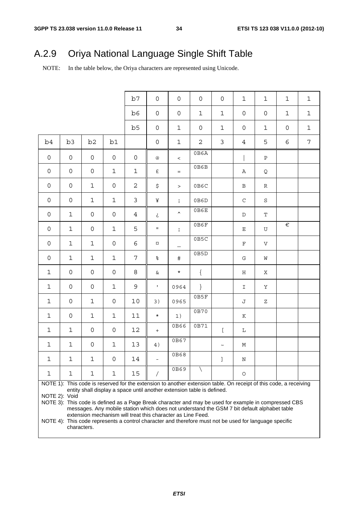# A.2.9 Oriya National Language Single Shift Table

NOTE: In the table below, the Oriya characters are represented using Unicode.

|              |                                                                                                                                                                                                                                                                                                                                                                                                                                                                                     |                     |                     | b7             | $\mathsf{O}$        | $\mathsf{O}$      | $\mathsf{O}$        | $\mathsf{O}$ | $\mathbf 1$   | 1            | $\mathbf{1}$        | $\mathbf{1}$   |  |
|--------------|-------------------------------------------------------------------------------------------------------------------------------------------------------------------------------------------------------------------------------------------------------------------------------------------------------------------------------------------------------------------------------------------------------------------------------------------------------------------------------------|---------------------|---------------------|----------------|---------------------|-------------------|---------------------|--------------|---------------|--------------|---------------------|----------------|--|
|              |                                                                                                                                                                                                                                                                                                                                                                                                                                                                                     |                     |                     | b6             | $\mathsf{O}\xspace$ | $\mathsf{O}$      | $\mathbf{1}$        | $\mathbf{1}$ | 0             | 0            | $\mathbf{1}$        | $1\,$          |  |
|              |                                                                                                                                                                                                                                                                                                                                                                                                                                                                                     |                     |                     | b5             | $\mathsf{O}\xspace$ | $\mathbf{1}$      | $\mathsf{O}\xspace$ | $\mathbf{1}$ | 0             | $\mathbf{1}$ | $\mathsf{O}\xspace$ | $\mathbf 1$    |  |
| b4           | b <sub>3</sub>                                                                                                                                                                                                                                                                                                                                                                                                                                                                      | b2                  | b1                  |                | $\mathsf{O}\xspace$ | $\mathbf{1}$      | 2                   | 3            | 4             | 5            | 6                   | $\overline{7}$ |  |
| $\mathsf{O}$ | $\mathsf{O}$                                                                                                                                                                                                                                                                                                                                                                                                                                                                        | 0                   | $\mathsf{O}\xspace$ | $\mathsf{O}$   | $^{\copyright}$     | $\,<\,$           | 0B6A                |              |               | $\, {\bf P}$ |                     |                |  |
| $\mathsf{O}$ | $\mathbf 0$                                                                                                                                                                                                                                                                                                                                                                                                                                                                         | $\mathsf{O}\xspace$ | $\mathbf 1$         | $\mathbf{1}$   | $\pounds$           | $=$               | 0B6B                |              | Α             | Q            |                     |                |  |
| $\mathsf{O}$ | $\mathbf 0$                                                                                                                                                                                                                                                                                                                                                                                                                                                                         | $\mathbf{1}$        | 0                   | $\mathbf{2}$   | \$                  | $\geq$            | 0B6C                |              | $\, {\bf B}$  | R            |                     |                |  |
| $\mathsf{O}$ | 0                                                                                                                                                                                                                                                                                                                                                                                                                                                                                   | $\mathbf{1}$        | $\mathbf 1$         | 3              | ¥                   | $\mathbf{i}$      | 0B6D                |              | $\mathsf C$   | S            |                     |                |  |
| $\mathsf{O}$ | $\mathbf 1$                                                                                                                                                                                                                                                                                                                                                                                                                                                                         | $\mathsf{O}\xspace$ | 0                   | $\overline{4}$ | خ                   | $\blacktriangle$  | 0B6E                |              | $\mathbb D$   | $\mathbf T$  |                     |                |  |
| 0            | $\mathbf 1$                                                                                                                                                                                                                                                                                                                                                                                                                                                                         | $\mathsf{O}\xspace$ | $\mathbf{1}$        | 5              | $\mathbf H$         | $\mathbf{i}$      | 0B6F                |              | $\mathbf E$   | U            | $\in$               |                |  |
| 0            | $\mathbf{1}$                                                                                                                                                                                                                                                                                                                                                                                                                                                                        | $\mathbf{1}$        | 0                   | 6              | $\alpha$            | $\qquad \qquad -$ | 0B5C                |              | F             | V            |                     |                |  |
| 0            | $\mathbf{1}$                                                                                                                                                                                                                                                                                                                                                                                                                                                                        | $\mathbf{1}$        | $\mathbf 1$         | 7              | $\%$                | $\#$              | 0B5D                |              | ${\mathbb G}$ | M            |                     |                |  |
| $\mathbf{1}$ | 0                                                                                                                                                                                                                                                                                                                                                                                                                                                                                   | 0                   | 0                   | 8              | $\&$                | $\star$           | $\{$                |              | H             | Χ            |                     |                |  |
| $\mathbf{1}$ | 0                                                                                                                                                                                                                                                                                                                                                                                                                                                                                   | $\mathsf{O}\xspace$ | $\mathbf 1$         | 9              | $\mathbf{L}$        | 0964              | $\}$                |              | $\mathbbm{1}$ | Y            |                     |                |  |
| $\mathbf{1}$ | 0                                                                                                                                                                                                                                                                                                                                                                                                                                                                                   | $\mathbf{1}$        | 0                   | 10             | 3)                  | 0965              | 0B5F                |              | J             | Ζ            |                     |                |  |
| $\mathbf{1}$ | 0                                                                                                                                                                                                                                                                                                                                                                                                                                                                                   | $\mathbf{1}$        | $\mathbf 1$         | 11             | $\star$             | 1)                | 0B70                |              | Κ             |              |                     |                |  |
| $\mathbf{1}$ | $\mathbf{1}$                                                                                                                                                                                                                                                                                                                                                                                                                                                                        | 0                   | 0                   | 12             | $+$                 | 0B66              | 0B71                | $\mathbf{r}$ | L             |              |                     |                |  |
| $\mathbf{1}$ | $\mathbf{1}$                                                                                                                                                                                                                                                                                                                                                                                                                                                                        | 0                   | $\mathbf 1$         | 13             | 4)                  | 0B67              |                     | $\thicksim$  | М             |              |                     |                |  |
| $\mathbf{1}$ | $\mathbf{1}$                                                                                                                                                                                                                                                                                                                                                                                                                                                                        | $\mathbf{1}$        | $\mathsf{O}$        | $14\,$         |                     | 0B68              |                     | $\mathbf{1}$ | $\, {\rm N}$  |              |                     |                |  |
| 1            | 1                                                                                                                                                                                                                                                                                                                                                                                                                                                                                   | 1                   | 1                   | 15             | $\sqrt{2}$          | 0B69              |                     |              | $\bigcirc$    |              |                     |                |  |
|              | NOTE 1): This code is reserved for the extension to another extension table. On receipt of this code, a receiving<br>entity shall display a space until another extension table is defined.<br>NOTE 2): Void<br>NOTE 3): This code is defined as a Page Break character and may be used for example in compressed CBS<br>messages. Any mobile station which does not understand the GSM 7 bit default alphabet table<br>extension mechanism will treat this character as Line Feed. |                     |                     |                |                     |                   |                     |              |               |              |                     |                |  |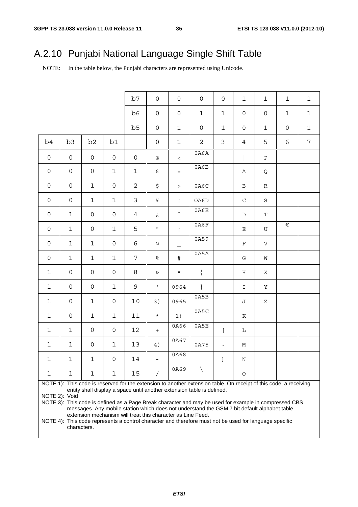# A.2.10 Punjabi National Language Single Shift Table

NOTE: In the table below, the Punjabi characters are represented using Unicode.

|              |                     |                     |              | b7             | $\mathsf{O}$        | $\mathsf{O}$        | $\mathsf{O}$                                                                                                      | $\mathsf{O}$          | $\mathbf 1$    | $\mathbf 1$  | $\mathbf{1}$        | $\mathbf 1$    |
|--------------|---------------------|---------------------|--------------|----------------|---------------------|---------------------|-------------------------------------------------------------------------------------------------------------------|-----------------------|----------------|--------------|---------------------|----------------|
|              |                     |                     |              | b6             | $\mathsf{O}\xspace$ | $\mathsf{O}\xspace$ | $\mathbf 1$                                                                                                       | $\mathbf{1}$          | $\mathbf 0$    | 0            | $\mathbf 1$         | $\mathbf 1$    |
|              |                     |                     |              | b5             | $\mathsf{O}\xspace$ | $\mathbf{1}$        | $\mathsf{O}\xspace$                                                                                               | $\mathbf 1$           | $\mathsf{O}$   | $\mathbf 1$  | $\mathsf{O}\xspace$ | $\mathbf 1$    |
| b4           | b <sub>3</sub>      | b2                  | b1           |                | $\mathsf{O}\xspace$ | $\mathbf 1$         | $\overline{2}$                                                                                                    | $\mathfrak{Z}$        | $\overline{4}$ | 5            | 6                   | $\overline{7}$ |
| $\mathsf{O}$ | $\mathsf{O}$        | 0                   | 0            | $\mathsf{O}$   | $^{\copyright}$     | $\,<\,$             | 0A6A                                                                                                              |                       |                | $\, {\bf P}$ |                     |                |
| $\mathsf{O}$ | $\mathbf 0$         | $\mathsf{O}\xspace$ | $\mathbf 1$  | $\mathbf{1}$   | $\pounds$           | $=$                 | 0A6B                                                                                                              |                       | Α              | Q            |                     |                |
| $\mathsf{O}$ | $\mathbf 0$         | $\mathbf 1$         | 0            | $\overline{c}$ | \$                  | $\, >$              | 0A6C                                                                                                              |                       | $\, {\bf B}$   | R            |                     |                |
| $\mathsf{O}$ | 0                   | $\mathbf 1$         | $\mathbf 1$  | $\mathfrak{Z}$ | ¥                   | $\mathbf{i}$        | OA6D                                                                                                              |                       | $\mathsf C$    | S            |                     |                |
| 0            | $\mathbf 1$         | $\mathsf{O}\xspace$ | 0            | $\overline{4}$ | خ                   | $\hat{\phantom{a}}$ | 0A6E                                                                                                              |                       | $\mathbb D$    | $\mathbf T$  |                     |                |
| 0            | $\mathbf 1$         | $\mathsf{O}\xspace$ | $\mathbf 1$  | 5              | $\mathbf H$         | $\mathbf{i}$        | 0A6F                                                                                                              |                       | $\mathbf E$    | U            | $\in$               |                |
| 0            | $\mathbf 1$         | $\mathbf 1$         | 0            | 6              | $\alpha$            | $\qquad \qquad -$   | 0A59                                                                                                              |                       | $\mathbf F$    | $\mathbf V$  |                     |                |
| 0            | $\mathbf 1$         | $\mathbf 1$         | $\mathbf 1$  | 7              | $\,$ %              | $\#$                | 0A5A                                                                                                              |                       | ${\mathbb G}$  | W            |                     |                |
| $\mathbf{1}$ | $\mathsf{O}\xspace$ | 0                   | 0            | 8              | $\&$                | $\star$             | $\{$                                                                                                              |                       | Η              | Χ            |                     |                |
| $\mathbf{1}$ | $\mathbf 0$         | $\mathsf{O}\xspace$ | $\mathbf{1}$ | 9              | $\mathbf{L}$        | 0964                | $\}$                                                                                                              |                       | $\mathbbm{I}$  | Υ            |                     |                |
| $\mathbf{1}$ | $\mathbf 0$         | $\mathbf{1}$        | 0            | 10             | 3)                  | 0965                | 0A5B                                                                                                              |                       | J              | Ζ            |                     |                |
| $\mathbf{1}$ | 0                   | $\mathbf{1}$        | $\mathbf{1}$ | 11             | $\star$             | 1)                  | 0A5C                                                                                                              |                       | Κ              |              |                     |                |
| $\mathbf{1}$ | $\mathbf{1}$        | $\mathsf{O}\xspace$ | 0            | 12             | $+$                 | 0A66                | 0A5E                                                                                                              | $\mathsf{L}$          | L              |              |                     |                |
| $\mathbf{1}$ | $\mathbf{1}$        | 0                   | $\mathbf 1$  | 13             | 4)                  | 0A67                | 0A75                                                                                                              | $\tilde{\phantom{a}}$ | М              |              |                     |                |
| $\mathbf 1$  | $\mathbf 1$         | $\mathbf 1$         | $\mathsf{O}$ | 14             |                     | 0A68                |                                                                                                                   | $\mathbf{I}$          | $\, {\bf N}$   |              |                     |                |
| 1            | 1                   | 1                   | 1            | 15             | $\sqrt{2}$          | 0A69                |                                                                                                                   |                       | $\circ$        |              |                     |                |
|              |                     |                     |              |                |                     |                     | NOTE 1): This code is reserved for the extension to another extension table. On receipt of this code, a receiving |                       |                |              |                     |                |
|              | NOTE 2): Void       |                     |              |                |                     |                     | entity shall display a space until another extension table is defined.                                            |                       |                |              |                     |                |
|              |                     |                     |              |                |                     |                     | NOTE 3): This code is defined as a Page Break character and may be used for example in compressed CBS             |                       |                |              |                     |                |
|              |                     |                     |              |                |                     |                     | messages. Any mobile station which does not understand the GSM 7 bit default alphabet table                       |                       |                |              |                     |                |

extension mechanism will treat this character as Line Feed.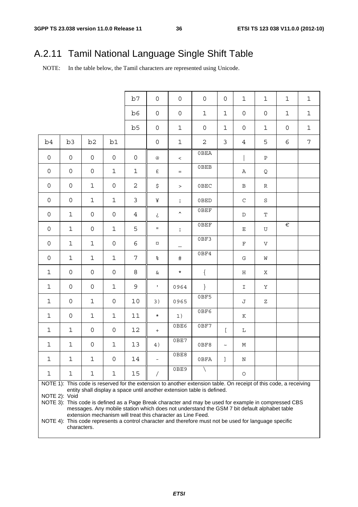# A.2.11 Tamil National Language Single Shift Table

NOTE: In the table below, the Tamil characters are represented using Unicode.

|              |               |                     |              | b7             | $\mathsf{O}$        | 0                | $\mathbf 0$                                                                                                       | 0            | $\mathbf 1$   | $\mathbf{1}$ | $\mathbf{1}$        | $\mathbf{1}$   |
|--------------|---------------|---------------------|--------------|----------------|---------------------|------------------|-------------------------------------------------------------------------------------------------------------------|--------------|---------------|--------------|---------------------|----------------|
|              |               |                     |              | b6             | $\mathsf{O}\xspace$ | $\mathsf{O}$     | $\mathbf 1$                                                                                                       | $\mathbf 1$  | 0             | 0            | $\mathbf{1}$        | $\mathbf{1}$   |
|              |               |                     |              | b5             | $\mathsf{O}\xspace$ | $\mathbf{1}$     | $\mathsf{O}\xspace$                                                                                               | $\mathbf{1}$ | 0             | $\mathbf{1}$ | $\mathsf{O}\xspace$ | $\mathbf{1}$   |
| b4           | b3            | b2                  | b1           |                | $\mathbf 0$         | $\mathbf{1}$     | 2                                                                                                                 | 3            | 4             | 5            | 6                   | $\overline{7}$ |
| $\mathsf{O}$ | $\mathsf{O}$  | 0                   | $\mathsf{O}$ | $\mathsf{O}$   | @                   | $\lt$            | 0BEA                                                                                                              |              |               | $\, {\bf P}$ |                     |                |
| $\mathsf{O}$ | 0             | $\mathsf{O}\xspace$ | $\mathbf{1}$ | $\mathbf{1}$   | $\pounds$           | $=$              | 0BEB                                                                                                              |              | Α             | Q            |                     |                |
| $\mathsf{O}$ | $\mathsf{O}$  | $\mathbf{1}$        | 0            | $\mathbf{2}$   | \$                  | $\geq$           | 0BEC                                                                                                              |              | $\, {\bf B}$  | R            |                     |                |
| $\mathsf{O}$ | 0             | $\mathbf{1}$        | $\mathbf 1$  | 3              | ¥                   | $\mathbf{i}$     | 0BED                                                                                                              |              | $\mathsf C$   | S            |                     |                |
| $\mathsf{O}$ | $\mathbf{1}$  | $\mathsf{O}\xspace$ | 0            | $\overline{4}$ | خ                   | $\blacktriangle$ | 0BEF                                                                                                              |              | $\mathbb D$   | $\mathbf T$  |                     |                |
| 0            | $\mathbf 1$   | $\mathsf{O}\xspace$ | $\mathbf{1}$ | 5              | $\mathbf H$         | $\mathbf{i}$     | $0$ BEF                                                                                                           |              | $\mathbf E$   | U            | $\in$               |                |
| 0            | $\mathbf{1}$  | $\mathbf{1}$        | 0            | 6              | $\alpha$            |                  | 0BF3                                                                                                              |              | F             | V            |                     |                |
| 0            | $\mathbf{1}$  | $\mathbf{1}$        | $\mathbf{1}$ | 7              | $\%$                | $\#$             | 0BF4                                                                                                              |              | ${\mathbb G}$ | M            |                     |                |
| $\mathbf{1}$ | 0             | 0                   | 0            | 8              | $\&$                | $\star$          | $\{$                                                                                                              |              | H             | Χ            |                     |                |
| $\mathbf{1}$ | 0             | $\mathsf{O}\xspace$ | $\mathbf 1$  | 9              | $\mathbf{L}$        | 0964             | $\}$                                                                                                              |              | $\mathbbm{1}$ | Y            |                     |                |
| $\mathbf{1}$ | 0             | $\mathbf{1}$        | 0            | 10             | 3)                  | 0965             | 0BF5                                                                                                              |              | J             | Ζ            |                     |                |
| $\mathbf{1}$ | 0             | $\mathbf{1}$        | $\mathbf 1$  | 11             | $\star$             | 1)               | 0BF6                                                                                                              |              | $\rm K$       |              |                     |                |
| $\mathbf{1}$ | $\mathbf{1}$  | 0                   | 0            | 12             | $+$                 | 0BE6             | 0BF7                                                                                                              | $\mathbf{r}$ | L             |              |                     |                |
| $\mathbf{1}$ | $\mathbf 1$   | 0                   | $\mathbf 1$  | 13             | 4)                  | 0BE7             | 0BF8                                                                                                              | $\thicksim$  | М             |              |                     |                |
| $\mathbf{1}$ | $\mathbf{1}$  | $\mathbf{1}$        | $\mathsf{O}$ | $14\,$         |                     | 0BE8             | 0BFA                                                                                                              | $\mathbf{I}$ | $\,$ N        |              |                     |                |
| 1            | 1             | 1                   | 1            | 15             | $\sqrt{2}$          | 0BE9             |                                                                                                                   |              | $\bigcirc$    |              |                     |                |
|              |               |                     |              |                |                     |                  | NOTE 1): This code is reserved for the extension to another extension table. On receipt of this code, a receiving |              |               |              |                     |                |
|              |               |                     |              |                |                     |                  | entity shall display a space until another extension table is defined.                                            |              |               |              |                     |                |
|              | NOTE 2): Void |                     |              |                |                     |                  |                                                                                                                   |              |               |              |                     |                |
|              |               |                     |              |                |                     |                  | NOTE 3): This code is defined as a Page Break character and may be used for example in compressed CBS             |              |               |              |                     |                |
|              |               |                     |              |                |                     |                  | messages. Any mobile station which does not understand the GSM 7 bit default alphabet table                       |              |               |              |                     |                |

extension mechanism will treat this character as Line Feed.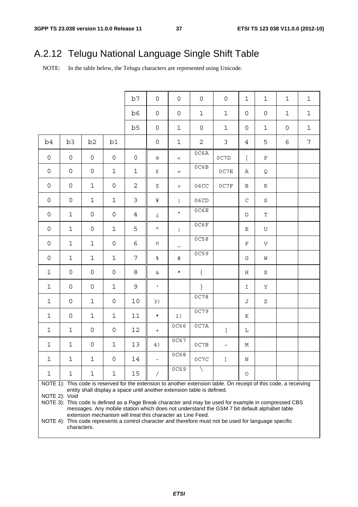# A.2.12 Telugu National Language Single Shift Table

NOTE: In the table below, the Telugu characters are represented using Unicode.

|                     |                     |                     |              | b7             | $\mathsf{O}\xspace$ | $\mathsf{O}\xspace$                                         | $\mathsf{O}\xspace$                                                    | $\mathsf{O}\xspace$                                                                                                                                                                                                                                                                                                       | $\mathbf 1$         | $\mathbf{1}$              | $\mathbf{1}$        | $\mathbf 1$  |
|---------------------|---------------------|---------------------|--------------|----------------|---------------------|-------------------------------------------------------------|------------------------------------------------------------------------|---------------------------------------------------------------------------------------------------------------------------------------------------------------------------------------------------------------------------------------------------------------------------------------------------------------------------|---------------------|---------------------------|---------------------|--------------|
|                     |                     |                     |              | b6             | $\mathsf{O}\xspace$ | $\mathsf{O}\xspace$                                         | $\mathbf 1$                                                            | $\mathbf 1$                                                                                                                                                                                                                                                                                                               | 0                   | $\mathsf{O}\xspace$       | $\mathbf{1}$        | $\mathbf 1$  |
|                     |                     |                     |              | b <sub>5</sub> | $\mathsf{O}\xspace$ | $\mathbf 1$                                                 | $\mathsf{O}\xspace$                                                    | $\mathbf 1$                                                                                                                                                                                                                                                                                                               | $\mathsf{O}\xspace$ | $\mathbf{1}$              | $\mathsf{O}\xspace$ | $\mathbf{1}$ |
| b4                  | b <sub>3</sub>      | b <sub>2</sub>      | b1           |                | $\mathsf{O}\xspace$ | $\mathbf 1$                                                 | $\sqrt{2}$                                                             | $\mathfrak{Z}$                                                                                                                                                                                                                                                                                                            | 4                   | 5                         | 6                   | 7            |
| $\mathsf{O}$        | 0                   | 0                   | 0            | 0              | $^\copyright$       | $\,<$                                                       | 0C6A                                                                   | 0C7D                                                                                                                                                                                                                                                                                                                      |                     | Ρ                         |                     |              |
| $\mathsf{O}\xspace$ | $\mathsf{O}\xspace$ | $\mathsf{O}\xspace$ | $\mathbf 1$  | $\mathbf{1}$   | £                   | $=$                                                         | 0C6B                                                                   | 0C7E                                                                                                                                                                                                                                                                                                                      | Α                   | Q                         |                     |              |
| 0                   | $\mathsf{O}\xspace$ | $\mathbf{1}$        | 0            | $\overline{a}$ | \$                  | $\, >$                                                      | 06CC                                                                   | 0C7F                                                                                                                                                                                                                                                                                                                      | Β                   | R                         |                     |              |
| 0                   | $\mathsf{O}\xspace$ | $\mathbf{1}$        | $\mathbf 1$  | 3              | ¥                   | $\mathbf{i}$                                                | 06CD                                                                   |                                                                                                                                                                                                                                                                                                                           | $\mathsf C$         | S                         |                     |              |
| $\mathsf{O}\xspace$ | $\mathbf 1$         | 0                   | 0            | $\overline{4}$ | خ                   | $\blacktriangle$                                            | 0C6E                                                                   |                                                                                                                                                                                                                                                                                                                           | D                   | T                         |                     |              |
| 0                   | $\mathbf 1$         | 0                   | $\mathbf 1$  | 5              | $\mathbf H$         | $\mathbf i$                                                 | 0C6F                                                                   |                                                                                                                                                                                                                                                                                                                           | $\mathbf E$         | ${\rm U}$                 |                     |              |
| 0                   | $\mathbf 1$         | $\mathbf{1}$        | 0            | 6              | $\alpha$            | —                                                           | 0C58                                                                   |                                                                                                                                                                                                                                                                                                                           | $\mathbf F$         | $\boldsymbol{\mathrm{V}}$ |                     |              |
| 0                   | $\mathbf{1}$        | $\mathbf{1}$        | $\mathbf 1$  | 7              | $\%$                | $\#$                                                        | 0C59                                                                   |                                                                                                                                                                                                                                                                                                                           | G                   | W                         |                     |              |
| $\mathbf{1}$        | $\mathbf 0$         | 0                   | 0            | 8              | $\&$                | $\star$                                                     | $\{$                                                                   |                                                                                                                                                                                                                                                                                                                           | Η                   | Χ                         |                     |              |
| $\mathbf{1}$        | $\mathbf 0$         | 0                   | $\mathbf{1}$ | 9              | $\mathbf{I}$        |                                                             | $\}$                                                                   |                                                                                                                                                                                                                                                                                                                           | I                   | Υ                         |                     |              |
| $\mathbf{1}$        | $\mathbf 0$         | $\mathbf{1}$        | 0            | 10             | 3)                  |                                                             | 0C78                                                                   |                                                                                                                                                                                                                                                                                                                           | J                   | Ζ                         |                     |              |
| $\mathbf{1}$        | $\mathbf 0$         | $\mathbf{1}$        | $\mathbf 1$  | 11             | $\star$             | 1)                                                          | 0C79                                                                   |                                                                                                                                                                                                                                                                                                                           | Κ                   |                           |                     |              |
| $\mathbf{1}$        | $\mathbf{1}$        | 0                   | 0            | 12             | $\qquad \qquad +$   | <b>0C66</b>                                                 | 0C7A                                                                   | $\Gamma$                                                                                                                                                                                                                                                                                                                  | $\mathbf L$         |                           |                     |              |
| $\mathbf{1}$        | $\mathbf{1}$        | 0                   | $\mathbf 1$  | 13             | 4)                  | 0C67                                                        | 0C7B                                                                   | $\thicksim$                                                                                                                                                                                                                                                                                                               | М                   |                           |                     |              |
| $\mathbf 1$         | $\mathbf 1$         | $\mathbf 1$         | $\mathsf{O}$ | 14             |                     | 0C68                                                        | 0C7C                                                                   | $\begin{array}{c} \end{array}$                                                                                                                                                                                                                                                                                            | $\mathbf N$         |                           |                     |              |
| 1                   | 1                   | 1                   | 1            | 15             | $\prime$            | 0C69                                                        |                                                                        |                                                                                                                                                                                                                                                                                                                           | $\circ$             |                           |                     |              |
|                     | NOTE 2): Void       |                     |              |                |                     | extension mechanism will treat this character as Line Feed. | entity shall display a space until another extension table is defined. | NOTE 1): This code is reserved for the extension to another extension table. On receipt of this code, a receiving<br>NOTE 3): This code is defined as a Page Break character and may be used for example in compressed CBS<br>messages. Any mobile station which does not understand the GSM 7 bit default alphabet table |                     |                           |                     |              |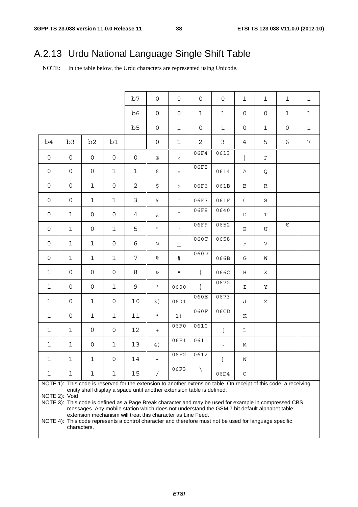# A.2.13 Urdu National Language Single Shift Table

NOTE: In the table below, the Urdu characters are represented using Unicode.

|                     |                     |                     |                     | b7             | $\mathsf{O}$        | $\mathsf{O}\xspace$                                                    | 0              | $\mathsf{O}$                                                                                                      | $1\,$         | $\mathbf{1}$ | $\mathbf{1}$        | $\mathbf 1$  |
|---------------------|---------------------|---------------------|---------------------|----------------|---------------------|------------------------------------------------------------------------|----------------|-------------------------------------------------------------------------------------------------------------------|---------------|--------------|---------------------|--------------|
|                     |                     |                     |                     | b6             | $\mathsf{O}\xspace$ | $\mathsf{O}\xspace$                                                    | $\mathbf 1$    | $\mathbf 1$                                                                                                       | 0             | 0            | $\mathbf{1}$        | $\mathbf 1$  |
|                     |                     |                     |                     | b5             | $\mathsf{O}\xspace$ | $\mathbf{1}$                                                           | 0              | $\mathbf 1$                                                                                                       | 0             | $\mathbf{1}$ | $\mathsf{O}\xspace$ | $\mathbf{1}$ |
| b4                  | b3                  | b2                  | b1                  |                | $\mathsf{O}\xspace$ | $\mathbf 1$                                                            | $\overline{a}$ | $\mathfrak{Z}$                                                                                                    | 4             | 5            | 6                   | 7            |
| $\mathsf{O}$        | 0                   | 0                   | $\mathsf{O}\xspace$ | $\mathsf{O}$   | $^\copyright$       | $\,<\,$                                                                | 06F4           | 0613                                                                                                              |               | $\, {\bf P}$ |                     |              |
| 0                   | 0                   | $\mathsf{O}\xspace$ | $\mathbf 1$         | $\mathbf{1}$   | $\pounds$           | $=$                                                                    | 06F5           | 0614                                                                                                              | Α             | Q            |                     |              |
| $\mathsf{O}\xspace$ | $\mathsf{O}\xspace$ | $\mathbf 1$         | $\mathsf{O}\xspace$ | $\mathbf{2}$   | \$                  | $\geq$                                                                 | 06F6           | 061B                                                                                                              | В             | R            |                     |              |
| $\mathsf{O}\xspace$ | $\mathsf{O}\xspace$ | $\mathbf 1$         | $\mathbf 1$         | 3              | ¥                   | $\mathbf{i}$                                                           | 06F7           | 061F                                                                                                              | $\mathsf C$   | $\rm S$      |                     |              |
| $\mathsf{O}\xspace$ | $\mathbf 1$         | 0                   | 0                   | $\overline{4}$ | خ                   | $\hat{\phantom{a}}$                                                    | 06F8           | 0640                                                                                                              | D             | T            |                     |              |
| $\mathsf{O}\xspace$ | 1                   | 0                   | $\mathbf{1}$        | 5              | $\mathbf{H}_\perp$  | $\mathbf{i}$                                                           | 06F9           | 0652                                                                                                              | $\mathbf E$   | ${\rm U}$    | $\in$               |              |
| $\mathsf{O}\xspace$ | 1                   | 1                   | 0                   | 6              | $\alpha$            | $\overline{\phantom{0}}$                                               | 060C           | 0658                                                                                                              | $\mathbf F$   | V            |                     |              |
| $\mathsf{O}\xspace$ | 1                   | 1                   | $\mathbf 1$         | 7              | $\frac{8}{6}$       | $\#$                                                                   | 060D           | 066B                                                                                                              | G             | W            |                     |              |
| $\mathbf{1}$        | $\mathsf{O}\xspace$ | $\mathsf{O}\xspace$ | 0                   | 8              | &                   | $\star$                                                                | $\{$           | 066C                                                                                                              | Η             | Χ            |                     |              |
| $\mathbf{1}$        | $\mathsf{O}\xspace$ | $\mathsf{O}\xspace$ | $\mathbf{1}$        | 9              | $\mathbf{L}$        | 0600                                                                   | $\}$           | 0672                                                                                                              | $\mathbbm{I}$ | Υ            |                     |              |
| $\mathbf{1}$        | $\mathsf{O}\xspace$ | $\mathbf{1}$        | 0                   | 10             | 3)                  | 0601                                                                   | 060E           | 0673                                                                                                              | J             | Ζ            |                     |              |
| $\mathbf{1}$        | $\mathsf{O}\xspace$ | $\mathbf{1}$        | $\mathbf{1}$        | 11             | $\star$             | 1)                                                                     | 060F           | 06CD                                                                                                              | K             |              |                     |              |
| $\mathbf{1}$        | $\mathbf{1}$        | $\mathsf{O}\xspace$ | 0                   | 12             | $+$                 | 06F0                                                                   | 0610           | $\lceil$                                                                                                          | L             |              |                     |              |
| $\mathbf{1}$        | $\mathbf{1}$        | $\mathsf{O}\xspace$ | $\mathbf{1}$        | 13             | 4)                  | 06F1                                                                   | 0611           | $\thicksim$                                                                                                       | M             |              |                     |              |
| $\mathbf 1$         | $\mathbf{1}$        | $\mathbf{1}$        | $\overline{0}$      | 14             |                     | 06F2                                                                   | 0612           | $\begin{array}{c} \end{array}$                                                                                    | $\mathbb N$   |              |                     |              |
| $\mathbf 1$         | 1                   | 1                   | 1                   | 15             | $\sqrt{2}$          | 06F3                                                                   |                | 06D4                                                                                                              | $\circ$       |              |                     |              |
|                     |                     |                     |                     |                |                     |                                                                        |                | NOTE 1): This code is reserved for the extension to another extension table. On receipt of this code, a receiving |               |              |                     |              |
|                     |                     |                     |                     |                |                     | entity shall display a space until another extension table is defined. |                |                                                                                                                   |               |              |                     |              |
|                     | NOTE 2): Void       |                     |                     |                |                     |                                                                        |                |                                                                                                                   |               |              |                     |              |
|                     |                     |                     |                     |                |                     |                                                                        |                | NOTE 3): This code is defined as a Page Break character and may be used for example in compressed CBS             |               |              |                     |              |
|                     |                     |                     |                     |                |                     |                                                                        |                | messages. Any mobile station which does not understand the GSM 7 bit default alphabet table                       |               |              |                     |              |

extension mechanism will treat this character as Line Feed.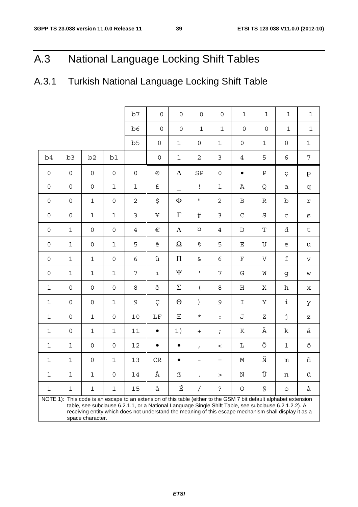# A.3 National Language Locking Shift Tables

# A.3.1 Turkish National Language Locking Shift Table

|             |             |                     |              | b7                  | 0                         | 0                   | 0                        | $\mathbf 0$         | $\mathbf{1}$        | $\mathbf 1$                                                                                                                                                                                                                                                                                                                        | $\mathbf 1$         | $\mathbf 1$                                                                                                                                                                                                                                                                                                                                                                                                                    |
|-------------|-------------|---------------------|--------------|---------------------|---------------------------|---------------------|--------------------------|---------------------|---------------------|------------------------------------------------------------------------------------------------------------------------------------------------------------------------------------------------------------------------------------------------------------------------------------------------------------------------------------|---------------------|--------------------------------------------------------------------------------------------------------------------------------------------------------------------------------------------------------------------------------------------------------------------------------------------------------------------------------------------------------------------------------------------------------------------------------|
|             |             |                     |              | b6                  | $\mathbf 0$               | $\mathsf{O}\xspace$ | $\mathbf 1$              | 1                   | $\mathbf 0$         | $\mathsf{O}\xspace$                                                                                                                                                                                                                                                                                                                | $\mathbf{1}$        | 1                                                                                                                                                                                                                                                                                                                                                                                                                              |
|             |             |                     |              | b5                  | $\mathsf{O}\xspace$       | $\mathbf 1$         | $\mathsf{O}\xspace$      | 1                   | $\mathsf{O}\xspace$ | 1                                                                                                                                                                                                                                                                                                                                  | $\mathsf{O}\xspace$ | $\mathbf 1$                                                                                                                                                                                                                                                                                                                                                                                                                    |
| b4          | b3          | b <sub>2</sub>      | b1           |                     | $\mathsf{O}\xspace$       | $\mathbf 1$         | $\overline{c}$           | 3                   | $\overline{4}$      | 5                                                                                                                                                                                                                                                                                                                                  | $\epsilon$          | $\overline{7}$                                                                                                                                                                                                                                                                                                                                                                                                                 |
| $\mathbf 0$ | $\mathbf 0$ | $\mathbf 0$         | 0            | $\mathsf{O}\xspace$ | $^\text{\textregistered}$ | $\Delta$            | SP                       | $\mathsf{O}\xspace$ | $\bullet$           | $\, {\bf P}$                                                                                                                                                                                                                                                                                                                       | Ç                   | p                                                                                                                                                                                                                                                                                                                                                                                                                              |
| $\mathbf 0$ | $\mathbf 0$ | 0                   | 1            | $\mathbf 1$         | $\pounds$                 | $\qquad \qquad -$   | Ţ                        | 1                   | Α                   | Q                                                                                                                                                                                                                                                                                                                                  | a                   | q                                                                                                                                                                                                                                                                                                                                                                                                                              |
| $\mathbf 0$ | $\mathbf 0$ | 1                   | 0            | $\overline{2}$      | \$                        | $\Phi$              | $\mathbf H$              | $\overline{c}$      | $\, {\bf B}$        | $\mathbb R$                                                                                                                                                                                                                                                                                                                        | b                   | $\ensuremath{\mathbf{r}}$                                                                                                                                                                                                                                                                                                                                                                                                      |
| $\mathbf 0$ | $\mathbf 0$ | 1                   | 1            | 3                   | ¥                         | $\Gamma$            | $\#$                     | 3                   | $\mathsf C$         | $\rm S$                                                                                                                                                                                                                                                                                                                            | $\mathsf{C}$        | S                                                                                                                                                                                                                                                                                                                                                                                                                              |
| $\mathbf 0$ | 1           | $\mathbf 0$         | 0            | $\overline{4}$      | €                         | $\Lambda$           | ¤                        | $\overline{4}$      | $\mathbb D$         | $\mathbf T$                                                                                                                                                                                                                                                                                                                        | d                   | $\mathsf t$                                                                                                                                                                                                                                                                                                                                                                                                                    |
| $\mathbf 0$ | 1           | $\mathbf 0$         | 1            | 5                   | $\acute{\text e}$         | Ω                   | $\,{}^{\circ}_{\circ}$   | 5                   | Ε                   | U                                                                                                                                                                                                                                                                                                                                  | e                   | u                                                                                                                                                                                                                                                                                                                                                                                                                              |
| $\mathbf 0$ | $\mathbf 1$ | $\mathbf 1$         | 0            | 6                   | ù                         | $\boldsymbol{\Pi}$  | $\delta$                 | 6                   | F                   | $\boldsymbol{\nabla}$                                                                                                                                                                                                                                                                                                              | $\mathbf f$         | v                                                                                                                                                                                                                                                                                                                                                                                                                              |
| 0           | $\mathbf 1$ | $\mathbf 1$         | 1            | 7                   | $\mathbf 1$               | $\Psi$              | $\mathbf{I}$             | 7                   | G                   | W                                                                                                                                                                                                                                                                                                                                  | g                   | W                                                                                                                                                                                                                                                                                                                                                                                                                              |
| 1           | $\mathbf 0$ | 0                   | 0            | 8                   | ò                         | $\Sigma$            | $\overline{(\ }$         | 8                   | $\rm H$             | Χ                                                                                                                                                                                                                                                                                                                                  | h                   | X                                                                                                                                                                                                                                                                                                                                                                                                                              |
| 1           | $\mathbf 0$ | 0                   | 1            | 9                   | Ç                         | $\Theta$            | $\left( \right)$         | 9                   | I                   | Υ                                                                                                                                                                                                                                                                                                                                  | i                   | У                                                                                                                                                                                                                                                                                                                                                                                                                              |
| 1           | $\mathbf 0$ | 1                   | 0            | 10                  | $\rm LF$                  | $\Xi$               | $^\star$                 | :                   | J                   | Ζ                                                                                                                                                                                                                                                                                                                                  | j                   | $\mathbf{Z}% _{0}=\mathbf{Z}_{0}=\mathbf{Z}_{0}=\mathbf{Z}_{0}=\mathbf{Z}_{0}=\mathbf{Z}_{0}=\mathbf{Z}_{0}=\mathbf{Z}_{0}=\mathbf{Z}_{0}=\mathbf{Z}_{0}=\mathbf{Z}_{0}=\mathbf{Z}_{0}=\mathbf{Z}_{0}=\mathbf{Z}_{0}=\mathbf{Z}_{0}=\mathbf{Z}_{0}=\mathbf{Z}_{0}=\mathbf{Z}_{0}=\mathbf{Z}_{0}=\mathbf{Z}_{0}=\mathbf{Z}_{0}=\mathbf{Z}_{0}=\mathbf{Z}_{0}=\mathbf{Z}_{0}=\mathbf{Z}_{0}=\mathbf{Z}_{0}=\mathbf{Z}_{0}=\math$ |
| 1           | $\mathbf 0$ | 1                   | 1            | 11                  | $\bullet$                 | 1)                  | $\pm$                    | $\ddot{r}$          | К                   | Ä                                                                                                                                                                                                                                                                                                                                  | k                   | ä                                                                                                                                                                                                                                                                                                                                                                                                                              |
| 1           | 1           | 0                   | 0            | 12                  | $\bullet$                 | $\bullet$           | $\mathbf{r}$             | $\,<\,$             | Г                   | Ö                                                                                                                                                                                                                                                                                                                                  | $\mathbf 1$         | Ö                                                                                                                                                                                                                                                                                                                                                                                                                              |
| $\mathbf 1$ | $\mathbf 1$ | $\mathsf{O}\xspace$ | 1            | 13                  | $\mathrm{CR}$             | $\bullet$           | $\overline{\phantom{m}}$ | $=$                 | М                   | Ñ                                                                                                                                                                                                                                                                                                                                  | m                   | ñ                                                                                                                                                                                                                                                                                                                                                                                                                              |
| $\mathbf 1$ | 1           | $\mathbf{1}$        | $\mathsf{O}$ | 14                  | Å                         | ß                   |                          | $\geq$              | Ν                   | Ü                                                                                                                                                                                                                                                                                                                                  | n                   | ü                                                                                                                                                                                                                                                                                                                                                                                                                              |
| 1           | 1           | 1                   | 1            | 15                  | å                         | É                   |                          | خ.                  | O                   | S                                                                                                                                                                                                                                                                                                                                  | O                   | à                                                                                                                                                                                                                                                                                                                                                                                                                              |
|             |             | space character.    |              |                     |                           |                     |                          |                     |                     | NOTE 1): This code is an escape to an extension of this table (either to the GSM 7 bit default alphabet extension<br>table, see subclause 6.2.1.1, or a National Language Single Shift Table, see subclause 6.2.1.2.2). A<br>receiving entity which does not understand the meaning of this escape mechanism shall display it as a |                     |                                                                                                                                                                                                                                                                                                                                                                                                                                |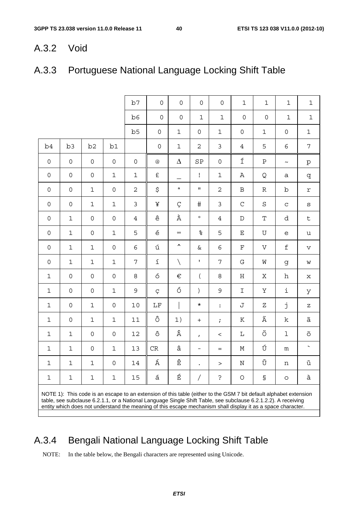### A.3.2 Void

# A.3.3 Portuguese National Language Locking Shift Table

|              |                |                     |                     | b7             | $\overline{0}$      | 0                      | $\overline{0}$           | $\overline{0}$ | $\mathbf{1}$        | $\mathbf 1$                                                                                                                                                                                                                                                                                                                                         | $\mathbf{1}$        | $\mathbf 1$                                                                                                                                                                                                                                                                                                                                                                                                                    |
|--------------|----------------|---------------------|---------------------|----------------|---------------------|------------------------|--------------------------|----------------|---------------------|-----------------------------------------------------------------------------------------------------------------------------------------------------------------------------------------------------------------------------------------------------------------------------------------------------------------------------------------------------|---------------------|--------------------------------------------------------------------------------------------------------------------------------------------------------------------------------------------------------------------------------------------------------------------------------------------------------------------------------------------------------------------------------------------------------------------------------|
|              |                |                     |                     | b6             | $\mathbf 0$         | $\mathsf{O}\xspace$    | $\mathbf 1$              | $\mathbf{1}$   | $\mathsf{O}\xspace$ | $\mathbf 0$                                                                                                                                                                                                                                                                                                                                         | $\mathbf 1$         | $\mathbf 1$                                                                                                                                                                                                                                                                                                                                                                                                                    |
|              |                |                     |                     | b <sub>5</sub> | $\mathsf{O}\xspace$ | $\mathbf 1$            | $\mathbf 0$              | 1              | $\mathsf{O}\xspace$ | $\mathbf 1$                                                                                                                                                                                                                                                                                                                                         | $\mathsf{O}\xspace$ | $\mathbf 1$                                                                                                                                                                                                                                                                                                                                                                                                                    |
| b4           | b <sub>3</sub> | b2                  | b1                  |                | $\mathsf{O}\xspace$ | $\mathbf 1$            | $\overline{2}$           | $\mathfrak{Z}$ | 4                   | 5                                                                                                                                                                                                                                                                                                                                                   | 6                   | 7                                                                                                                                                                                                                                                                                                                                                                                                                              |
| $\mathsf{O}$ | $\mathsf{O}$   | $\mathsf{O}$        | 0                   | $\mathsf{O}$   | @                   | $\Delta$               | SP                       | 0              | Í                   | $\, {\bf P}$                                                                                                                                                                                                                                                                                                                                        | $\thicksim$         | $\rm p$                                                                                                                                                                                                                                                                                                                                                                                                                        |
| $\mathbf 0$  | $\mathbf 0$    | $\mathsf{O}\xspace$ | $\mathbf 1$         | $1\,$          | £                   | $\equiv$               | $\mathbf I$              | $\mathbf{1}$   | Α                   | Q                                                                                                                                                                                                                                                                                                                                                   | а                   | q                                                                                                                                                                                                                                                                                                                                                                                                                              |
| $\mathbf 0$  | $\mathbf 0$    | $\mathbf 1$         | 0                   | $\overline{c}$ | \$                  | $\mathbf a$            | $\mathbf{H}$             | $\overline{2}$ | $\, {\bf B}$        | $\mathbb R$                                                                                                                                                                                                                                                                                                                                         | b                   | $\Upsilon$                                                                                                                                                                                                                                                                                                                                                                                                                     |
| $\mathbf 0$  | $\mathsf{O}$   | $\mathbf 1$         | $\mathbf 1$         | $\mathfrak{Z}$ | ¥                   | Ç                      | $\#$                     | $\mathfrak{Z}$ | $\mathsf C$         | $\rm S$                                                                                                                                                                                                                                                                                                                                             | $\mathbf C$         | $\rm s$                                                                                                                                                                                                                                                                                                                                                                                                                        |
| $\mathbf 0$  | $\mathbf 1$    | $\mathsf{O}\xspace$ | 0                   | $\overline{4}$ | ê                   | À                      | $\circ$                  | 4              | $\mathbb D$         | $\mathbf T$                                                                                                                                                                                                                                                                                                                                         | d                   | $\mathsf{t}$                                                                                                                                                                                                                                                                                                                                                                                                                   |
| $\mathbf 0$  | $\mathbf 1$    | $\mathsf{O}\xspace$ | $\mathbf 1$         | 5              | $\acute{\text e}$   | $\infty$               | ್ಯ                       | 5              | $\mathbf E$         | $\mathbf U$                                                                                                                                                                                                                                                                                                                                         | e                   | u                                                                                                                                                                                                                                                                                                                                                                                                                              |
| $\mathbf 0$  | $\mathbf 1$    | $\mathbf 1$         | 0                   | 6              | ú                   | ᄉ                      | &                        | 6              | $\mathbf F$         | $\boldsymbol{\nabla}$                                                                                                                                                                                                                                                                                                                               | $\mathsf{f}$        | V                                                                                                                                                                                                                                                                                                                                                                                                                              |
| $\mathbf 0$  | $\mathbf 1$    | $\mathbf{1}$        | $\mathbf 1$         | 7              | $\acute{\text{1}}$  | $\setminus$            | $\mathbf{L}$             | 7              | G                   | M                                                                                                                                                                                                                                                                                                                                                   | g                   | W                                                                                                                                                                                                                                                                                                                                                                                                                              |
| $\mathbf 1$  | $\mathbf 0$    | 0                   | 0                   | 8              | ó                   | €                      | $\overline{(\ }$         | 8              | $\rm H$             | Χ                                                                                                                                                                                                                                                                                                                                                   | h                   | X                                                                                                                                                                                                                                                                                                                                                                                                                              |
| $\mathbf 1$  | $\mathbf 0$    | $\mathsf{O}\xspace$ | $\mathbf 1$         | 9              | Ç                   | Ó                      | $\left( \right)$         | 9              | I                   | Y                                                                                                                                                                                                                                                                                                                                                   | i                   | У                                                                                                                                                                                                                                                                                                                                                                                                                              |
| $\mathbf 1$  | $\mathbf 0$    | $\mathbf 1$         | 0                   | 10             | $\rm LF$            |                        | $\star$                  | $\ddot{\cdot}$ | J                   | Ζ                                                                                                                                                                                                                                                                                                                                                   | j                   | $\mathbf{Z}% _{0}=\mathbf{Z}_{0}=\mathbf{Z}_{0}=\mathbf{Z}_{0}=\mathbf{Z}_{0}=\mathbf{Z}_{0}=\mathbf{Z}_{0}=\mathbf{Z}_{0}=\mathbf{Z}_{0}=\mathbf{Z}_{0}=\mathbf{Z}_{0}=\mathbf{Z}_{0}=\mathbf{Z}_{0}=\mathbf{Z}_{0}=\mathbf{Z}_{0}=\mathbf{Z}_{0}=\mathbf{Z}_{0}=\mathbf{Z}_{0}=\mathbf{Z}_{0}=\mathbf{Z}_{0}=\mathbf{Z}_{0}=\mathbf{Z}_{0}=\mathbf{Z}_{0}=\mathbf{Z}_{0}=\mathbf{Z}_{0}=\mathbf{Z}_{0}=\mathbf{Z}_{0}=\math$ |
| $\mathbf 1$  | $\mathbf 0$    | $\mathbf 1$         | $\mathbf 1$         | 11             | ô                   | 1)                     | $\ddot{}$                | $\ddot{i}$     | К                   | Ã                                                                                                                                                                                                                                                                                                                                                   | k                   | ã                                                                                                                                                                                                                                                                                                                                                                                                                              |
| $\mathbf 1$  | $\mathbf 1$    | $\mathsf{O}\xspace$ | 0                   | 12             | $\hat{\mathrm{o}}$  | Â                      | $\mathbf{r}$             | $\,<\,$        | L                   | Õ                                                                                                                                                                                                                                                                                                                                                   | 1                   | õ                                                                                                                                                                                                                                                                                                                                                                                                                              |
| $\mathbf{1}$ | $\mathbf{1}$   | $\mathsf{O}\xspace$ | $\mathbf 1$         | 13             | CR                  | â                      | $\overline{\phantom{0}}$ | $=$            | М                   | Ú                                                                                                                                                                                                                                                                                                                                                   | ${\mathfrak m}$     | $\sim$                                                                                                                                                                                                                                                                                                                                                                                                                         |
| $\mathbf{1}$ | $\mathbf 1$    | $\mathbf 1$         | $\mathsf{O}\xspace$ | 14             | Á                   | $\widehat{\mathbf{E}}$ |                          |                | $\rm N$             | Ü                                                                                                                                                                                                                                                                                                                                                   | $\mathbf n$         | ü                                                                                                                                                                                                                                                                                                                                                                                                                              |
| 1            | $\mathbf{1}$   | $\mathbf 1$         | $\mathbf 1$         | 15             | á                   | É                      | Τ                        | $\mathbf{S}$   | $\bigcirc$          | $\mathbb S$                                                                                                                                                                                                                                                                                                                                         | $\circ$             | à                                                                                                                                                                                                                                                                                                                                                                                                                              |
|              |                |                     |                     |                |                     |                        |                          |                |                     | NOTE 1): This code is an escape to an extension of this table (either to the GSM 7 bit default alphabet extension<br>table, see subclause 6.2.1.1, or a National Language Single Shift Table, see subclause 6.2.1.2.2). A receiving<br>entity which does not understand the meaning of this escape mechanism shall display it as a space character. |                     |                                                                                                                                                                                                                                                                                                                                                                                                                                |

# A.3.4 Bengali National Language Locking Shift Table

NOTE: In the table below, the Bengali characters are represented using Unicode.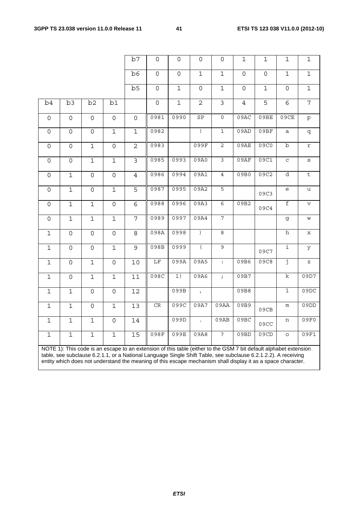|                     |                     |                     |                     | b7             | $\mathsf{O}$        | $\mathsf{O}$    | $\mathsf{O}$         | 0                       | 1              | $\mathbf 1$                                                                                                                                                                                                                                                                                                                                         | $\mathbf 1$             | 1              |
|---------------------|---------------------|---------------------|---------------------|----------------|---------------------|-----------------|----------------------|-------------------------|----------------|-----------------------------------------------------------------------------------------------------------------------------------------------------------------------------------------------------------------------------------------------------------------------------------------------------------------------------------------------------|-------------------------|----------------|
|                     |                     |                     |                     | b6             | $\mathsf{O}\xspace$ | $\overline{0}$  | $\mathbf{1}$         | $\mathbf{1}$            | $\mathbf 0$    | 0                                                                                                                                                                                                                                                                                                                                                   | $\mathbf{1}$            | $\mathbf{1}$   |
|                     |                     |                     |                     | b <sub>5</sub> | $\mathsf{O}$        | $\overline{1}$  | $\mathsf{O}$         | $\mathbf{1}$            | $\mathsf{O}$   | $\mathbf{1}$                                                                                                                                                                                                                                                                                                                                        | $\mathsf{O}$            | $\mathbf 1$    |
| b4                  | b3                  | b2                  | b1                  |                | $\mathsf{O}\xspace$ | $\overline{1}$  | $\overline{2}$       | $\overline{\mathbf{3}}$ | $\overline{4}$ | 5                                                                                                                                                                                                                                                                                                                                                   | 6                       | $\overline{7}$ |
| $\overline{0}$      | $\mathsf{O}$        | $\mathsf{O}$        | $\mathsf{O}\xspace$ | $\mathbf 0$    | 0981                | 0990            | SP                   | $\mathsf{O}\xspace$     | 09AC           | 09BE                                                                                                                                                                                                                                                                                                                                                | 09CE                    | $\rm p$        |
| 0                   | $\mathsf{O}\xspace$ | $\mathsf{O}\xspace$ | $\mathbf 1$         | $\mathbf 1$    | 0982                |                 | $\mathbf{I}$         | $\mathbf{1}$            | 09AD           | 09BF                                                                                                                                                                                                                                                                                                                                                | a                       | q              |
| 0                   | $\mathsf{O}\xspace$ | $\mathbf 1$         | $\mathsf{O}\xspace$ | $\overline{2}$ | 0983                |                 | 099F                 | 2                       | 09AE           | 09C0                                                                                                                                                                                                                                                                                                                                                | $\mathbf b$             | r              |
| $\mathsf{O}\xspace$ | $\mathsf{O}\xspace$ | $\mathbf 1$         | $\mathbf 1$         | $\overline{3}$ | 0985                | 0993            | 09A0                 | 3                       | 09AF           | 09C1                                                                                                                                                                                                                                                                                                                                                | $\mathbf C$             | S              |
| $\overline{0}$      | $\mathbf{1}$        | $\overline{0}$      | $\mathsf{O}\xspace$ | $\overline{4}$ | 0986                | 0994            | 09A1                 | $\overline{4}$          | 09B0           | 09C2                                                                                                                                                                                                                                                                                                                                                | $\overline{\mathrm{d}}$ | $\overline{t}$ |
| $\mathsf{O}\xspace$ | $\mathbf 1$         | $\mathsf O$         | $\mathbf 1$         | 5              | 0987                | 0995            | 09A2                 | 5                       |                | 09C3                                                                                                                                                                                                                                                                                                                                                | e                       | u              |
| $\mathbf 0$         | $\mathbf{1}$        | $\mathbf 1$         | $\overline{0}$      | $\overline{6}$ | 0988                | 0996            | 09A3                 | $\epsilon$              | 09B2           | 09C4                                                                                                                                                                                                                                                                                                                                                | $\overline{f}$          | $\mathbf v$    |
| $\mathbf 0$         | $\mathbf 1$         | $\mathbf 1$         | $\mathbf 1$         | $\overline{7}$ | 0989                | 0997            | 09A4                 | 7                       |                |                                                                                                                                                                                                                                                                                                                                                     | g                       | W              |
| 1                   | $\mathbf 0$         | 0                   | $\mathsf{O}$        | 8              | 098A                | 0998            | $\left( \right)$     | 8                       |                |                                                                                                                                                                                                                                                                                                                                                     | h                       | x              |
| $\mathbf{1}$        | $\mathsf{O}$        | $\mathsf{O}$        | $\mathbf{1}$        | $\overline{9}$ | 098B                | 0999            | $\overline{(}$       | 9                       |                | 09C7                                                                                                                                                                                                                                                                                                                                                | i                       | У              |
| $\mathbf{1}$        | $\mathsf{O}\xspace$ | $\mathbf 1$         | $\mathsf{O}$        | 10             | $\overline{\rm LF}$ | 099A            | 09A5                 | $\div$                  | 09B6           | 09C8                                                                                                                                                                                                                                                                                                                                                | j                       | $\mathbf{z}$   |
| $\mathbf{1}$        | $\mathbf 0$         | $\mathbf 1$         | $\mathbf{1}$        | 11             | 098C                | $\overline{1)}$ | 09A6                 | $\mathcal{I}$           | 09B7           |                                                                                                                                                                                                                                                                                                                                                     | k                       | 09D7           |
| $1\,$               | $\mathbf{1}$        | 0                   | $\mathsf{O}\xspace$ | 12             |                     | 099B            | $\mathbf{r}$         |                         | 09B8           |                                                                                                                                                                                                                                                                                                                                                     | ı                       | 09DC           |
| $\mathbf 1$         | $\mathbf 1$         | 0                   | $\mathbf{1}$        | 13             | $\mathrm{CR}$       | 099C            | 09A7                 | 09AA                    | 09B9           | 09CB                                                                                                                                                                                                                                                                                                                                                | ${\mathfrak m}$         | 09DD           |
| $\mathbf{1}$        | $\mathbf{1}$        | $1\,$               | $\mathsf{O}\xspace$ | 14             |                     | 099D            | $\ddot{\phantom{0}}$ | 09AB                    | 09BC           | 09CC                                                                                                                                                                                                                                                                                                                                                | n                       | 09F0           |
| $\mathbf{1}$        | $\mathbf 1$         | $\mathbf 1$         | $\mathbf 1$         | 15             | 098F                | 099E            | 09A8                 | $\overline{P}$          | 09BD           | 09CD                                                                                                                                                                                                                                                                                                                                                | $\circ$                 | 09F1           |
|                     |                     |                     |                     |                |                     |                 |                      |                         |                | NOTE 1): This code is an escape to an extension of this table (either to the GSM 7 bit default alphabet extension<br>table, see subclause 6.2.1.1, or a National Language Single Shift Table, see subclause 6.2.1.2.2). A receiving<br>entity which does not understand the meaning of this escape mechanism shall display it as a space character. |                         |                |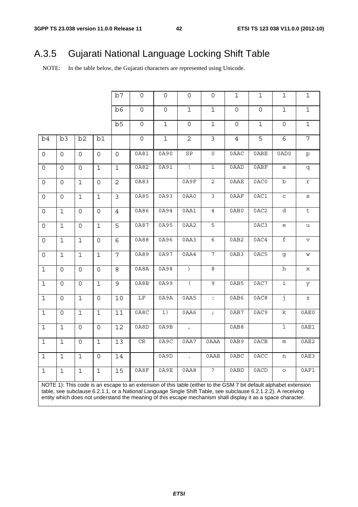# A.3.5 Gujarati National Language Locking Shift Table

NOTE: In the table below, the Gujarati characters are represented using Unicode.

|                     |              |                |                     | b7              | $\mathbf 0$         | $\mathbf 0$         | 0                           | 0              | 1                   | $\mathbf 1$         | $\mathbf 1$                                       | $\mathbf 1$                       |
|---------------------|--------------|----------------|---------------------|-----------------|---------------------|---------------------|-----------------------------|----------------|---------------------|---------------------|---------------------------------------------------|-----------------------------------|
|                     |              |                |                     | b6              | $\mathsf{O}\xspace$ | $\mathsf{O}\xspace$ | $\mathbf 1$                 | $\mathbf 1$    | 0                   | $\mathsf{O}\xspace$ | $\mathbf 1$                                       | $\mathbf 1$                       |
|                     |              |                |                     | b5              | $\mathsf{O}\xspace$ | $\mathbf 1$         | 0                           | $\mathbf 1$    | $\mathsf{O}\xspace$ | $\mathbf 1$         | $\mathsf{O}\xspace$                               | $\mathbf 1$                       |
| b4                  | b3           | b2             | b1                  |                 | $\mathsf{O}\xspace$ | $\mathbf{1}$        | $\overline{2}$              | 3              | $\overline{4}$      | 5                   | 6                                                 | $\overline{7}$                    |
| $\mathsf{O}\xspace$ | 0            | $\mathsf{O}$   | $\mathsf{O}$        | $\overline{O}$  | 0A81                | 0A90                | SP                          | $\overline{0}$ | 0AAC                | 0ABE                | 0AD0                                              | $\rm p$                           |
| $\mathsf{O}\xspace$ | 0            | $\mathsf{O}$   | $\mathbf 1$         | $\mathbf{1}$    | 0A82                | 0A91                | $\overline{1}$              | $\mathbf 1$    | 0AAD                | 0ABF                | $\mathsf a$                                       | q                                 |
| 0                   | 0            | $\mathbf{1}$   | $\mathsf{O}$        | $\overline{2}$  | 0A83                |                     | 0A9F                        | $\overline{2}$ | 0AAE                | 0AC0                | $\overline{b}$                                    | $\mathtt{r}$                      |
| $\mathsf{O}\xspace$ | 0            | $\mathbf 1$    | $\mathbf 1$         | $\mathfrak{Z}$  | 0A85                | 0A93                | 0AA0                        | $\mathfrak{Z}$ | 0AAF                | 0AC1                | $\mathbf C$                                       | S                                 |
| $\mathsf{O}$        | $\mathbf 1$  | $\mathsf{O}$   | 0                   | $\overline{4}$  | 0A86                | 0A94                | 0AA1                        | $\overline{4}$ | 0AB0                | 0AC2                | d                                                 | $\sf t$                           |
| $\mathsf{O}\xspace$ | $\mathbf{1}$ | $\mathbf 0$    | $\mathbf 1$         | 5               | 0A87                | 0A95                | 0AA2                        | 5              |                     | 0AC3                | $\mathsf{e}% _{t}\!\left( \mathcal{A}_{t}\right)$ | u                                 |
| $\mathsf{O}\xspace$ | $\mathbf{1}$ | $\mathbf{1}$   | $\mathsf{O}\xspace$ | $\overline{6}$  | 0A88                | 0A96                | 0AA3                        | $\epsilon$     | 0AB2                | 0AC4                | $\overline{\mathtt{f}}$                           | $\mathbf v$                       |
| $\mathsf{O}\xspace$ | $\mathbf 1$  | $\mathbf{1}$   | $\mathbf 1$         | 7               | 0A89                | 0A97                | 0AA4                        | 7              | 0AB3                | 0AC5                | g                                                 | W                                 |
| $\mathbf 1$         | $\mathsf{O}$ | $\mathsf{O}$   | $\mathsf{O}$        | 8               | 0A8A                | 0A98                | $\left( \right)$            | $\,8\,$        |                     |                     | $\,$ h                                            | х                                 |
| $\mathbf 1$         | $\mathsf{O}$ | $\mathsf{O}$   | $\mathbf 1$         | 9               | 0A8B                | 0A99                | $\overline{(\ }$            | $\mathsf 9$    | 0AB5                | 0AC7                | $\mathbf{i}$                                      | У                                 |
| $\mathbf{1}$        | $\mathsf{O}$ | $\mathbf{1}$   | $\mathsf{O}$        | 10              | $\overline{\rm LF}$ | 0A9A                | 0AA5                        | $\colon$       | 0AB6                | 0AC8                | $\overline{\mathbf{j}}$                           | $\mathbf{Z}% _{0}=\mathbf{Z}_{0}$ |
| $\mathbf 1$         | 0            | $\mathbf{1}$   | $\mathbf 1$         | 11              | 0A8C                | 1)                  | 0AA6                        | $\mathcal{I}$  | 0AB7                | 0AC9                | $\rm k$                                           | 0AE0                              |
| $\mathbf 1$         | $\mathbf 1$  | $\overline{0}$ | $\mathsf{O}$        | 12              | 0A8D                | 0A9B                | $\mathcal{L}_{\mathcal{A}}$ |                | 0AB8                |                     | $\mathbf 1$                                       | 0AE1                              |
| $\overline{1}$      | $\mathbf 1$  | $\mathsf{O}$   | $\mathbf 1$         | $\overline{13}$ | CR                  | 0A9C                | 0AA7                        | 0AAA           | 0AB9                | 0ACB                | ${\mathfrak m}$                                   | 0AE2                              |
| $\overline{1}$      | $\mathbf{1}$ | $\mathbf{1}$   | $\mathsf{O}$        | 14              |                     | 0A9D                | $\mathbf{r}$                | 0AAB           | 0ABC                | 0ACC                | n                                                 | 0AE3                              |
| $\mathbf 1$         | $\mathbf{1}$ | $\mathbf{1}$   | $\mathbf 1$         | 15              | 0A8F                | 0A9E                | 0AAB                        | $\overline{?}$ | 0ABD                | 0ACD                | $\circ$                                           | 0AF1                              |

NOTE 1): This code is an escape to an extension of this table (either to the GSM 7 bit default alphabet extension table, see subclause 6.2.1.1, or a National Language Single Shift Table, see subclause 6.2.1.2.2). A receiving entity which does not understand the meaning of this escape mechanism shall display it as a space character.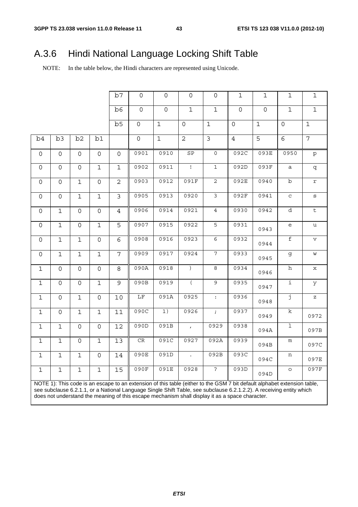# A.3.6 Hindi National Language Locking Shift Table

NOTE: In the table below, the Hindi characters are represented using Unicode.

|                     |                     |                |                     | b7             | 0                   | 0                   | 0                   | 0              | $\mathbf 1$    | $\mathbf 1$ | 1                       | 1                                                                                                                                                                                                                                                                                                                                                                                                                              |
|---------------------|---------------------|----------------|---------------------|----------------|---------------------|---------------------|---------------------|----------------|----------------|-------------|-------------------------|--------------------------------------------------------------------------------------------------------------------------------------------------------------------------------------------------------------------------------------------------------------------------------------------------------------------------------------------------------------------------------------------------------------------------------|
|                     |                     |                |                     | b6             | $\mathsf{O}\xspace$ | $\mathsf{O}\xspace$ | $\mathbf 1$         | $\mathbf{1}$   | $\mathbf 0$    | $\mathbf 0$ | $\mathbf{1}$            | $\mathbf 1$                                                                                                                                                                                                                                                                                                                                                                                                                    |
|                     |                     |                |                     | b5             | $\mathsf{O}$        | $\mathbf{1}$        | $\mathsf{O}\xspace$ | $\mathbf 1$    | $\mathbf 0$    | $\mathbf 1$ | $\mathsf{O}$            | $\mathbf{1}$                                                                                                                                                                                                                                                                                                                                                                                                                   |
| b4                  | b3                  | b2             | b1                  |                | $\mathsf{O}$        | $\mathbf{1}$        | 2                   | $\mathsf{3}$   | $\overline{4}$ | 5           | 6                       | 7                                                                                                                                                                                                                                                                                                                                                                                                                              |
| $\mathsf{O}$        | $\mathsf{O}$        | $\mathsf{O}$   | $\mathsf{O}$        | $\mathsf{O}$   | 0901                | 0910                | SP                  | $\mathsf{O}$   | 092C           | 093E        | 0950                    | $\mathtt{p}$                                                                                                                                                                                                                                                                                                                                                                                                                   |
| 0                   | $\mathsf{O}$        | 0              | $\mathbf{1}$        | $\mathbf 1$    | 0902                | 0911                | $\mathbf{I}$        | $\mathbf{1}$   | 092D           | 093F        | a                       | q                                                                                                                                                                                                                                                                                                                                                                                                                              |
| 0                   | $\mathsf{O}\xspace$ | $\mathbf 1$    | $\overline{0}$      | $\overline{2}$ | 0903                | 0912                | 091F                | $\overline{c}$ | 092E           | 0940        | $\rm{b}$                | $\mathtt{r}$                                                                                                                                                                                                                                                                                                                                                                                                                   |
| $\mathsf{O}\xspace$ | $\mathbf 0$         | $\mathbf 1$    | $\mathbf 1$         | $\mathfrak{Z}$ | 0905                | 0913                | 0920                | 3              | 092F           | 0941        | $\mathtt{C}$            | $\mathtt{s}$                                                                                                                                                                                                                                                                                                                                                                                                                   |
| 0                   | $\mathbf 1$         | $\overline{O}$ | $\overline{0}$      | $\overline{4}$ | 0906                | 0914                | 0921                | $\overline{4}$ | 0930           | 0942        | d                       | $\overline{t}$                                                                                                                                                                                                                                                                                                                                                                                                                 |
| 0                   | $\mathbf 1$         | $\mathsf{O}$   | $\mathbf 1$         | 5              | 0907                | 0915                | 0922                | 5              | 0931           | 0943        | e                       | u                                                                                                                                                                                                                                                                                                                                                                                                                              |
| 0                   | $\mathbf{1}$        | $\mathbf 1$    | $\mathsf{O}\xspace$ | 6              | 0908                | 0916                | 0923                | 6              | 0932           | 0944        | f                       | $\mathbf v$                                                                                                                                                                                                                                                                                                                                                                                                                    |
| $\mathsf{O}$        | $\mathbf 1$         | $\mathbf 1$    | $\mathbf{1}$        | $\overline{7}$ | 0909                | 0917                | 0924                | $\overline{7}$ | 0933           | 0945        | g                       | W                                                                                                                                                                                                                                                                                                                                                                                                                              |
| $\mathbf{1}$        | $\mathsf{O}$        | $\mathsf{O}$   | $\mathsf{O}\xspace$ | 8              | 090A                | 0918                | $\overline{)}$      | 8              | 0934           | 0946        | $\overline{h}$          | $\mathbf x$                                                                                                                                                                                                                                                                                                                                                                                                                    |
| $\mathbf 1$         | $\Omega$            | $\mathsf{O}$   | $\mathbf 1$         | 9              | 090B                | 0919                | $\left($            | 9              | 0935           | 0947        | i                       | У                                                                                                                                                                                                                                                                                                                                                                                                                              |
| 1                   | $\mathsf{O}\xspace$ | $\mathbf{1}$   | $\Omega$            | 10             | $\overline{\rm LF}$ | 091A                | 0925                | $\ddot{\cdot}$ | 0936           | 0948        | j                       | $\mathbf{Z}% _{0}=\mathbf{Z}_{0}=\mathbf{Z}_{0}=\mathbf{Z}_{0}=\mathbf{Z}_{0}=\mathbf{Z}_{0}=\mathbf{Z}_{0}=\mathbf{Z}_{0}=\mathbf{Z}_{0}=\mathbf{Z}_{0}=\mathbf{Z}_{0}=\mathbf{Z}_{0}=\mathbf{Z}_{0}=\mathbf{Z}_{0}=\mathbf{Z}_{0}=\mathbf{Z}_{0}=\mathbf{Z}_{0}=\mathbf{Z}_{0}=\mathbf{Z}_{0}=\mathbf{Z}_{0}=\mathbf{Z}_{0}=\mathbf{Z}_{0}=\mathbf{Z}_{0}=\mathbf{Z}_{0}=\mathbf{Z}_{0}=\mathbf{Z}_{0}=\mathbf{Z}_{0}=\math$ |
| $\mathbf 1$         | $\mathsf{O}\xspace$ | $\mathbf 1$    | $\mathbf{1}$        | 11             | 090C                | 1)                  | 0926                | $\mathcal{L}$  | 0937           | 0949        | $\overline{\mathbf{k}}$ | 0972                                                                                                                                                                                                                                                                                                                                                                                                                           |
| $\mathbf{1}$        | $\mathbf{1}$        | $\mathsf{O}$   | $\overline{0}$      | 12             | 090D                | 091B                | $\mathbf{r}$        | 0929           | 0938           | 094A        | $\overline{1}$          | 097B                                                                                                                                                                                                                                                                                                                                                                                                                           |
| 1                   | $\mathbf 1$         | 0              | $\mathbf 1$         | 13             | $\rm CR$            | 091C                | 0927                | 092A           | 0939           | 094B        | m                       | 097C                                                                                                                                                                                                                                                                                                                                                                                                                           |
| $\mathbf{1}$        | $\mathbf 1$         | $\mathbf 1$    | $\mathsf{O}$        | 14             | 090E                | 091D                | $\sim$              | 092B           | 093C           | 094C        | n                       | 097E                                                                                                                                                                                                                                                                                                                                                                                                                           |
| $\mathbf 1$         | $\mathbf 1$         | $\mathbf{1}$   | $\mathbf 1$         | 15             | 090F                | 091E                | 0928                | $\overline{?}$ | 093D           | 094D        | $\circ$                 | 097F                                                                                                                                                                                                                                                                                                                                                                                                                           |
|                     |                     |                |                     |                |                     |                     |                     |                |                |             |                         |                                                                                                                                                                                                                                                                                                                                                                                                                                |

NOTE 1): This code is an escape to an extension of this table (either to the GSM 7 bit default alphabet extension table, see subclause 6.2.1.1, or a National Language Single Shift Table, see subclause 6.2.1.2.2). A receiving entity which does not understand the meaning of this escape mechanism shall display it as a space character.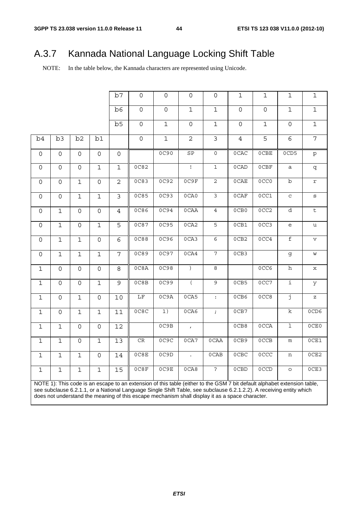# A.3.7 Kannada National Language Locking Shift Table

NOTE: In the table below, the Kannada characters are represented using Unicode.

|                     |                     |                     |                     | b7                  | $\mathsf{O}\xspace$                                                                                                      | $\mathsf{O}\xspace$ | $\mathsf{O}\xspace$  | $\mathsf{O}\xspace$  | $\mathbf{1}$   | $\mathbf{1}$     | $\mathbf 1$             | $\mathbf{1}$            |
|---------------------|---------------------|---------------------|---------------------|---------------------|--------------------------------------------------------------------------------------------------------------------------|---------------------|----------------------|----------------------|----------------|------------------|-------------------------|-------------------------|
|                     |                     |                     |                     | b6                  | $\mathsf{O}\xspace$                                                                                                      | $\mathsf{O}\xspace$ | $\mathbf 1$          | $\mathbf{1}$         | $\overline{0}$ | $\mathbf 0$      | $\mathbf 1$             | $\mathbf 1$             |
|                     |                     |                     |                     | b <sub>5</sub>      | $\mathsf{O}$                                                                                                             | $\mathbf{1}$        | $\mathbf 0$          | $\mathbf 1$          | $\mathbf 0$    | $\mathbf 1$      | $\mathsf{O}\xspace$     | $\mathbf 1$             |
| b4                  | b3                  | b2                  | b1                  |                     | $\mathsf{O}\xspace$                                                                                                      | $\mathbf 1$         | $\overline{2}$       | $\mathfrak{Z}$       | $\overline{4}$ | 5                | 6                       | $\overline{7}$          |
| $\mathsf{O}\xspace$ | $\mathsf{O}$        | $\mathsf{O}$        | $\mathsf{O}$        | $\mathsf{O}\xspace$ |                                                                                                                          | 0C90                | SP                   | $\mathsf{O}$         | 0CAC           | $0$ CBE          | 0CD5                    | $\mathtt{p}$            |
| $\mathsf{O}\xspace$ | $\mathsf{O}\xspace$ | $\mathsf{O}\xspace$ | $\mathbf 1$         | $1\,$               | 0C82                                                                                                                     |                     | $\mathbf{I}$         | $\mathbf{1}$         | 0CAD           | 0CBF             | a                       | q                       |
| $\mathsf{O}\xspace$ | $\mathsf{O}\xspace$ | $\mathbf 1$         | $\mathsf{O}\xspace$ | $\overline{2}$      | 0C83                                                                                                                     | 0C92                | 0C9F                 | $\overline{c}$       | $0$ CAE        | 0CC0             | $\rm b$                 | $\mathtt{r}$            |
| 0                   | $\mathsf{O}\xspace$ | $\mathbf 1$         | $\mathbf 1$         | 3                   | 0C85                                                                                                                     | OC93                | 0CAO                 | 3                    | $0$ CAF        | 0CC1             | $\mathbf C$             | $\mathtt{s}$            |
| 0                   | $\overline{1}$      | $\mathsf{O}$        | $\overline{0}$      | $\overline{4}$      | <b>0C86</b>                                                                                                              | 0C94                | 0CAA                 | $\overline{4}$       | 0CB0           | 0CC <sub>2</sub> | d                       | $\overline{\mathsf{t}}$ |
| $\mathsf{O}$        | $\overline{1}$      | $\mathsf{O}$        | $\overline{1}$      | $\overline{5}$      | 0C87                                                                                                                     | 0C95                | 0 <sub>C</sub> A2    | $\overline{5}$       | 0CB1           | OCC <sub>3</sub> | e                       | u                       |
| 0                   | $\overline{1}$      | $1\,$               | $\mathbf 0$         | $\overline{6}$      | 0C88                                                                                                                     | 0C96                | 0C <sub>A3</sub>     | $6\overline{6}$      | 0CB2           | 0CC4             | $\mathbf f$             | $\mathbf v$             |
| $\mathsf{O}$        | $\mathbf 1$         | $\mathbf 1$         | $\mathbf 1$         | 7                   | 0C89                                                                                                                     | 0C97                | 0C <sub>A4</sub>     | $\overline{7}$       | 0CB3           |                  | g                       | W                       |
| $\mathbf{1}$        | $\mathbf 0$         | $\mathsf{O}\xspace$ | $\mathbf 0$         | 8                   | 0C8A                                                                                                                     | 0C98                | $\left( \right)$     | $\infty$             |                | 0CC6             | h                       | х                       |
| $\mathbf 1$         | $\overline{0}$      | $\mathsf{O}\xspace$ | $\mathbf{1}$        | 9                   | OC8B                                                                                                                     | 0C99                | $\overline{(\ }$     | 9                    | 0CB5           | 0CC7             | i                       | У                       |
| $1\,$               | $\mathsf{O}\xspace$ | $\mathbf 1$         | $\mathsf{O}\xspace$ | 10                  | $\rm LF$                                                                                                                 | 0C9A                | 0CA5                 | $\ddot{\phantom{a}}$ | 0CB6           | 0CC8             | j                       | $\rm{z}$                |
| $\mathbf 1$         | $\mathsf{O}\xspace$ | $\mathbf 1$         | $\mathbf{1}$        | 11                  | 0C8C                                                                                                                     | $\overline{1)}$     | 0CA6                 | $\mathcal{L}$        | 0CB7           |                  | $\overline{\mathbf{k}}$ | 0CD6                    |
| $\mathbf 1$         | $\mathbf 1$         | 0                   | $\mathsf{O}\xspace$ | 12                  |                                                                                                                          | 0C9B                | $\mathbf{r}$         |                      | 0CB8           | 0CCA             | 1                       | 0CE0                    |
| $\mathbf{1}$        | $\mathbf{1}$        | $\mathsf{O}$        | $\mathbf 1$         | 13                  | CR                                                                                                                       | 0C9C                | 0 <sub>CA7</sub>     | 0CAA                 | 0CB9           | 0CCB             | m                       | OCE1                    |
| $\mathbf{1}$        | $\mathbf{1}$        | $\mathbf 1$         | $\mathbf 0$         | $14\,$              | 0C8E                                                                                                                     | 0C9D                | $\ddot{\phantom{a}}$ | 0CAB                 | $0$ CBC        | 0CCC             | n                       | 0CE2                    |
| $\mathbf 1$         | $\mathbf 1$         | $\mathbf 1$         | $\mathbf 1$         | 15                  | 0C8F                                                                                                                     | 0C9E                | 0CAB                 | ?                    | 0CBD           | 0CCD             | $\circ$                 | OCE3                    |
|                     |                     |                     |                     |                     | NOTE 1): This code is an escape to an extension of this table (either to the GSM 7 bit default alphabet extension table, |                     |                      |                      |                |                  |                         |                         |
|                     |                     |                     |                     |                     | see subclause 6.2.1.1, or a National Language Single Shift Table, see subclause 6.2.1.2.2). A receiving entity which     |                     |                      |                      |                |                  |                         |                         |

does not understand the meaning of this escape mechanism shall display it as a space character.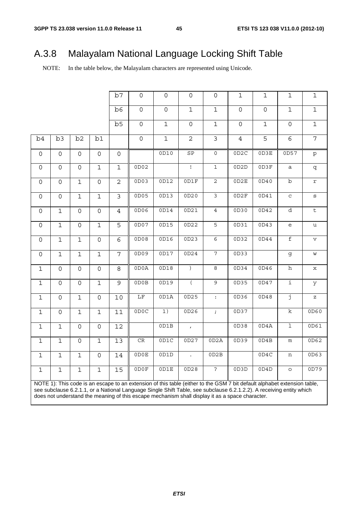# A.3.8 Malayalam National Language Locking Shift Table

NOTE: In the table below, the Malayalam characters are represented using Unicode.

|                     |                     |                     |                     | b7             | $\mathsf{O}\xspace$                                                                                                      | $\mathsf{O}\xspace$ | $\mathsf{O}\xspace$  | $\mathsf{O}$         | $\mathbf{1}$        | $\mathbf{1}$        | $\mathbf 1$                                       | $\mathbf 1$                       |
|---------------------|---------------------|---------------------|---------------------|----------------|--------------------------------------------------------------------------------------------------------------------------|---------------------|----------------------|----------------------|---------------------|---------------------|---------------------------------------------------|-----------------------------------|
|                     |                     |                     |                     | b6             | $\mathsf{O}\xspace$                                                                                                      | $\mathsf{O}\xspace$ | $\mathbf 1$          | $\mathbf{1}$         | $\mathsf{O}\xspace$ | $\mathsf{O}\xspace$ | $\mathbf 1$                                       | $\mathbf 1$                       |
|                     |                     |                     |                     | b5             | $\mathsf{O}\xspace$                                                                                                      | $\mathbf{1}$        | $\mathsf{O}\xspace$  | $\mathbf 1$          | $\mathsf{O}$        | $\mathbf{1}$        | $\mathsf{O}\xspace$                               | $\mathbf 1$                       |
| b4                  | b3                  | b2                  | b1                  |                | $\mathsf{O}\xspace$                                                                                                      | $\mathbf 1$         | $\overline{c}$       | $\mathbf{3}$         | $\overline{4}$      | 5                   | $6\overline{6}$                                   | $\overline{7}$                    |
| $\mathsf{O}$        | $\mathsf{O}\xspace$ | $\mathsf{O}$        | $\mathsf{O}\xspace$ | 0              |                                                                                                                          | 0D10                | SP                   | $\overline{0}$       | OD2C                | 0D3E                | 0D57                                              | $\mathtt{p}$                      |
| 0                   | $\mathsf{O}\xspace$ | $\mathsf{O}$        | $\mathbf{1}$        | $\mathbf{1}$   | OD02                                                                                                                     |                     | $\overline{1}$       | $\mathbf{1}$         | 0D2D                | OD3F                | a                                                 | q                                 |
| $\mathsf{O}\xspace$ | $\mathsf{O}\xspace$ | $\mathbf 1$         | $\mathbf 0$         | $\overline{c}$ | OD03                                                                                                                     | 0D12                | OD1F                 | $\overline{c}$       | 0D2E                | 0D40                | $\rm b$                                           | $\mathtt{r}$                      |
| $\mathsf{O}\xspace$ | $\mathsf{O}\xspace$ | $\mathbf 1$         | $\mathbf 1$         | $\overline{3}$ | 0D05                                                                                                                     | 0D13                | 0D20                 | ى                    | 0D2F                | OD41                | $\rm{C}$                                          | $\mathtt{s}$                      |
| $\mathsf{O}\xspace$ | $\mathbf 1$         | $\mathsf{O}\xspace$ | $\mathbf 0$         | $\overline{4}$ | 0D06                                                                                                                     | 0D14                | 0D21                 | $\overline{4}$       | OD30                | 0D42                | $\overline{d}$                                    | $\sf t$                           |
| $\mathsf{O}\xspace$ | $\mathbf 1$         | $\mathsf{O}\xspace$ | $\mathbf{1}$        | 5              | 0D07                                                                                                                     | 0D15                | 0D22                 | $\overline{5}$       | OD31                | OD43                | $\mathsf{e}% _{t}\!\left( \mathcal{A}_{t}\right)$ | $\mathtt{u}$                      |
| $\mathsf{O}$        | $\mathbf{1}$        | $\mathbf 1$         | $\mathsf{O}\xspace$ | 6              | 0D08                                                                                                                     | 0D16                | 0D23                 | $\overline{6}$       | 0D32                | 0D44                | f                                                 | $\mathbf{v}$                      |
| $\mathsf{O}$        | $\mathbf 1$         | $\mathbf 1$         | $\mathbf 1$         | $\overline{7}$ | 0D09                                                                                                                     | 0D17                | 0D24                 | $\overline{7}$       | 0D33                |                     | g                                                 | W                                 |
| $\mathbf 1$         | $\mathsf{O}\xspace$ | $\mathsf{O}\xspace$ | $\mathbf 0$         | 8              | OD0A                                                                                                                     | 0D18                | $\left( \right)$     | $\infty$             | 0D34                | 0D46                | h                                                 | $\mathbf x$                       |
| $\mathbf{1}$        | $\mathsf{O}\xspace$ | $\mathsf{O}$        | $\mathbf 1$         | 9              | ODOB                                                                                                                     | 0D19                | $\overline{(\ }$     | 9                    | 0D35                | 0D47                | i                                                 | У                                 |
| $\mathbf{1}$        | $\mathsf O$         | $\mathbf 1$         | $\mathbf 0$         | 10             | $\rm LF$                                                                                                                 | OD1A                | 0D25                 | $\ddot{\phantom{a}}$ | 0D36                | 0D48                | j                                                 | $\mathbf{Z}% _{0}=\mathbf{Z}_{0}$ |
| $\mathbf{1}$        | $\mathsf{O}$        | $\mathbf 1$         | $\mathbf 1$         | 11             | 0DC                                                                                                                      | 1)                  | 0D26                 | $\mathcal{I}$        | 0D37                |                     | $\mathbf{k}$                                      | 0D60                              |
| $\mathbf{1}$        | $\mathbf 1$         | $\mathsf{O}\xspace$ | $\mathsf{O}\xspace$ | $12\,$         |                                                                                                                          | OD1B                | $\mathcal{L}^{\pm}$  |                      | 0D38                | 0D4A                | $\overline{1}$                                    | 0D61                              |
| $\mathbf 1$         | $\mathbf 1$         | $\mathsf{O}\xspace$ | $\mathbf{1}$        | 13             | $\mathsf{CR}$                                                                                                            | OD1C                | 0D27                 | OD2A                 | 0D39                | OD4B                | ${\mathfrak m}$                                   | 0D62                              |
| $\mathbf{1}$        | $\mathbf 1$         | $\mathbf 1$         | $\mathsf{O}$        | 14             | ODOE                                                                                                                     | 0D1D                | $\ddot{\phantom{a}}$ | OD2B                 |                     | OD4C                | n                                                 | OD63                              |
| $\mathbf{1}$        | $\mathbf 1$         | $\mathbf 1$         | $\mathbf{1}$        | 15             | ODOF                                                                                                                     | OD1E                | 0D28                 | $\cdot$              | OD3D                | OD4D                | $\circ$                                           | 0D79                              |
|                     |                     |                     |                     |                | NOTE 1): This code is an escape to an extension of this table (either to the GSM 7 bit default alphabet extension table, |                     |                      |                      |                     |                     |                                                   |                                   |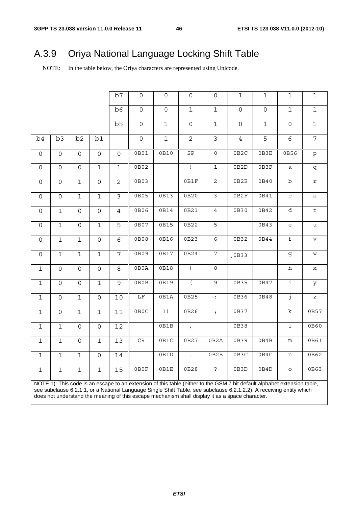# A.3.9 Oriya National Language Locking Shift Table

NOTE: In the table below, the Oriya characters are represented using Unicode.

|                     |                     |                     |                     | b7             | $\mathsf{O}$                                                                                                             | $\mathsf{O}$        | $\mathsf{O}$         | $\mathsf{O}$        | $\mathbf{1}$        | $\mathbf{1}$        | $\mathbf 1$                                       | $\mathbf{1}$                                                                                               |
|---------------------|---------------------|---------------------|---------------------|----------------|--------------------------------------------------------------------------------------------------------------------------|---------------------|----------------------|---------------------|---------------------|---------------------|---------------------------------------------------|------------------------------------------------------------------------------------------------------------|
|                     |                     |                     |                     | b6             | $\mathsf{O}\xspace$                                                                                                      | $\mathsf{O}\xspace$ | $\mathbf 1$          | $1\,$               | $\mathsf{O}\xspace$ | $\mathsf{O}\xspace$ | $\mathbf 1$                                       | $\mathbf 1$                                                                                                |
|                     |                     |                     |                     | b5             | $\mathsf{O}\xspace$                                                                                                      | $\mathbf 1$         | $\mathsf{O}\xspace$  | $\mathbf{1}$        | $\mathsf{O}$        | $\mathbf{1}$        | $\mathsf{O}\xspace$                               | $\mathbf 1$                                                                                                |
| b4                  | b3                  | b <sub>2</sub>      | b1                  |                | $\mathsf{O}$                                                                                                             | $\mathbf 1$         | $\mathbf{2}$         | $\mathfrak{Z}$      | $\overline{4}$      | 5                   | 6                                                 | $\overline{7}$                                                                                             |
| $\mathsf{O}$        | $\mathsf{O}$        | $\mathsf{O}\xspace$ | $\mathsf{O}\xspace$ | 0              | 0B01                                                                                                                     | 0B10                | ${\tt SP}$           | $\mathsf{O}\xspace$ | 0B2C                | 0B3E                | 0B56                                              | $\mathtt{p}$                                                                                               |
| $\mathsf{O}$        | $\mathsf{O}$        | $\mathsf{O}\xspace$ | $\mathbf 1$         | $\mathbf 1$    | 0B02                                                                                                                     |                     | $\overline{1}$       | $\overline{1}$      | 0B2D                | 0B3F                | a                                                 | q                                                                                                          |
| $\mathsf{O}\xspace$ | $\mathsf{O}\xspace$ | $\mathbf 1$         | $\mathsf{O}\xspace$ | $\overline{c}$ | 0B03                                                                                                                     |                     | 0B1F                 | $\overline{c}$      | 0B2E                | 0B40                | $\rm b$                                           | $\mathtt{r}$                                                                                               |
| 0                   | $\mathsf{O}\xspace$ | $\mathbf 1$         | $\overline{1}$      | $\overline{3}$ | 0B05                                                                                                                     | 0B13                | 0B20                 | $\overline{3}$      | 0B2F                | 0B41                | $\rm{C}$                                          | $\mathtt{s}$                                                                                               |
| 0                   | $\mathbf 1$         | $\mathsf{O}$        | $\overline{0}$      | $\overline{4}$ | 0B06                                                                                                                     | 0B14                | 0B21                 | $\overline{4}$      | 0B30                | 0B42                | $\overline{d}$                                    | $\overline{\mathsf{t}}$                                                                                    |
| $\mathsf{O}\xspace$ | $\mathbf 1$         | $\mathsf{O}\xspace$ | $\mathbf{1}$        | $\overline{5}$ | 0B07                                                                                                                     | 0B15                | 0B22                 | $\overline{5}$      |                     | 0B43                | $\mathsf{e}% _{t}\!\left( \mathcal{A}_{t}\right)$ | $\mathtt{u}$                                                                                               |
| $\mathsf O$         | $\overline{1}$      | $\overline{1}$      | $\overline{0}$      | $\overline{6}$ | 0B08                                                                                                                     | 0B16                | 0B23                 | $\overline{6}$      | 0B32                | 0B44                | $\overline{f}$                                    | $\rm v$                                                                                                    |
| $\mathsf O$         | $\overline{1}$      | $\mathbf 1$         | $\overline{1}$      | $\overline{7}$ | 0B09                                                                                                                     | 0B17                | 0B24                 | $\overline{7}$      | 0B33                |                     | g                                                 | $\mathsf{W}% _{T}=\mathsf{W}_{T}\!\left( a,b\right) ,\ \mathsf{W}_{T}=\mathsf{W}_{T}\!\left( a,b\right) ,$ |
| $\mathbf 1$         | $\mathsf{O}\xspace$ | $\mathsf{O}\xspace$ | $\mathbf 0$         | 8              | 0B0A                                                                                                                     | 0B18                | $\overline{)}$       | $\infty$            |                     |                     | $\overline{h}$                                    | $\mathbf x$                                                                                                |
| $\mathbf{1}$        | $\mathsf{O}\xspace$ | $\mathsf{O}\xspace$ | $\mathbf{1}$        | 9              | 0B0B                                                                                                                     | 0B19                | $\overline{(\ }$     | 9                   | 0B35                | 0B47                | $\mathbf{i}$                                      | У                                                                                                          |
| $\mathbf{1}$        | $\mathsf{O}$        | $\mathbf 1$         | $\mathsf{O}\xspace$ | 10             | $\rm LF$                                                                                                                 | 0B1A                | 0B25                 | $\div$              | 0B36                | 0B48                | j                                                 | $\mathbf{z}$                                                                                               |
| $\mathbf 1$         | $\mathsf{O}$        | $\mathbf 1$         | $\mathbf{1}$        | 11             | 0B0C                                                                                                                     | 1)                  | 0B26                 | $\mathcal{L}$       | 0B37                |                     | $\rm k$                                           | 0B57                                                                                                       |
| $\mathbf{1}$        | $\mathbf 1$         | $\mathsf{O}\xspace$ | $\mathbf 0$         | 12             |                                                                                                                          | 0B1B                | $\mathcal{L}^{\pm}$  |                     | 0B38                |                     | $\overline{1}$                                    | 0B60                                                                                                       |
| $\mathbf 1$         | $\mathbf 1$         | 0                   | $\mathbf 1$         | 13             | CR                                                                                                                       | 0B1C                | 0B27                 | 0B2A                | 0B39                | 0B4B                | ${\mathfrak m}$                                   | 0B61                                                                                                       |
| $\mathbf{1}$        | $\overline{1}$      | $\mathbf 1$         | $\mathsf{O}$        | 14             |                                                                                                                          | 0B1D                | $\ddot{\phantom{a}}$ | 0B2B                | 0B3C                | $\overline{OB4C}$   | n                                                 | 0B62                                                                                                       |
| $\mathbf{1}$        | $\mathbf 1$         | $\mathbf 1$         | $\mathbf{1}$        | 15             | 0B0F                                                                                                                     | 0B1E                | 0B28                 | $\ddot{\cdot}$      | 0B3D                | 0B4D                | $\circ$                                           | 0B63                                                                                                       |
|                     |                     |                     |                     |                | NOTE 1): This code is an escape to an extension of this table (either to the GSM 7 bit default alphabet extension table, |                     |                      |                     |                     |                     |                                                   |                                                                                                            |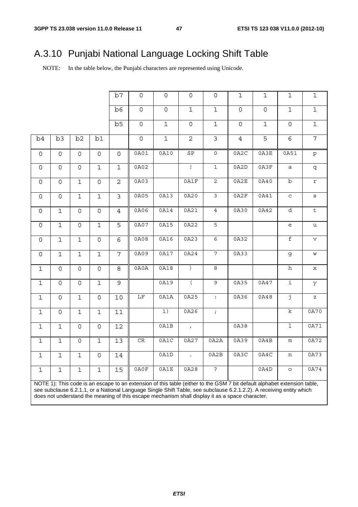# A.3.10 Punjabi National Language Locking Shift Table

NOTE: In the table below, the Punjabi characters are represented using Unicode.

|                     |                     |                     |                     | b7                      | $\mathsf{O}\xspace$                                                                                                      | $\mathsf{O}\xspace$ | $\mathsf{O}\xspace$         | $\mathsf{O}\xspace$ | $\mathbf{1}$        | $\mathbf{1}$        | $\mathbf{1}$                      | $\mathbf{1}$                      |
|---------------------|---------------------|---------------------|---------------------|-------------------------|--------------------------------------------------------------------------------------------------------------------------|---------------------|-----------------------------|---------------------|---------------------|---------------------|-----------------------------------|-----------------------------------|
|                     |                     |                     |                     | b6                      | $\mathsf{O}\xspace$                                                                                                      | $\mathsf{O}\xspace$ | $\mathbf 1$                 | $\mathbf 1$         | $\mathsf{O}\xspace$ | $\mathsf{O}\xspace$ | $\mathbf 1$                       | $\mathbf 1$                       |
|                     |                     |                     |                     | b5                      | $\mathsf{O}\xspace$                                                                                                      | $\mathbf 1$         | $\mathsf{O}\xspace$         | $\mathbf{1}$        | $\mathsf{O}\xspace$ | $\mathbf{1}$        | $\mathsf{O}\xspace$               | $\mathbf 1$                       |
| b4                  | b3                  | b2                  | b1                  |                         | $\mathsf{O}\xspace$                                                                                                      | $\mathbf 1$         | $\overline{c}$              | $\mathfrak{Z}$      | $\overline{4}$      | 5                   | 6                                 | $\overline{7}$                    |
| $\mathsf O$         | $\mathsf{O}$        | $\mathsf{O}$        | $\mathsf{O}\xspace$ | $\mathsf{O}$            | 0A01                                                                                                                     | 0A10                | ${\tt SP}$                  | $\mathsf{O}\xspace$ | 0A2C                | 0A3E                | 0A51                              | $\mathtt{p}$                      |
| $\mathsf{O}$        | $\mathsf{O}$        | $\mathsf{O}\xspace$ | $\mathbf 1$         | $\mathbf 1$             | 0A02                                                                                                                     |                     | $\mathbf{I}$                | $\mathbf 1$         | 0A2D                | 0A3F                | a                                 | q                                 |
| $\mathsf{O}$        | $\mathsf{O}\xspace$ | $\mathbf 1$         | $\mathbf 0$         | $\overline{c}$          | 0A03                                                                                                                     |                     | 0A1F                        | $\mathbf{2}$        | 0A2E                | 0A40                | $\rm b$                           | $\mathtt{r}$                      |
| $\mathsf{O}\xspace$ | $\mathsf{O}\xspace$ | $\mathbf 1$         | $\overline{1}$      | $\overline{\mathbf{3}}$ | 0A05                                                                                                                     | 0A13                | 0A20                        | $\overline{3}$      | 0A2F                | 0A41                | $_{\rm C}$                        | $\mathtt{s}$                      |
| 0                   | $\mathbf 1$         | 0                   | $\mathbf 0$         | 4                       | 0A06                                                                                                                     | 0A14                | 0A21                        | $\overline{4}$      | 0A30                | 0A42                | $\overline{d}$                    | $\overline{t}$                    |
| $\mathsf O$         | $\mathbf 1$         | $\mathsf{O}\xspace$ | $\mathbf 1$         | 5                       | 0A07                                                                                                                     | 0A15                | 0A22                        | $\overline{5}$      |                     |                     | $\mathsf{e}% _{t}\left( t\right)$ | $\mathtt{u}$                      |
| $\mathsf{O}$        | $\mathbf 1$         | $\mathbf 1$         | $\mathsf{O}\xspace$ | 6                       | 0A08                                                                                                                     | 0A16                | 0A23                        | $\overline{6}$      | 0A32                |                     | $\overline{\mathtt{f}}$           | $\mathbf v$                       |
| $\mathsf{O}\xspace$ | $\mathbf 1$         | $\mathbf 1$         | $\mathbf 1$         | $\overline{7}$          | 0A09                                                                                                                     | 0A17                | 0A24                        | $\overline{7}$      | 0A33                |                     | g                                 | W                                 |
| $\mathbf 1$         | $\mathsf{O}$        | $\mathsf{O}\xspace$ | $\overline{0}$      | 8                       | 0A0A                                                                                                                     | 0A18                | $\left( \right)$            | 8                   |                     |                     | h                                 | X                                 |
| $\mathbf{1}$        | $\mathsf{O}\xspace$ | 0                   | $\mathbf{1}$        | 9                       |                                                                                                                          | 0A19                | $\overline{(\ }$            | $\overline{9}$      | 0A35                | 0A47                | $\overline{1}$                    | У                                 |
| $\mathbf{1}$        | $\mathsf{O}\xspace$ | $\mathbf 1$         | $\mathsf{O}\xspace$ | 10                      | $\overline{\rm LF}$                                                                                                      | 0A1A                | 0A25                        | $\div$              | 0A36                | 0A48                | j                                 | $\mathbf{Z}% _{0}=\mathbf{Z}_{0}$ |
| $\mathbf{1}$        | $\mathsf{O}\xspace$ | $\mathbf 1$         | $\mathbf{1}$        | 11                      |                                                                                                                          | 1)                  | 0A26                        | $\mathcal{L}$       |                     |                     | $\rm k$                           | 0A70                              |
| $\mathbf 1$         | $\mathbf 1$         | $\mathsf{O}\xspace$ | $\mathbf 0$         | 12                      |                                                                                                                          | 0A1B                | $\mathcal{L}_{\mathcal{A}}$ |                     | 0A38                |                     | $\overline{1}$                    | 0A71                              |
| $\mathbf 1$         | $\mathbf{1}$        | $\mathsf{O}\xspace$ | $\mathbf{1}$        | 13                      | CR                                                                                                                       | 0A1C                | 0A27                        | 0A2A                | 0A39                | 0A4B                | ${\mathfrak m}$                   | 0A72                              |
| $\mathbf{1}$        | $\mathbf 1$         | $\mathbf 1$         | $\overline{0}$      | 14                      |                                                                                                                          | 0A1D                | $\mathcal{L}^{\pm}$         | 0A2B                | 0A3C                | 0A4C                | n                                 | 0A73                              |
| $\mathbf 1$         | $\mathbf 1$         | $\mathbf 1$         | $\mathbf{1}$        | 15                      | 0A0F                                                                                                                     | 0A1E                | 0A28                        | $\ddot{ }$          |                     | 0A4D                | $\circ$                           | 0A74                              |
|                     |                     |                     |                     |                         | NOTE 1): This code is an escape to an extension of this table (either to the GSM 7 bit default alphabet extension table, |                     |                             |                     |                     |                     |                                   |                                   |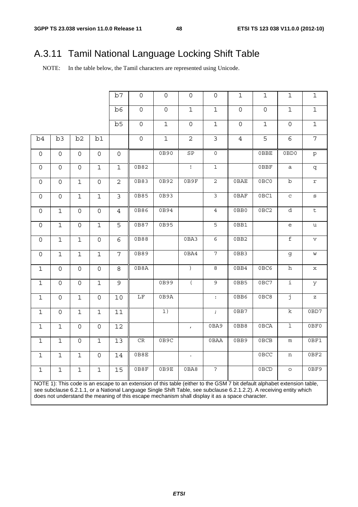# A.3.11 Tamil National Language Locking Shift Table

NOTE: In the table below, the Tamil characters are represented using Unicode.

|                     |                     |                     |                     | b7                  | $\mathsf{O}\xspace$                                                                                                      | $\mathsf{O}\xspace$ | $\mathsf{O}\xspace$   | $\mathsf{O}\xspace$ | $\mathbf 1$    | $\mathbf{1}$   | $\mathbf{1}$                      | $\mathbf{1}$            |
|---------------------|---------------------|---------------------|---------------------|---------------------|--------------------------------------------------------------------------------------------------------------------------|---------------------|-----------------------|---------------------|----------------|----------------|-----------------------------------|-------------------------|
|                     |                     |                     |                     | b6                  | $\mathsf{O}\xspace$                                                                                                      | $\mathsf{O}\xspace$ | $\mathbf 1$           | $\mathbf{1}$        | $\mathsf{O}$   | $\overline{0}$ | $\mathbf 1$                       | $\mathbf 1$             |
|                     |                     |                     |                     | b <sub>5</sub>      | $\mathsf{O}$                                                                                                             | $\overline{1}$      | $\mathsf{O}\xspace$   | $\mathbf{1}$        | $\overline{0}$ | $\mathbf 1$    | $\mathbf 0$                       | $\mathbf 1$             |
| b4                  | b3                  | b2                  | b1                  |                     | $\mathsf{O}\xspace$                                                                                                      | $\mathbf 1$         | $\overline{2}$        | $\mathfrak{Z}$      | $\overline{4}$ | 5              | 6                                 | $\overline{7}$          |
| $\mathsf{O}\xspace$ | $\mathsf{O}\xspace$ | $\mathsf{O}$        | $\mathsf{O}$        | $\mathsf{O}\xspace$ |                                                                                                                          | 0B90                | ${\tt SP}$            | $\mathsf{O}$        |                | $0$ BBE        | 0BD0                              | $\mathtt{p}$            |
| $\mathsf{O}\xspace$ | $\mathsf{O}\xspace$ | $\mathsf{O}\xspace$ | $\mathbf 1$         | $\mathbf 1$         | 0B82                                                                                                                     |                     | $\mathop{\downarrow}$ | $\mathbf{1}$        |                | 0BBF           | $\mathsf{a}$                      | q                       |
| $\mathsf{O}\xspace$ | $\mathsf{O}\xspace$ | $\mathbf 1$         | $\mathsf{O}\xspace$ | $\overline{2}$      | 0B83                                                                                                                     | 0B92                | 0B9F                  | $\overline{c}$      | $0$ BAE        | 0BC0           | $\rm b$                           | $\mathtt{r}$            |
| $\mathsf{O}\xspace$ | $\mathsf{O}\xspace$ | $\mathbf 1$         | $\mathbf 1$         | 3                   | 0B85                                                                                                                     | 0B93                |                       | 3                   | 0BAF           | 0BC1           | $\mathbf C$                       | $\mathtt{s}$            |
| 0                   | $\overline{1}$      | $\overline{0}$      | $\overline{0}$      | $\overline{4}$      | 0B86                                                                                                                     | 0B94                |                       | $\overline{4}$      | 0BB0           | 0BC2           | d                                 | $\overline{\mathsf{t}}$ |
| $\mathsf{O}$        | $\overline{1}$      | $\mathsf{O}$        | $\overline{1}$      | $\overline{5}$      | 0B87                                                                                                                     | 0B95                |                       | $\overline{5}$      | 0BB1           |                | $\mathsf{e}% _{t}\left( t\right)$ | u                       |
| 0                   | $\overline{1}$      | $\mathbf 1$         | $\overline{0}$      | $\overline{6}$      | 0B88                                                                                                                     |                     | 0BA3                  | $\overline{6}$      | 0BB2           |                | $\overline{\mathtt{f}}$           | $\mathbf v$             |
| $\mathsf{O}$        | $\mathbf 1$         | $\mathbf 1$         | $\mathbf{1}$        | 7                   | 0B89                                                                                                                     |                     | 0BA4                  | 7                   | 0BB3           |                | g                                 | W                       |
| $1\,$               | $\mathsf{O}\xspace$ | $\mathsf{O}\xspace$ | $\mathbf 0$         | 8                   | 0B8A                                                                                                                     |                     | $\big)$               | $\infty$            | 0BB4           | 0BC6           | h                                 | х                       |
| $\mathbf 1$         | $\overline{0}$      | $\mathsf{O}\xspace$ | $\mathbf{1}$        | 9                   |                                                                                                                          | 0B99                | $\overline{(\ }$      | $\overline{9}$      | 0BB5           | 0BC7           | i                                 | У                       |
| $1\,$               | $\mathsf{O}\xspace$ | $\mathbf 1$         | $\mathsf{O}\xspace$ | 10                  | $\rm LF$                                                                                                                 | 0B9A                |                       | $\ddot{\cdot}$      | 0BB6           | 0BC8           | j                                 | $\rm{z}$                |
| $\mathbf 1$         | $\mathsf{O}$        | $\mathbf 1$         | $\mathbf{1}$        | 11                  |                                                                                                                          | $\overline{1)}$     |                       | $\mathcal{L}$       | 0BB7           |                | $\overline{\mathbf{k}}$           | 0BD7                    |
| $\mathbf 1$         | $\mathbf 1$         | $\mathsf{O}\xspace$ | $\mathsf{O}\xspace$ | 12                  |                                                                                                                          |                     | $\mathbf{r}$          | 0BA9                | 0BB8           | 0BCA           | $\overline{1}$                    | 0BF0                    |
| $\mathbf{1}$        | $\mathbf{1}$        | $\mathsf{O}$        | $\mathbf 1$         | 13                  | CR                                                                                                                       | 0B9C                |                       | 0BAA                | 0BB9           | <b>OBCB</b>    | m                                 | 0BF1                    |
| $\mathbf{1}$        | $\mathbf{1}$        | $\mathbf 1$         | $\mathbf 0$         | $14\,$              | 0B8E                                                                                                                     |                     | $\ddot{\phantom{a}}$  |                     |                | 0BCC           | n                                 | 0BF2                    |
| $1\,$               | $\mathbf 1$         | $\mathbf 1$         | $\mathbf 1$         | 15                  | 0B8F                                                                                                                     | 0B9E                | 0BA8                  | ?                   |                | 0BCD           | $\circ$                           | 0BF9                    |
|                     |                     |                     |                     |                     | NOTE 1): This code is an escape to an extension of this table (either to the GSM 7 bit default alphabet extension table, |                     |                       |                     |                |                |                                   |                         |
|                     |                     |                     |                     |                     | see subclause 6.2.1.1, or a National Language Single Shift Table, see subclause 6.2.1.2.2). A receiving entity which     |                     |                       |                     |                |                |                                   |                         |

does not understand the meaning of this escape mechanism shall display it as a space character.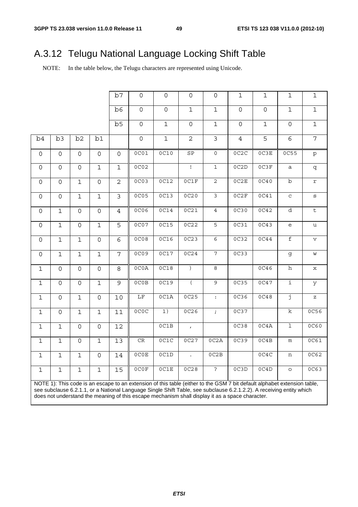# A.3.12 Telugu National Language Locking Shift Table

NOTE: In the table below, the Telugu characters are represented using Unicode.

|                     |                                                                                                                          |                     |                     | b7                      | $\mathsf{O}\xspace$ | $\mathsf{O}\xspace$ | $\mathsf{O}\xspace$         | $\mathsf{O}$            | $\mathbf{1}$        | $\mathbf{1}$        | $\mathbf{1}$                                      | $\mathbf{1}$                                                                                               |
|---------------------|--------------------------------------------------------------------------------------------------------------------------|---------------------|---------------------|-------------------------|---------------------|---------------------|-----------------------------|-------------------------|---------------------|---------------------|---------------------------------------------------|------------------------------------------------------------------------------------------------------------|
|                     |                                                                                                                          |                     |                     | b6                      | $\mathsf{O}\xspace$ | $\mathsf{O}\xspace$ | $\mathbf 1$                 | $\mathbf 1$             | $\mathsf{O}\xspace$ | $\mathsf{O}\xspace$ | $\mathbf 1$                                       | $\mathbf 1$                                                                                                |
|                     |                                                                                                                          |                     |                     | b5                      | $\mathsf{O}\xspace$ | $\mathbf 1$         | $\mathsf{O}$                | $\mathbf{1}$            | $\mathsf{O}\xspace$ | $\mathbf{1}$        | $\mathsf{O}$                                      | $\mathbf 1$                                                                                                |
| b4                  | b3                                                                                                                       | b2                  | b1                  |                         | $\mathsf{O}\xspace$ | $\mathbf 1$         | $\overline{a}$              | $\mathbf{3}$            | $\overline{4}$      | 5                   | 6                                                 | 7                                                                                                          |
| $\mathsf{O}$        | $\mathsf{O}$                                                                                                             | $\mathsf{O}$        | $\mathsf{O}\xspace$ | $\mathsf{O}$            | 0C01                | 0C10                | $\mathtt{SP}$               | $\mathsf{O}\xspace$     | 0C2C                | 0C3E                | 0C55                                              | $\mathtt{p}$                                                                                               |
| 0                   | $\mathsf{O}\xspace$                                                                                                      | $\mathsf{O}\xspace$ | $\mathbf{1}$        | $\mathbf 1$             | 0C02                |                     | $\mathbf{I}$                | $1\,$                   | 0C2D                | 0C3F                | a                                                 | q                                                                                                          |
| 0                   | $\mathsf{O}\xspace$                                                                                                      | $\mathbf 1$         | $\mathbf 0$         | $\mathbf{2}$            | 0C03                | 0C12                | 0C1F                        | $\overline{c}$          | 0C2E                | 0C40                | $\rm b$                                           | $\mathtt{r}$                                                                                               |
| 0                   | $\mathsf{O}\xspace$                                                                                                      | $\mathbf 1$         | $\mathbf 1$         | $\overline{\mathbf{c}}$ | 0C05                | 0C13                | 0C20                        | $\overline{\mathbf{3}}$ | 0C2F                | 0C41                | $\mathtt{C}$                                      | $\mathtt{s}$                                                                                               |
| $\mathsf{O}$        | $\mathbf 1$                                                                                                              | $\mathsf{O}$        | $\mathsf{O}\xspace$ | $\overline{4}$          | 0C06                | 0C14                | 0C21                        | $\overline{4}$          | 0C30                | 0C42                | $\overline{d}$                                    | $\overline{t}$                                                                                             |
| 0                   | $\mathbf 1$                                                                                                              | $\mathsf{O}\xspace$ | $\mathbf 1$         | 5                       | 0C07                | 0C15                | 0C22                        | $\overline{5}$          | 0C31                | 0C43                | $\mathsf{e}% _{t}\!\left( \mathcal{A}_{t}\right)$ | $\mathtt{u}$                                                                                               |
| $\mathsf{O}\xspace$ | $\mathbf{1}$                                                                                                             | $\mathbf 1$         | $\mathsf{O}\xspace$ | 6                       | 0C08                | <b>0C16</b>         | 0C23                        | $\overline{6}$          | 0C32                | 0C44                | f                                                 | $\mathbf v$                                                                                                |
| 0                   | $\mathbf 1$                                                                                                              | $\mathbf 1$         | $\mathbf 1$         | $\overline{7}$          | 0C09                | 0C17                | 0C24                        | $\overline{7}$          | 0C33                |                     | g                                                 | $\mathsf{W}% _{T}=\mathsf{W}_{T}\!\left( a,b\right) ,\ \mathsf{W}_{T}=\mathsf{W}_{T}\!\left( a,b\right) ,$ |
| $\mathbf 1$         | $\mathsf{O}$                                                                                                             | $\mathsf{O}$        | $\mathbf 0$         | 8                       | OC0A                | 0C18                | $\left( \right)$            | 8                       |                     | 0C46                | h                                                 | X                                                                                                          |
| $\mathbf 1$         | $\mathsf{O}\xspace$                                                                                                      | $\mathsf{O}\xspace$ | $\mathbf{1}$        | 9                       | OCOB                | 0C19                | $\overline{(\ }$            | $\overline{9}$          | 0C35                | 0C47                | ï                                                 | У                                                                                                          |
| $\mathbf{1}$        | $\mathsf{O}\xspace$                                                                                                      | $\mathbf 1$         | $\mathsf{O}\xspace$ | 10                      | $\overline{\rm LF}$ | 0C1A                | 0C25                        | $\ddot{\cdot}$          | 0C36                | 0C48                | j                                                 | $\mathbf{Z}% _{0}=\mathbf{Z}_{0}$                                                                          |
| $\mathbf 1$         | $\mathsf{O}\xspace$                                                                                                      | $\mathbf 1$         | $\mathbf{1}$        | $\overline{11}$         | 0C0C                | 1)                  | 0C26                        | $\mathcal{I}$           | 0C37                |                     | $\rm k$                                           | 0C56                                                                                                       |
| $\mathbf 1$         | $\mathbf 1$                                                                                                              | $\mathsf{O}\xspace$ | $\mathsf{O}$        | 12                      |                     | OC1B                | $\mathcal{L}_{\mathcal{A}}$ |                         | 0C38                | 0C4A                | $\mathbf 1$                                       | 0C60                                                                                                       |
| $\mathbf 1$         | $\mathbf{1}$                                                                                                             | $\mathsf{O}\xspace$ | $\mathbf{1}$        | 13                      | CR                  | 0C1C                | 0C27                        | 0C2A                    | 0C39                | 0C4B                | ${\mathfrak m}$                                   | 0C61                                                                                                       |
| $\mathbf{1}$        | $\mathbf{1}$                                                                                                             | $\mathbf 1$         | $\mathsf{O}\xspace$ | 14                      | 0C0E                | OC1D                | $\ddot{\phantom{a}}$        | OC2B                    |                     | 0C4C                | n                                                 | 0C62                                                                                                       |
| $\mathbf 1$         | $\mathbf 1$                                                                                                              | $\mathbf 1$         | $\mathbf{1}$        | 15                      | 0C0F                | 0C1E                | 0C28                        | $\ddot{\cdot}$          | OC3D                | 0C4D                | $\circ$                                           | 0C63                                                                                                       |
|                     | NOTE 1): This code is an escape to an extension of this table (either to the GSM 7 bit default alphabet extension table, |                     |                     |                         |                     |                     |                             |                         |                     |                     |                                                   |                                                                                                            |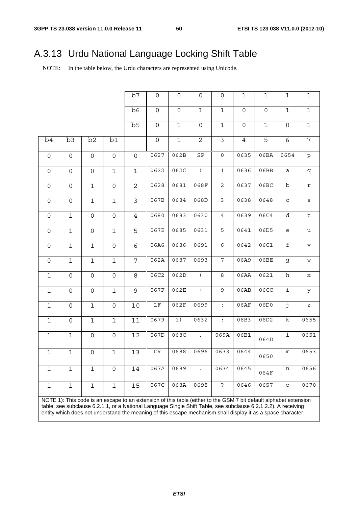# A.3.13 Urdu National Language Locking Shift Table

NOTE: In the table below, the Urdu characters are represented using Unicode.

|                     |                                                                                                                                                                                                                                                                                                                                                     |                     |                     | b7              | $\mathsf{O}\xspace$ | 0           | 0                | 0                   | $\mathbf 1$         | $1\,$          | $\mathbf{1}$                                      | $\mathbf 1$    |
|---------------------|-----------------------------------------------------------------------------------------------------------------------------------------------------------------------------------------------------------------------------------------------------------------------------------------------------------------------------------------------------|---------------------|---------------------|-----------------|---------------------|-------------|------------------|---------------------|---------------------|----------------|---------------------------------------------------|----------------|
|                     |                                                                                                                                                                                                                                                                                                                                                     |                     |                     | b6              | $\mathsf{O}$        | $\mathbf 0$ | $\mathbf 1$      | $\mathbf{1}$        | $\mathbf 0$         | $\overline{0}$ | $\mathbf{1}$                                      | $\mathbf 1$    |
|                     |                                                                                                                                                                                                                                                                                                                                                     |                     |                     | b5              | $\mathsf{O}\xspace$ | $\mathbf 1$ | $\mathsf{O}$     | $\mathbf{1}$        | $\mathsf{O}\xspace$ | $\mathbf{1}$   | 0                                                 | $\mathbf 1$    |
| b4                  | b3                                                                                                                                                                                                                                                                                                                                                  | b2                  | b1                  |                 | $\circ$             | $\mathbf 1$ | $\overline{c}$   | $\mathfrak{Z}$      | $\overline{4}$      | 5              | 6                                                 | $\overline{7}$ |
| $\mathsf{O}$        | 0                                                                                                                                                                                                                                                                                                                                                   | 0                   | $\mathsf{O}\xspace$ | $\mathsf{O}$    | 0627                | 062B        | $\mbox{SP}$      | $\mathsf{O}\xspace$ | 0635                | 06BA           | 0654                                              | $\rm p$        |
| $\mathsf{O}\xspace$ | $\mathsf{O}$                                                                                                                                                                                                                                                                                                                                        | $\mathsf{O}\xspace$ | $\mathbf 1$         | $\mathbf 1$     | 0622                | 062C        | $\mathbf{I}$     | $\mathbf 1$         | 0636                | 06BB           | $\mathsf a$                                       | q              |
| 0                   | $\mathsf{O}$                                                                                                                                                                                                                                                                                                                                        | $\mathbf 1$         | 0                   | $\overline{2}$  | 0628                | 0681        | 068F             | $\mathbf{2}$        | 0637                | 06BC           | b                                                 | r              |
| $\mathsf{O}\xspace$ | $\mathsf{O}\xspace$                                                                                                                                                                                                                                                                                                                                 | $\mathbf 1$         | $\mathbf 1$         | $\mathfrak{Z}$  | 067B                | 0684        | 068D             | $\mathfrak{Z}$      | 0638                | 0648           | $\mathbf C$                                       | $\mathtt{s}$   |
| 0                   | $\mathbf{1}$                                                                                                                                                                                                                                                                                                                                        | $\mathsf{O}\xspace$ | 0                   | $\overline{4}$  | 0680                | 0683        | 0630             | $\overline{4}$      | 0639                | 06C4           | d                                                 | $\sf t$        |
| $\mathsf{O}\xspace$ | $1\,$                                                                                                                                                                                                                                                                                                                                               | $\mathsf{O}\xspace$ | $\mathbf{1}$        | 5               | 067E                | 0685        | 0631             | 5                   | 0641                | 06D5           | $\mathsf{e}% _{t}\!\left( \mathcal{A}_{t}\right)$ | u              |
| $\mathsf{O}\xspace$ | $\mathbf{1}$                                                                                                                                                                                                                                                                                                                                        | $1\,$               | 0                   | 6               | 06A6                | 0686        | 0691             | $\epsilon$          | 0642                | 06C1           | $\mathbf f$                                       | $\mathbf v$    |
| $\mathsf{O}\xspace$ | $\mathbf 1$                                                                                                                                                                                                                                                                                                                                         | $\mathbf{1}$        | $\mathbf{1}$        | 7               | 062A                | 0687        | 0693             | 7                   | 06A9                | 06BE           | g                                                 | W              |
| $\mathbf 1$         | $\mathsf{O}$                                                                                                                                                                                                                                                                                                                                        | $\mathsf{O}\xspace$ | $\mathsf{O}\xspace$ | 8               | 06C2                | 062D        | $\lambda$        | 8                   | 06AA                | 0621           | h                                                 | $\mathbf x$    |
| $\mathbf{1}$        | $\mathsf{O}$                                                                                                                                                                                                                                                                                                                                        | $\mathsf{O}\xspace$ | $\mathbf 1$         | 9               | 067F                | 062E        | $\overline{(\ }$ | $\mathsf 9$         | 06AB                | 06CC           | i                                                 | У              |
| $\mathbf{1}$        | $\mathsf{O}$                                                                                                                                                                                                                                                                                                                                        | $\mathbf 1$         | $\mathsf{O}\xspace$ | 10              | $\overline{\rm LF}$ | 062F        | 0699             | $\ddot{\cdot}$      | 06AF                | 06D0           | j                                                 | $\mathbf z$    |
| $\mathbf 1$         | $\mathsf{O}$                                                                                                                                                                                                                                                                                                                                        | $\mathbf 1$         | $\mathbf 1$         | $\overline{11}$ | 0679                | 1)          | 0632             | $\mathcal{I}$       | 06B3                | 06D2           | $\overline{\mathbf{k}}$                           | 0655           |
| $\mathbf{1}$        | $\mathbf 1$                                                                                                                                                                                                                                                                                                                                         | $\mathsf{O}\xspace$ | $\mathsf{O}\xspace$ | 12              | 067D                | 068C        | $\mathbf{r}$     | 069A                | 06B1                | 064D           | $\overline{1}$                                    | 0651           |
| $1\,$               | $1\,$                                                                                                                                                                                                                                                                                                                                               | $\mathsf{O}\xspace$ | $\mathbf 1$         | 13              | $\mathsf{CR}$       | 0688        | 0696             | 0633                | 0644                | 0650           | m                                                 | 0653           |
| $\mathbf 1$         | $\mathbf 1$                                                                                                                                                                                                                                                                                                                                         | $\mathbf 1$         | $\mathbf 0$         | 14              | 067A                | 0689        |                  | 0634                | 0645                | 064F           | n                                                 | 0656           |
| $\mathbf 1$         | $1\,$                                                                                                                                                                                                                                                                                                                                               | $\mathbf{1}$        | $\mathbf 1$         | 15              | 067C                | 068A        | 0698             | $\ddot{ }$          | 0646                | 0657           | $\circ$                                           | 0670           |
|                     | NOTE 1): This code is an escape to an extension of this table (either to the GSM 7 bit default alphabet extension<br>table, see subclause 6.2.1.1, or a National Language Single Shift Table, see subclause 6.2.1.2.2). A receiving<br>entity which does not understand the meaning of this escape mechanism shall display it as a space character. |                     |                     |                 |                     |             |                  |                     |                     |                |                                                   |                |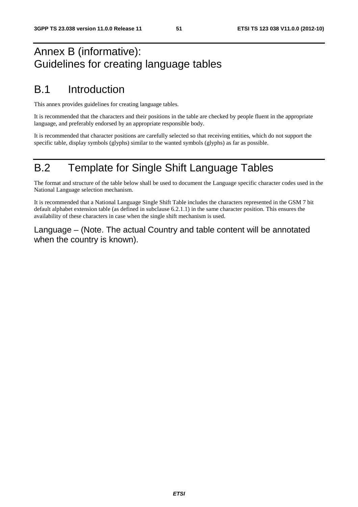# Annex B (informative): Guidelines for creating language tables

# B.1 Introduction

This annex provides guidelines for creating language tables.

It is recommended that the characters and their positions in the table are checked by people fluent in the appropriate language, and preferably endorsed by an appropriate responsible body.

It is recommended that character positions are carefully selected so that receiving entities, which do not support the specific table, display symbols (glyphs) similar to the wanted symbols (glyphs) as far as possible.

# B.2 Template for Single Shift Language Tables

The format and structure of the table below shall be used to document the Language specific character codes used in the National Language selection mechanism.

It is recommended that a National Language Single Shift Table includes the characters represented in the GSM 7 bit default alphabet extension table (as defined in subclause 6.2.1.1) in the same character position. This ensures the availability of these characters in case when the single shift mechanism is used.

Language – (Note. The actual Country and table content will be annotated when the country is known).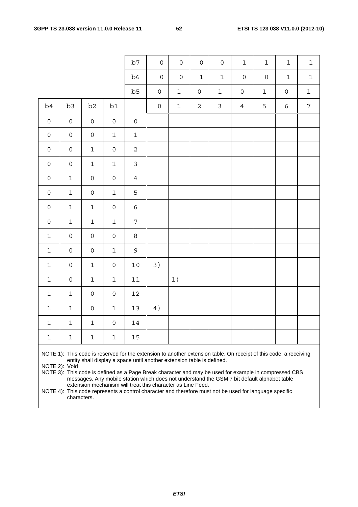|                     |                                                                                                                                                                                                                                                                                                                                                                                                                                                                                     |                     |                     | b7                  | $\mathsf{O}$        | $\mathsf{O}$        | $\mathsf{O}\xspace$ | $\mathbf 0$    | $1\,$               | $\mathbf{1}$        | $1\,$               | $\mathbf 1$    |
|---------------------|-------------------------------------------------------------------------------------------------------------------------------------------------------------------------------------------------------------------------------------------------------------------------------------------------------------------------------------------------------------------------------------------------------------------------------------------------------------------------------------|---------------------|---------------------|---------------------|---------------------|---------------------|---------------------|----------------|---------------------|---------------------|---------------------|----------------|
|                     |                                                                                                                                                                                                                                                                                                                                                                                                                                                                                     |                     |                     | b6                  | $\mathsf{O}\xspace$ | $\mathsf{O}\xspace$ | $\mathbf{1}$        | $\mathbf 1$    | $\mathsf{O}\xspace$ | $\mathsf{O}\xspace$ | $1\,$               | $1\,$          |
|                     |                                                                                                                                                                                                                                                                                                                                                                                                                                                                                     |                     |                     | b5                  | $\mathsf{O}\xspace$ | $\mathbf 1$         | $\mathsf{O}\xspace$ | $\mathbf 1$    | $\mathsf{O}\xspace$ | $\mathbf 1$         | $\mathsf{O}\xspace$ | $\mathbf 1$    |
| b <sub>4</sub>      | b3                                                                                                                                                                                                                                                                                                                                                                                                                                                                                  | b <sub>2</sub>      | b1                  |                     | $\mathsf{O}\xspace$ | $\mathbf 1$         | $\overline{2}$      | $\mathfrak{Z}$ | $\overline{4}$      | 5                   | $\epsilon$          | $\overline{7}$ |
| $\mathsf{O}\xspace$ | $\mathsf{O}$                                                                                                                                                                                                                                                                                                                                                                                                                                                                        | $\mathsf{O}\xspace$ | $\mathsf{O}\xspace$ | $\mathsf{O}\xspace$ |                     |                     |                     |                |                     |                     |                     |                |
| $\mathsf{O}\xspace$ | $\mathsf{O}\xspace$                                                                                                                                                                                                                                                                                                                                                                                                                                                                 | $\mathsf{O}\xspace$ | $\mathbf 1$         | $\mathbf 1$         |                     |                     |                     |                |                     |                     |                     |                |
| $\mathsf{O}\xspace$ | $\mathsf{O}\xspace$                                                                                                                                                                                                                                                                                                                                                                                                                                                                 | $\mathbf 1$         | $\mathsf{O}\xspace$ | $\overline{2}$      |                     |                     |                     |                |                     |                     |                     |                |
| $\mathsf{O}\xspace$ | $\mathsf{O}\xspace$                                                                                                                                                                                                                                                                                                                                                                                                                                                                 | $1\,$               | $\mathbf 1$         | $\mathfrak{Z}$      |                     |                     |                     |                |                     |                     |                     |                |
| $\mathsf{O}\xspace$ | $\mathbf 1$                                                                                                                                                                                                                                                                                                                                                                                                                                                                         | $\mathsf{O}\xspace$ | $\mathsf{O}\xspace$ | $\overline{4}$      |                     |                     |                     |                |                     |                     |                     |                |
| 0                   | $\mathbf 1$                                                                                                                                                                                                                                                                                                                                                                                                                                                                         | $\mathsf{O}\xspace$ | $\mathbf 1$         | 5                   |                     |                     |                     |                |                     |                     |                     |                |
| 0                   | $\mathbf 1$                                                                                                                                                                                                                                                                                                                                                                                                                                                                         | $\mathbf 1$         | 0                   | 6                   |                     |                     |                     |                |                     |                     |                     |                |
| 0                   | $\mathbf 1$                                                                                                                                                                                                                                                                                                                                                                                                                                                                         | $1\,$               | $\mathbf 1$         | 7                   |                     |                     |                     |                |                     |                     |                     |                |
| $\mathbf 1$         | $\mathsf{O}\xspace$                                                                                                                                                                                                                                                                                                                                                                                                                                                                 | $\mathsf{O}\xspace$ | $\mathsf{O}\xspace$ | 8                   |                     |                     |                     |                |                     |                     |                     |                |
| $\mathbf 1$         | $\mathsf{O}\xspace$                                                                                                                                                                                                                                                                                                                                                                                                                                                                 | $\mathsf{O}\xspace$ | $\mathbf 1$         | 9                   |                     |                     |                     |                |                     |                     |                     |                |
| $\mathbf 1$         | $\mathsf{O}\xspace$                                                                                                                                                                                                                                                                                                                                                                                                                                                                 | $\mathbf 1$         | $\mathsf{O}\xspace$ | $10$                | 3)                  |                     |                     |                |                     |                     |                     |                |
| $\mathbf 1$         | $\mathsf{O}\xspace$                                                                                                                                                                                                                                                                                                                                                                                                                                                                 | $\mathbf 1$         | $\mathbf 1$         | $11\,$              |                     | 1)                  |                     |                |                     |                     |                     |                |
| $\mathbf 1$         | $\mathbf 1$                                                                                                                                                                                                                                                                                                                                                                                                                                                                         | $\mathsf{O}\xspace$ | $\mathsf{O}\xspace$ | $12\,$              |                     |                     |                     |                |                     |                     |                     |                |
| $\mathbf 1$         | $\mathbf 1$                                                                                                                                                                                                                                                                                                                                                                                                                                                                         | $\mathsf{O}\xspace$ | $\mathbf 1$         | 13                  | 4)                  |                     |                     |                |                     |                     |                     |                |
| $\mathbf 1$         | $\mathbf 1$                                                                                                                                                                                                                                                                                                                                                                                                                                                                         | $\mathbf{1}$        | $\mathsf{O}$        | $14\,$              |                     |                     |                     |                |                     |                     |                     |                |
| $\mathbf 1$         | 1                                                                                                                                                                                                                                                                                                                                                                                                                                                                                   | 1                   | 1                   | 15                  |                     |                     |                     |                |                     |                     |                     |                |
|                     | NOTE 1): This code is reserved for the extension to another extension table. On receipt of this code, a receiving<br>entity shall display a space until another extension table is defined.<br>NOTE 2): Void<br>NOTE 3): This code is defined as a Page Break character and may be used for example in compressed CBS<br>messages. Any mobile station which does not understand the GSM 7 bit default alphabet table<br>extension mechanism will treat this character as Line Feed. |                     |                     |                     |                     |                     |                     |                |                     |                     |                     |                |

NOTE 4): This code represents a control character and therefore must not be used for language specific characters.

*ETSI*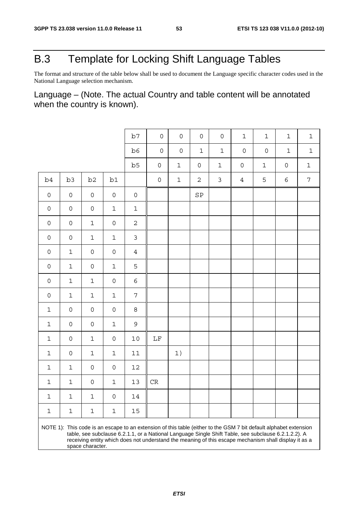# B.3 Template for Locking Shift Language Tables

The format and structure of the table below shall be used to document the Language specific character codes used in the National Language selection mechanism.

Language – (Note. The actual Country and table content will be annotated when the country is known).

|                                                                                                                                                                                                                                                                                                                                                        |              |                     |                     | b7                  | $\mathsf{O}$        | $\mathsf{O}\xspace$ | $\mathsf{O}$        | $\mathsf{O}\xspace$ | $\mathbf 1$         | $\mathbf{1}$ | $\mathbf 1$         | $\mathbf{1}$   |
|--------------------------------------------------------------------------------------------------------------------------------------------------------------------------------------------------------------------------------------------------------------------------------------------------------------------------------------------------------|--------------|---------------------|---------------------|---------------------|---------------------|---------------------|---------------------|---------------------|---------------------|--------------|---------------------|----------------|
|                                                                                                                                                                                                                                                                                                                                                        |              |                     |                     | b6                  | $\mathsf{O}\xspace$ | $\mathsf{O}\xspace$ | $\mathbf 1$         | $1\,$               | $\mathbf 0$         | $\mathbf 0$  | $\mathbf 1$         | $\mathbf 1$    |
|                                                                                                                                                                                                                                                                                                                                                        |              |                     |                     | b5                  | $\mathsf{O}\xspace$ | $1\,$               | $\mathsf{O}\xspace$ | $\mathbf 1$         | $\mathsf{O}\xspace$ | $\mathbf 1$  | $\mathsf{O}\xspace$ | $\mathbf 1$    |
| b4                                                                                                                                                                                                                                                                                                                                                     | b3           | b <sub>2</sub>      | b1                  |                     | $\mathsf{O}$        | $1\,$               | $\mathbf{2}$        | $\mathfrak{Z}$      | $\overline{4}$      | 5            | 6                   | $\overline{7}$ |
| $\mathsf O$                                                                                                                                                                                                                                                                                                                                            | $\mathsf{O}$ | $\mathsf{O}$        | $\mathsf{O}\xspace$ | $\mathsf{O}\xspace$ |                     |                     | SP                  |                     |                     |              |                     |                |
| $\mathsf{O}\xspace$                                                                                                                                                                                                                                                                                                                                    | $\mathsf O$  | $\mathsf{O}\xspace$ | $\mathbf 1$         | $1\,$               |                     |                     |                     |                     |                     |              |                     |                |
| $\mathsf{O}\xspace$                                                                                                                                                                                                                                                                                                                                    | $\mathsf O$  | $\mathbf 1$         | 0                   | $\overline{c}$      |                     |                     |                     |                     |                     |              |                     |                |
| $\mathsf{O}\xspace$                                                                                                                                                                                                                                                                                                                                    | $\mathsf{O}$ | $\mathbf 1$         | $\mathbf 1$         | $\mathfrak{Z}$      |                     |                     |                     |                     |                     |              |                     |                |
| $\mathsf{O}\xspace$                                                                                                                                                                                                                                                                                                                                    | $\mathbf{1}$ | 0                   | 0                   | $\overline{4}$      |                     |                     |                     |                     |                     |              |                     |                |
| $\mathsf{O}\xspace$                                                                                                                                                                                                                                                                                                                                    | $\mathbf{1}$ | 0                   | $\mathbf 1$         | 5                   |                     |                     |                     |                     |                     |              |                     |                |
| $\mathsf{O}\xspace$                                                                                                                                                                                                                                                                                                                                    | $\mathbf{1}$ | $\mathbf 1$         | 0                   | 6                   |                     |                     |                     |                     |                     |              |                     |                |
| $\mathsf{O}\xspace$                                                                                                                                                                                                                                                                                                                                    | $\mathbf{1}$ | $\mathbf 1$         | $\mathbf 1$         | $\overline{7}$      |                     |                     |                     |                     |                     |              |                     |                |
| $\mathbf{1}$                                                                                                                                                                                                                                                                                                                                           | $\mathsf{O}$ | 0                   | 0                   | 8                   |                     |                     |                     |                     |                     |              |                     |                |
| $\mathbf{1}$                                                                                                                                                                                                                                                                                                                                           | $\mathsf{O}$ | 0                   | $\mathbf 1$         | 9                   |                     |                     |                     |                     |                     |              |                     |                |
| $\mathbf 1$                                                                                                                                                                                                                                                                                                                                            | $\mathsf{O}$ | $\mathbf 1$         | 0                   | $10$                | $\rm LF$            |                     |                     |                     |                     |              |                     |                |
| $\mathbf 1$                                                                                                                                                                                                                                                                                                                                            | $\mathsf{O}$ | $\mathbf 1$         | $\mathbf 1$         | $11\,$              |                     | 1)                  |                     |                     |                     |              |                     |                |
| $\mathbf 1$                                                                                                                                                                                                                                                                                                                                            | $\mathbf{1}$ | 0                   | 0                   | $12$                |                     |                     |                     |                     |                     |              |                     |                |
| $\mathbf 1$                                                                                                                                                                                                                                                                                                                                            | $\mathbf 1$  | $\mathsf{O}\xspace$ | 1                   | 13                  | $\rm CR$            |                     |                     |                     |                     |              |                     |                |
| $\mathbf 1$                                                                                                                                                                                                                                                                                                                                            | $\mathbf 1$  | $\mathbf{1}$        | $\mathsf{O}$        | $14\,$              |                     |                     |                     |                     |                     |              |                     |                |
| $\mathbf 1$                                                                                                                                                                                                                                                                                                                                            | $\mathbf 1$  | 1                   | 1                   | 15                  |                     |                     |                     |                     |                     |              |                     |                |
| NOTE 1): This code is an escape to an extension of this table (either to the GSM 7 bit default alphabet extension<br>table, see subclause 6.2.1.1, or a National Language Single Shift Table, see subclause 6.2.1.2.2). A<br>receiving entity which does not understand the meaning of this escape mechanism shall display it as a<br>space character. |              |                     |                     |                     |                     |                     |                     |                     |                     |              |                     |                |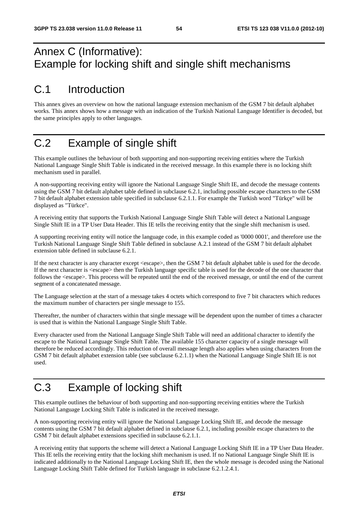# Annex C (Informative): Example for locking shift and single shift mechanisms

# C.1 Introduction

This annex gives an overview on how the national language extension mechanism of the GSM 7 bit default alphabet works. This annex shows how a message with an indication of the Turkish National Language Identifier is decoded, but the same principles apply to other languages.

# C.2 Example of single shift

This example outlines the behaviour of both supporting and non-supporting receiving entities where the Turkish National Language Single Shift Table is indicated in the received message. In this example there is no locking shift mechanism used in parallel.

A non-supporting receiving entity will ignore the National Language Single Shift IE, and decode the message contents using the GSM 7 bit default alphabet table defined in subclause 6.2.1, including possible escape characters to the GSM 7 bit default alphabet extension table specified in subclause 6.2.1.1. For example the Turkish word "Türkçe" will be displayed as "Türkce".

A receiving entity that supports the Turkish National Language Single Shift Table will detect a National Language Single Shift IE in a TP User Data Header. This IE tells the receiving entity that the single shift mechanism is used.

A supporting receiving entity will notice the language code, in this example coded as '0000 0001', and therefore use the Turkish National Language Single Shift Table defined in subclause A.2.1 instead of the GSM 7 bit default alphabet extension table defined in subclause 6.2.1.

If the next character is any character except  $\langle$ escape $\rangle$ , then the GSM 7 bit default alphabet table is used for the decode. If the next character is <escape> then the Turkish language specific table is used for the decode of the one character that follows the <escape>. This process will be repeated until the end of the received message, or until the end of the current segment of a concatenated message.

The Language selection at the start of a message takes 4 octets which correspond to five 7 bit characters which reduces the maximum number of characters per single message to 155.

Thereafter, the number of characters within that single message will be dependent upon the number of times a character is used that is within the National Language Single Shift Table.

Every character used from the National Language Single Shift Table will need an additional character to identify the escape to the National Language Single Shift Table. The available 155 character capacity of a single message will therefore be reduced accordingly. This reduction of overall message length also applies when using characters from the GSM 7 bit default alphabet extension table (see subclause 6.2.1.1) when the National Language Single Shift IE is not used.

# C.3 Example of locking shift

This example outlines the behaviour of both supporting and non-supporting receiving entities where the Turkish National Language Locking Shift Table is indicated in the received message.

A non-supporting receiving entity will ignore the National Language Locking Shift IE, and decode the message contents using the GSM 7 bit default alphabet defined in subclause 6.2.1, including possible escape characters to the GSM 7 bit default alphabet extensions specified in subclause 6.2.1.1.

A receiving entity that supports the scheme will detect a National Language Locking Shift IE in a TP User Data Header. This IE tells the receiving entity that the locking shift mechanism is used. If no National Language Single Shift IE is indicated additionally to the National Language Locking Shift IE, then the whole message is decoded using the National Language Locking Shift Table defined for Turkish language in subclause 6.2.1.2.4.1.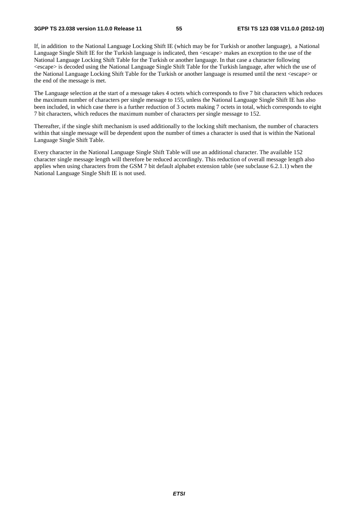#### **3GPP TS 23.038 version 11.0.0 Release 11 55 ETSI TS 123 038 V11.0.0 (2012-10)**

If, in addition to the National Language Locking Shift IE (which may be for Turkish or another language), a National Language Single Shift IE for the Turkish language is indicated, then <escape> makes an exception to the use of the National Language Locking Shift Table for the Turkish or another language. In that case a character following <escape> is decoded using the National Language Single Shift Table for the Turkish language, after which the use of the National Language Locking Shift Table for the Turkish or another language is resumed until the next <escape> or the end of the message is met.

The Language selection at the start of a message takes 4 octets which corresponds to five 7 bit characters which reduces the maximum number of characters per single message to 155, unless the National Language Single Shift IE has also been included, in which case there is a further reduction of 3 octets making 7 octets in total, which corresponds to eight 7 bit characters, which reduces the maximum number of characters per single message to 152.

Thereafter, if the single shift mechanism is used additionally to the locking shift mechanism, the number of characters within that single message will be dependent upon the number of times a character is used that is within the National Language Single Shift Table.

Every character in the National Language Single Shift Table will use an additional character. The available 152 character single message length will therefore be reduced accordingly. This reduction of overall message length also applies when using characters from the GSM 7 bit default alphabet extension table (see subclause 6.2.1.1) when the National Language Single Shift IE is not used.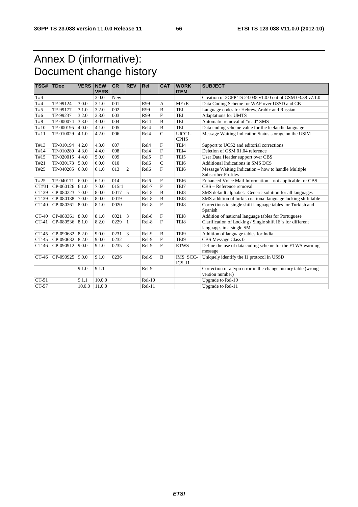# Annex D (informative): Document change history

| TSG#       | <b>TDoc</b>       | <b>VERS INEW</b> | <b>VERS</b> | <b>CR</b> | <b>REV</b>      | Rel              | <b>CAT</b>     | <b>WORK</b><br><b>ITEM</b> | <b>SUBJECT</b>                                                                         |
|------------|-------------------|------------------|-------------|-----------|-----------------|------------------|----------------|----------------------------|----------------------------------------------------------------------------------------|
| T#4        |                   |                  | 3.0.0       | New       |                 |                  |                |                            | Creation of 3GPP TS 23.038 v1.0.0 out of GSM 03.38 v7.1.0                              |
| T#4        | TP-99124          | 3.0.0            | 3.1.0       | 001       |                 | R99              | A              | <b>MExE</b>                | Data Coding Scheme for WAP over USSD and CB                                            |
| T#5        | TP-99177          | 3.1.0            | 3.2.0       | 002       |                 | R99              | B              | <b>TEI</b>                 | Language codes for Hebrew, Arabic and Russian                                          |
| T#6        | TP-99237          | 3.2.0            | 3.3.0       | 003       |                 | R99              | F              | <b>TEI</b>                 | Adaptations for UMTS                                                                   |
| <b>T#8</b> | TP-000074         | 3.3.0            | 4.0.0       | 004       |                 | Rel <sub>4</sub> | B              | <b>TEI</b>                 | Automatic removal of "read" SMS                                                        |
| T#10       | TP-000195         | 4.0.0            | 4.1.0       | 005       |                 | Rel <sub>4</sub> | $\mathbf B$    | <b>TEI</b>                 | Data coding scheme value for the Icelandic language                                    |
| T#11       | TP-010029         | 4.1.0            | 4.2.0       | 006       |                 | Rel <sub>4</sub> | $\mathcal{C}$  | UICC1-<br><b>CPHS</b>      | Message Waiting Indication Status storage on the USIM                                  |
| T#13       | TP-010194         | 4.2.0            | 4.3.0       | 007       |                 | Rel <sub>4</sub> | F              | TEI4                       | Support to UCS2 and editorial corrections                                              |
| T#14       | TP-010280         | 4.3.0            | 4.4.0       | 008       |                 | Rel <sub>4</sub> | F              | TEI4                       | Deletion of GSM 01.04 reference                                                        |
| T#15       | TP-020015         | 4.4.0            | 5.0.0       | 009       |                 | Rel <sub>5</sub> | $\mathbf F$    | TEI5                       | User Data Header support over CBS                                                      |
| T#21       | TP-030173         | 5.0.0            | 6.0.0       | 010       |                 | Rel6             | $\mathbf C$    | TEI6                       | Additional Indications in SMS DCS                                                      |
| T#25       | TP-040205         | 6.0.0            | 6.1.0       | 013       | $\overline{2}$  | Rel6             | F              | TEI6                       | Message Waiting Indication – how to handle Multiple<br><b>Subscriber Profiles</b>      |
| T#25       | TP-040171         | 6.0.0            | 6.1.0       | 014       |                 | Rel <sub>6</sub> | F              | TEI6                       | Enhanced Voice Mail Information - not applicable for CBS                               |
| CT#31      | $CP-060126$ 6.1.0 |                  | 7.0.0       | 015r1     |                 | Rel-7            | $\mathbf{F}$   | TEI7                       | CBS - Reference removal                                                                |
| CT-39      | $CP-080223$ 7.0.0 |                  | 8.0.0       | 0017      | $\overline{5}$  | Rel-8            | B              | TEI8                       | SMS default alphabet. Generic solution for all languages                               |
| CT-39      | CP-080138 7.0.0   |                  | 8.0.0       | 0019      |                 | Rel-8            | B              | TEI8                       | SMS-addition of turkish national language locking shift table                          |
| $CT-40$    | CP-080361         | 8.0.0            | 8.1.0       | 0020      |                 | Rel-8            | $\mathbf F$    | TEI8                       | Corrections to single shift language tables for Turkish and<br>Spanish                 |
| $CT-40$    | CP-080361         | 8.0.0            | 8.1.0       | 0021      | 3               | Rel-8            | F              | TEI8                       | Addition of national language tables for Portuguese                                    |
| $CT-41$    | CP-080536 8.1.0   |                  | 8.2.0       | 0229      | $\mathbf{1}$    | Rel-8            | $\mathbf F$    | TEI8                       | Clarification of Locking / Single shift IE"s for different<br>languages in a single SM |
| $CT-45$    | CP-090682 8.2.0   |                  | 9.0.0       | 0231      | 3               | Rel-9            | B              | TEI9                       | Addition of language tables for India                                                  |
| $CT-45$    | CP-090682 8.2.0   |                  | 9.0.0       | 0232      |                 | Rel-9            | F              | TEI9                       | CBS Message Class 0                                                                    |
| $CT-46$    | CP-090912 9.0.0   |                  | 9.1.0       | 0235      | $\vert 3 \vert$ | Rel-9            | F              | <b>ETWS</b>                | Define the use of data coding scheme for the ETWS warning<br>message                   |
| $CT-46$    | CP-090925         | 9.0.0            | 9.1.0       | 0236      |                 | Rel-9            | $\overline{B}$ | IMS_SCC-<br>$ICS_I1$       | Uniquely identify the I1 protocol in USSD                                              |
|            |                   | 9.1.0            | 9.1.1       |           |                 | Rel-9            |                |                            | Correction of a typo error in the change history table (wrong                          |
|            |                   |                  |             |           |                 |                  |                |                            | version number)                                                                        |
| $CT-51$    |                   | 9.1.1            | 10.0.0      |           |                 | $Rel-10$         |                |                            | Upgrade to Rel-10                                                                      |
| $CT-57$    |                   | 10.0.0           | 11.0.0      |           |                 | $Rel-11$         |                |                            | Upgrade to Rel-11                                                                      |